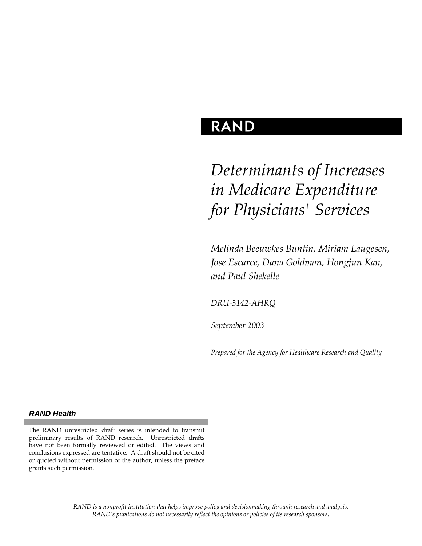## **RAND**

# *Determinants of Increases in Medicare Expenditure for Physicians' Services*

*Melinda Beeuwkes Buntin, Miriam Laugesen, Jose Escarce, Dana Goldman, Hongjun Kan, and Paul Shekelle* 

*DRU-3142-AHRQ* 

*September 2003* 

*Prepared for the Agency for Healthcare Research and Quality* 

#### *RAND Health*

The RAND unrestricted draft series is intended to transmit preliminary results of RAND research. Unrestricted drafts have not been formally reviewed or edited. The views and conclusions expressed are tentative. A draft should not be cited or quoted without permission of the author, unless the preface grants such permission.

> *RAND is a nonprofit institution that helps improve policy and decisionmaking through research and analysis. RAND's publications do not necessarily reflect the opinions or policies of its research sponsors.*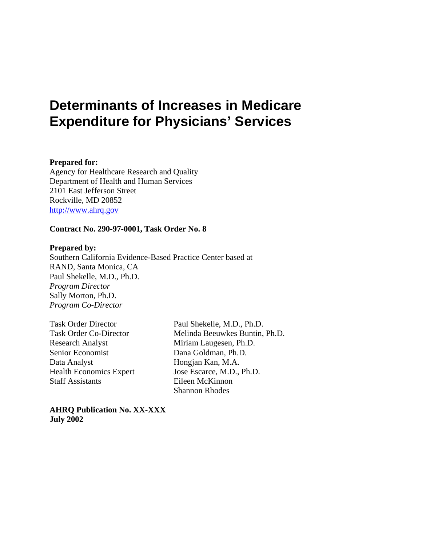## **Determinants of Increases in Medicare Expenditure for Physicians' Services**

#### **Prepared for:**

Agency for Healthcare Research and Quality Department of Health and Human Services 2101 East Jefferson Street Rockville, MD 20852 [http://www.ahrq.gov](http://www.ahrq.gov/)

#### **Contract No. 290-97-0001, Task Order No. 8**

#### **Prepared by:**

Southern California Evidence-Based Practice Center based at RAND, Santa Monica, CA Paul Shekelle, M.D., Ph.D. *Program Director* Sally Morton, Ph.D. *Program Co-Director*

Research Analyst Miriam Laugesen, Ph.D. Senior Economist Dana Goldman, Ph.D. Data Analyst Hongjan Kan, M.A. Staff Assistants Eileen McKinnon

Task Order Director Paul Shekelle, M.D., Ph.D. Task Order Co-Director Melinda Beeuwkes Buntin, Ph.D. Health Economics Expert Jose Escarce, M.D., Ph.D. Shannon Rhodes

**AHRQ Publication No. XX-XXX July 2002**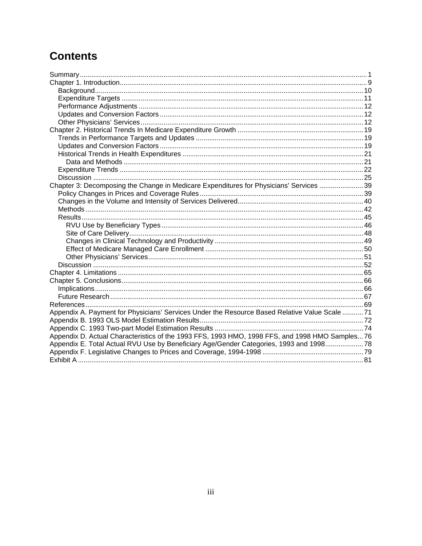## **Contents**

| Chapter 3: Decomposing the Change in Medicare Expenditures for Physicians' Services 39<br>Appendix A. Payment for Physicians' Services Under the Resource Based Relative Value Scale 71<br>Appendix D. Actual Characteristics of the 1993 FFS, 1993 HMO, 1998 FFS, and 1998 HMO Samples 76 |                                                                                         |  |
|--------------------------------------------------------------------------------------------------------------------------------------------------------------------------------------------------------------------------------------------------------------------------------------------|-----------------------------------------------------------------------------------------|--|
|                                                                                                                                                                                                                                                                                            |                                                                                         |  |
|                                                                                                                                                                                                                                                                                            |                                                                                         |  |
|                                                                                                                                                                                                                                                                                            |                                                                                         |  |
|                                                                                                                                                                                                                                                                                            |                                                                                         |  |
|                                                                                                                                                                                                                                                                                            |                                                                                         |  |
|                                                                                                                                                                                                                                                                                            |                                                                                         |  |
|                                                                                                                                                                                                                                                                                            |                                                                                         |  |
|                                                                                                                                                                                                                                                                                            |                                                                                         |  |
|                                                                                                                                                                                                                                                                                            |                                                                                         |  |
|                                                                                                                                                                                                                                                                                            |                                                                                         |  |
|                                                                                                                                                                                                                                                                                            |                                                                                         |  |
|                                                                                                                                                                                                                                                                                            |                                                                                         |  |
|                                                                                                                                                                                                                                                                                            |                                                                                         |  |
|                                                                                                                                                                                                                                                                                            |                                                                                         |  |
|                                                                                                                                                                                                                                                                                            |                                                                                         |  |
|                                                                                                                                                                                                                                                                                            |                                                                                         |  |
|                                                                                                                                                                                                                                                                                            |                                                                                         |  |
|                                                                                                                                                                                                                                                                                            |                                                                                         |  |
|                                                                                                                                                                                                                                                                                            |                                                                                         |  |
|                                                                                                                                                                                                                                                                                            |                                                                                         |  |
|                                                                                                                                                                                                                                                                                            |                                                                                         |  |
|                                                                                                                                                                                                                                                                                            |                                                                                         |  |
|                                                                                                                                                                                                                                                                                            |                                                                                         |  |
|                                                                                                                                                                                                                                                                                            |                                                                                         |  |
|                                                                                                                                                                                                                                                                                            |                                                                                         |  |
|                                                                                                                                                                                                                                                                                            |                                                                                         |  |
|                                                                                                                                                                                                                                                                                            |                                                                                         |  |
|                                                                                                                                                                                                                                                                                            |                                                                                         |  |
|                                                                                                                                                                                                                                                                                            |                                                                                         |  |
|                                                                                                                                                                                                                                                                                            |                                                                                         |  |
|                                                                                                                                                                                                                                                                                            |                                                                                         |  |
|                                                                                                                                                                                                                                                                                            |                                                                                         |  |
|                                                                                                                                                                                                                                                                                            |                                                                                         |  |
|                                                                                                                                                                                                                                                                                            | Appendix E. Total Actual RVU Use by Beneficiary Age/Gender Categories, 1993 and 1998 78 |  |
|                                                                                                                                                                                                                                                                                            |                                                                                         |  |
|                                                                                                                                                                                                                                                                                            |                                                                                         |  |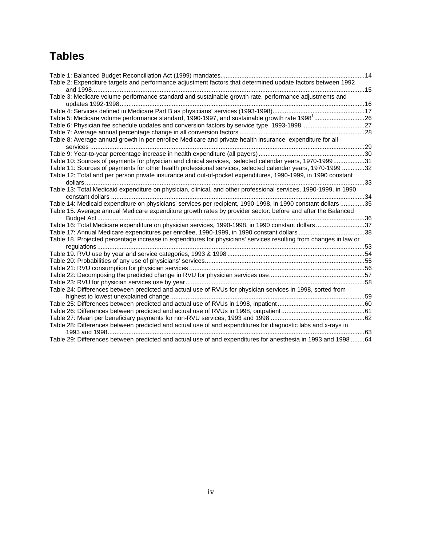## **Tables**

| Table 2: Expenditure targets and performance adjustment factors that determined update factors between 1992       |    |
|-------------------------------------------------------------------------------------------------------------------|----|
|                                                                                                                   |    |
| Table 3: Medicare volume performance standard and sustainable growth rate, performance adjustments and            |    |
|                                                                                                                   |    |
|                                                                                                                   |    |
| Table 5: Medicare volume performance standard, 1990-1997, and sustainable growth rate 1998 <sup>1</sup> 26        |    |
| Table 6: Physician fee schedule updates and conversion factors by service type, 1993-199827                       |    |
|                                                                                                                   |    |
| Table 8: Average annual growth in per enrollee Medicare and private health insurance expenditure for all          |    |
|                                                                                                                   |    |
|                                                                                                                   |    |
| Table 10: Sources of payments for physician and clinical services, selected calendar years, 1970-199931           |    |
| Table 11: Sources of payments for other health professional services, selected calendar years, 1970-1999 32       |    |
| Table 12: Total and per person private insurance and out-of-pocket expenditures, 1990-1999, in 1990 constant      |    |
|                                                                                                                   | 33 |
| Table 13: Total Medicaid expenditure on physician, clinical, and other professional services, 1990-1999, in 1990  |    |
|                                                                                                                   |    |
| Table 14: Medicaid expenditure on physicians' services per recipient, 1990-1998, in 1990 constant dollars 35      |    |
| Table 15. Average annual Medicare expenditure growth rates by provider sector: before and after the Balanced      |    |
|                                                                                                                   |    |
| Table 16: Total Medicare expenditure on physician services, 1990-1998, in 1990 constant dollars 37                |    |
| Table 17: Annual Medicare expenditures per enrollee, 1990-1999, in 1990 constant dollars 38                       |    |
| Table 18. Projected percentage increase in expenditures for physicians' services resulting from changes in law or |    |
|                                                                                                                   |    |
|                                                                                                                   |    |
|                                                                                                                   |    |
|                                                                                                                   |    |
|                                                                                                                   |    |
|                                                                                                                   |    |
| Table 24: Differences between predicted and actual use of RVUs for physician services in 1998, sorted from        |    |
|                                                                                                                   |    |
|                                                                                                                   |    |
|                                                                                                                   |    |
|                                                                                                                   |    |
| Table 28: Differences between predicted and actual use of and expenditures for diagnostic labs and x-rays in      |    |
|                                                                                                                   |    |
| Table 29: Differences between predicted and actual use of and expenditures for anesthesia in 1993 and 1998 64     |    |
|                                                                                                                   |    |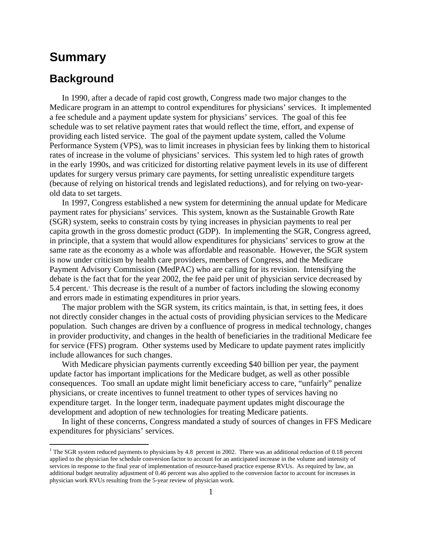### <span id="page-4-0"></span>**Summary**

### **Background**

 $\overline{a}$ 

In 1990, after a decade of rapid cost growth, Congress made two major changes to the Medicare program in an attempt to control expenditures for physicians' services. It implemented a fee schedule and a payment update system for physicians' services. The goal of this fee schedule was to set relative payment rates that would reflect the time, effort, and expense of providing each listed service. The goal of the payment update system, called the Volume Performance System (VPS), was to limit increases in physician fees by linking them to historical rates of increase in the volume of physicians' services. This system led to high rates of growth in the early 1990s, and was criticized for distorting relative payment levels in its use of different updates for surgery versus primary care payments, for setting unrealistic expenditure targets (because of relying on historical trends and legislated reductions), and for relying on two-yearold data to set targets.

In 1997, Congress established a new system for determining the annual update for Medicare payment rates for physicians' services. This system, known as the Sustainable Growth Rate (SGR) system, seeks to constrain costs by tying increases in physician payments to real per capita growth in the gross domestic product (GDP). In implementing the SGR, Congress agreed, in principle, that a system that would allow expenditures for physicians' services to grow at the same rate as the economy as a whole was affordable and reasonable. However, the SGR system is now under criticism by health care providers, members of Congress, and the Medicare Payment Advisory Commission (MedPAC) who are calling for its revision. Intensifying the debate is the fact that for the year 2002, the fee paid per unit of physician service decreased by 5.4 percent.<sup>1</sup> This decrease is the result of a number of factors including the slowing economy and errors made in estimating expenditures in prior years.

The major problem with the SGR system, its critics maintain, is that, in setting fees, it does not directly consider changes in the actual costs of providing physician services to the Medicare population. Such changes are driven by a confluence of progress in medical technology, changes in provider productivity, and changes in the health of beneficiaries in the traditional Medicare fee for service (FFS) program. Other systems used by Medicare to update payment rates implicitly include allowances for such changes.

With Medicare physician payments currently exceeding \$40 billion per year, the payment update factor has important implications for the Medicare budget, as well as other possible consequences. Too small an update might limit beneficiary access to care, "unfairly" penalize physicians, or create incentives to funnel treatment to other types of services having no expenditure target. In the longer term, inadequate payment updates might discourage the development and adoption of new technologies for treating Medicare patients.

In light of these concerns, Congress mandated a study of sources of changes in FFS Medicare expenditures for physicians' services.

<span id="page-4-1"></span><sup>&</sup>lt;sup>1</sup> The SGR system reduced payments to physicians by 4.8 percent in 2002. There was an additional reduction of 0.18 percent applied to the physician fee schedule conversion factor to account for an anticipated increase in the volume and intensity of services in response to the final year of implementation of resource-based practice expense RVUs. As required by law, an additional budget neutrality adjustment of 0.46 percent was also applied to the conversion factor to account for increases in physician work RVUs resulting from the 5-year review of physician work.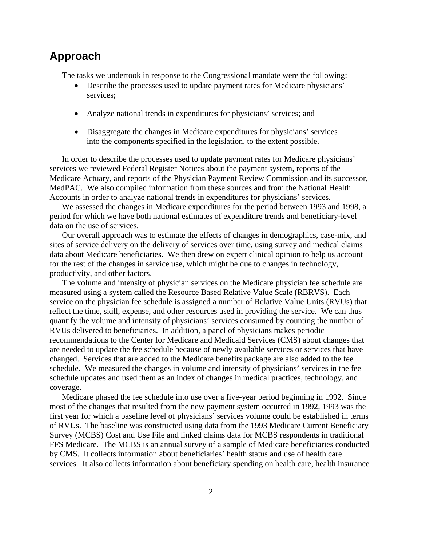### **Approach**

The tasks we undertook in response to the Congressional mandate were the following:

- Describe the processes used to update payment rates for Medicare physicians' services;
- Analyze national trends in expenditures for physicians' services; and
- Disaggregate the changes in Medicare expenditures for physicians' services into the components specified in the legislation, to the extent possible.

In order to describe the processes used to update payment rates for Medicare physicians' services we reviewed Federal Register Notices about the payment system, reports of the Medicare Actuary, and reports of the Physician Payment Review Commission and its successor, MedPAC. We also compiled information from these sources and from the National Health Accounts in order to analyze national trends in expenditures for physicians' services.

We assessed the changes in Medicare expenditures for the period between 1993 and 1998, a period for which we have both national estimates of expenditure trends and beneficiary-level data on the use of services.

Our overall approach was to estimate the effects of changes in demographics, case-mix, and sites of service delivery on the delivery of services over time, using survey and medical claims data about Medicare beneficiaries. We then drew on expert clinical opinion to help us account for the rest of the changes in service use, which might be due to changes in technology, productivity, and other factors.

The volume and intensity of physician services on the Medicare physician fee schedule are measured using a system called the Resource Based Relative Value Scale (RBRVS). Each service on the physician fee schedule is assigned a number of Relative Value Units (RVUs) that reflect the time, skill, expense, and other resources used in providing the service. We can thus quantify the volume and intensity of physicians' services consumed by counting the number of RVUs delivered to beneficiaries. In addition, a panel of physicians makes periodic recommendations to the Center for Medicare and Medicaid Services (CMS) about changes that are needed to update the fee schedule because of newly available services or services that have changed. Services that are added to the Medicare benefits package are also added to the fee schedule. We measured the changes in volume and intensity of physicians' services in the fee schedule updates and used them as an index of changes in medical practices, technology, and coverage.

Medicare phased the fee schedule into use over a five-year period beginning in 1992. Since most of the changes that resulted from the new payment system occurred in 1992, 1993 was the first year for which a baseline level of physicians' services volume could be established in terms of RVUs. The baseline was constructed using data from the 1993 Medicare Current Beneficiary Survey (MCBS) Cost and Use File and linked claims data for MCBS respondents in traditional FFS Medicare. The MCBS is an annual survey of a sample of Medicare beneficiaries conducted by CMS. It collects information about beneficiaries' health status and use of health care services. It also collects information about beneficiary spending on health care, health insurance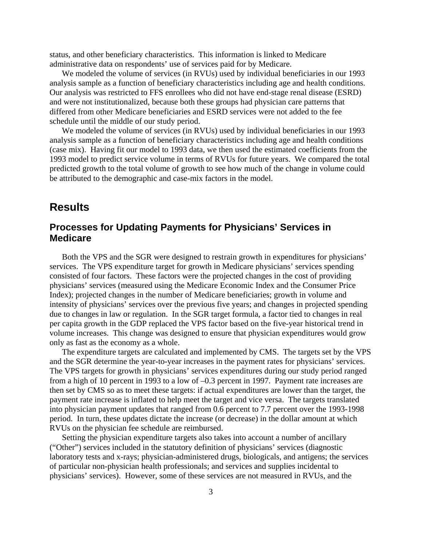status, and other beneficiary characteristics. This information is linked to Medicare administrative data on respondents' use of services paid for by Medicare.

We modeled the volume of services (in RVUs) used by individual beneficiaries in our 1993 analysis sample as a function of beneficiary characteristics including age and health conditions. Our analysis was restricted to FFS enrollees who did not have end-stage renal disease (ESRD) and were not institutionalized, because both these groups had physician care patterns that differed from other Medicare beneficiaries and ESRD services were not added to the fee schedule until the middle of our study period.

We modeled the volume of services (in RVUs) used by individual beneficiaries in our 1993 analysis sample as a function of beneficiary characteristics including age and health conditions (case mix). Having fit our model to 1993 data, we then used the estimated coefficients from the 1993 model to predict service volume in terms of RVUs for future years. We compared the total predicted growth to the total volume of growth to see how much of the change in volume could be attributed to the demographic and case-mix factors in the model.

### **Results**

#### **Processes for Updating Payments for Physicians' Services in Medicare**

Both the VPS and the SGR were designed to restrain growth in expenditures for physicians' services. The VPS expenditure target for growth in Medicare physicians' services spending consisted of four factors. These factors were the projected changes in the cost of providing physicians' services (measured using the Medicare Economic Index and the Consumer Price Index); projected changes in the number of Medicare beneficiaries; growth in volume and intensity of physicians' services over the previous five years; and changes in projected spending due to changes in law or regulation. In the SGR target formula, a factor tied to changes in real per capita growth in the GDP replaced the VPS factor based on the five-year historical trend in volume increases. This change was designed to ensure that physician expenditures would grow only as fast as the economy as a whole.

The expenditure targets are calculated and implemented by CMS. The targets set by the VPS and the SGR determine the year-to-year increases in the payment rates for physicians' services. The VPS targets for growth in physicians' services expenditures during our study period ranged from a high of 10 percent in 1993 to a low of –0.3 percent in 1997. Payment rate increases are then set by CMS so as to meet these targets: if actual expenditures are lower than the target, the payment rate increase is inflated to help meet the target and vice versa. The targets translated into physician payment updates that ranged from 0.6 percent to 7.7 percent over the 1993-1998 period. In turn, these updates dictate the increase (or decrease) in the dollar amount at which RVUs on the physician fee schedule are reimbursed.

Setting the physician expenditure targets also takes into account a number of ancillary ("Other") services included in the statutory definition of physicians' services (diagnostic laboratory tests and x-rays; physician-administered drugs, biologicals, and antigens; the services of particular non-physician health professionals; and services and supplies incidental to physicians' services). However, some of these services are not measured in RVUs, and the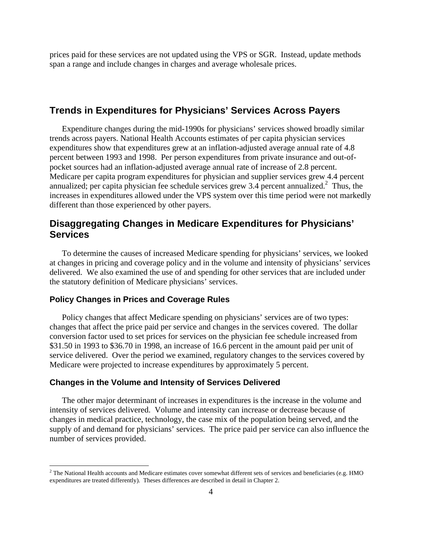prices paid for these services are not updated using the VPS or SGR. Instead, update methods span a range and include changes in charges and average wholesale prices.

### **Trends in Expenditures for Physicians' Services Across Payers**

Expenditure changes during the mid-1990s for physicians' services showed broadly similar trends across payers. National Health Accounts estimates of per capita physician services expenditures show that expenditures grew at an inflation-adjusted average annual rate of 4.8 percent between 1993 and 1998. Per person expenditures from private insurance and out-ofpocket sources had an inflation-adjusted average annual rate of increase of 2.8 percent. Medicare per capita program expenditures for physician and supplier services grew 4.4 percent annualized; per capita physician fee schedule services grew  $3.4$  percent annualized.<sup>[2](#page-7-0)</sup> Thus, the increases in expenditures allowed under the VPS system over this time period were not markedly different than those experienced by other payers.

#### **Disaggregating Changes in Medicare Expenditures for Physicians' Services**

To determine the causes of increased Medicare spending for physicians' services, we looked at changes in pricing and coverage policy and in the volume and intensity of physicians' services delivered. We also examined the use of and spending for other services that are included under the statutory definition of Medicare physicians' services.

#### **Policy Changes in Prices and Coverage Rules**

1

Policy changes that affect Medicare spending on physicians' services are of two types: changes that affect the price paid per service and changes in the services covered. The dollar conversion factor used to set prices for services on the physician fee schedule increased from \$31.50 in 1993 to \$36.70 in 1998, an increase of 16.6 percent in the amount paid per unit of service delivered. Over the period we examined, regulatory changes to the services covered by Medicare were projected to increase expenditures by approximately 5 percent.

#### **Changes in the Volume and Intensity of Services Delivered**

The other major determinant of increases in expenditures is the increase in the volume and intensity of services delivered. Volume and intensity can increase or decrease because of changes in medical practice, technology, the case mix of the population being served, and the supply of and demand for physicians' services. The price paid per service can also influence the number of services provided.

<span id="page-7-0"></span> $2^2$  The National Health accounts and Medicare estimates cover somewhat different sets of services and beneficiaries (e.g. HMO expenditures are treated differently). Theses differences are described in detail in Chapter 2.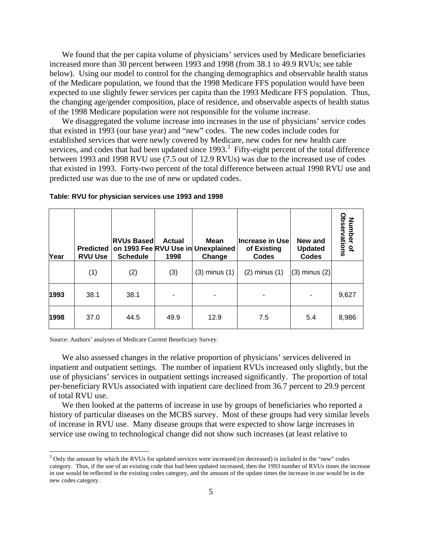We found that the per capita volume of physicians' services used by Medicare beneficiaries increased more than 30 percent between 1993 and 1998 (from 38.1 to 49.9 RVUs; see table below). Using our model to control for the changing demographics and observable health status of the Medicare population, we found that the 1998 Medicare FFS population would have been expected to use slightly fewer services per capita than the 1993 Medicare FFS population. Thus, the changing age/gender composition, place of residence, and observable aspects of health status of the 1998 Medicare population were not responsible for the volume increase.

We disaggregated the volume increase into increases in the use of physicians' service codes that existed in 1993 (our base year) and "new" codes. The new codes include codes for established services that were newly covered by Medicare, new codes for new health care services, and codes that had been updated since  $1993$  $1993$ <sup>3</sup>. Fifty-eight percent of the total difference between 1993 and 1998 RVU use (7.5 out of 12.9 RVUs) was due to the increased use of codes that existed in 1993. Forty-two percent of the total difference between actual 1998 RVU use and predicted use was due to the use of new or updated codes.

| Year | <b>Predicted</b><br><b>RVU Use</b> | <b>RVUs Based</b><br><b>Schedule</b> | <b>Actual</b><br>1998 | Mean<br>on 1993 Fee RVU Use in Unexplained<br>Change | Increase in Use<br>of Existing<br><b>Codes</b> | New and<br><b>Updated</b><br><b>Codes</b> | Number of<br>Observations |
|------|------------------------------------|--------------------------------------|-----------------------|------------------------------------------------------|------------------------------------------------|-------------------------------------------|---------------------------|
|      | (1)                                | (2)                                  | (3)                   | $(3)$ minus $(1)$                                    | $(2)$ minus $(1)$                              | $(3)$ minus $(2)$                         |                           |
| 1993 | 38.1                               | 38.1                                 |                       |                                                      |                                                |                                           | 9,627                     |
| 1998 | 37.0                               | 44.5                                 | 49.9                  | 12.9                                                 | 7.5                                            | 5.4                                       | 8,986                     |

#### **Table: RVU for physician services use 1993 and 1998**

Source: Authors' analyses of Medicare Current Beneficiary Survey.

 $\overline{a}$ 

We also assessed changes in the relative proportion of physicians' services delivered in inpatient and outpatient settings. The number of inpatient RVUs increased only slightly, but the use of physicians' services in outpatient settings increased significantly. The proportion of total per-beneficiary RVUs associated with inpatient care declined from 36.7 percent to 29.9 percent of total RVU use.

We then looked at the patterns of increase in use by groups of beneficiaries who reported a history of particular diseases on the MCBS survey. Most of these groups had very similar levels of increase in RVU use. Many disease groups that were expected to show large increases in service use owing to technological change did not show such increases (at least relative to

<span id="page-8-0"></span><sup>&</sup>lt;sup>3</sup> Only the amount by which the RVUs for updated services were increased (or decreased) is included in the "new" codes category. Thus, if the use of an existing code that had been updated increased, then the 1993 number of RVUs times the increase in use would be reflected in the existing codes category, and the amount of the update times the increase in use would be in the new codes category.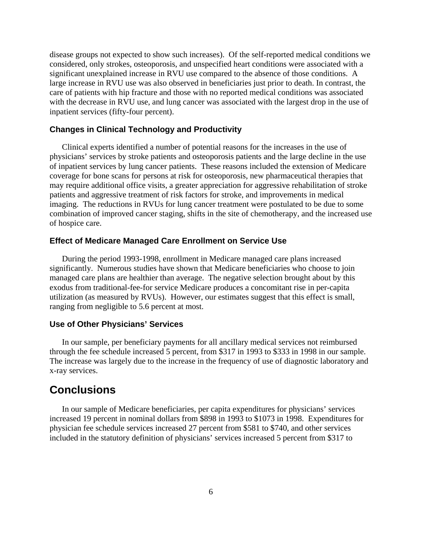disease groups not expected to show such increases). Of the self-reported medical conditions we considered, only strokes, osteoporosis, and unspecified heart conditions were associated with a significant unexplained increase in RVU use compared to the absence of those conditions. A large increase in RVU use was also observed in beneficiaries just prior to death. In contrast, the care of patients with hip fracture and those with no reported medical conditions was associated with the decrease in RVU use, and lung cancer was associated with the largest drop in the use of inpatient services (fifty-four percent).

#### **Changes in Clinical Technology and Productivity**

Clinical experts identified a number of potential reasons for the increases in the use of physicians' services by stroke patients and osteoporosis patients and the large decline in the use of inpatient services by lung cancer patients. These reasons included the extension of Medicare coverage for bone scans for persons at risk for osteoporosis, new pharmaceutical therapies that may require additional office visits, a greater appreciation for aggressive rehabilitation of stroke patients and aggressive treatment of risk factors for stroke, and improvements in medical imaging. The reductions in RVUs for lung cancer treatment were postulated to be due to some combination of improved cancer staging, shifts in the site of chemotherapy, and the increased use of hospice care.

#### **Effect of Medicare Managed Care Enrollment on Service Use**

During the period 1993-1998, enrollment in Medicare managed care plans increased significantly. Numerous studies have shown that Medicare beneficiaries who choose to join managed care plans are healthier than average. The negative selection brought about by this exodus from traditional-fee-for service Medicare produces a concomitant rise in per-capita utilization (as measured by RVUs). However, our estimates suggest that this effect is small, ranging from negligible to 5.6 percent at most.

#### **Use of Other Physicians' Services**

In our sample, per beneficiary payments for all ancillary medical services not reimbursed through the fee schedule increased 5 percent, from \$317 in 1993 to \$333 in 1998 in our sample. The increase was largely due to the increase in the frequency of use of diagnostic laboratory and x-ray services.

### **Conclusions**

In our sample of Medicare beneficiaries, per capita expenditures for physicians' services increased 19 percent in nominal dollars from \$898 in 1993 to \$1073 in 1998. Expenditures for physician fee schedule services increased 27 percent from \$581 to \$740, and other services included in the statutory definition of physicians' services increased 5 percent from \$317 to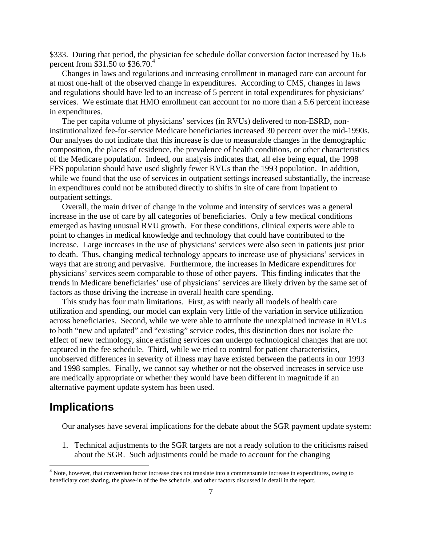\$333. During that period, the physician fee schedule dollar conversion factor increased by 16.6 percent from \$31.50 to \$36.70.<sup>4</sup>

Changes in laws and regulations and increasing enrollment in managed care can account for at most one-half of the observed change in expenditures. According to CMS, changes in laws and regulations should have led to an increase of 5 percent in total expenditures for physicians' services. We estimate that HMO enrollment can account for no more than a 5.6 percent increase in expenditures.

The per capita volume of physicians' services (in RVUs) delivered to non-ESRD, noninstitutionalized fee-for-service Medicare beneficiaries increased 30 percent over the mid-1990s. Our analyses do not indicate that this increase is due to measurable changes in the demographic composition, the places of residence, the prevalence of health conditions, or other characteristics of the Medicare population. Indeed, our analysis indicates that, all else being equal, the 1998 FFS population should have used slightly fewer RVUs than the 1993 population. In addition, while we found that the use of services in outpatient settings increased substantially, the increase in expenditures could not be attributed directly to shifts in site of care from inpatient to outpatient settings.

Overall, the main driver of change in the volume and intensity of services was a general increase in the use of care by all categories of beneficiaries. Only a few medical conditions emerged as having unusual RVU growth. For these conditions, clinical experts were able to point to changes in medical knowledge and technology that could have contributed to the increase. Large increases in the use of physicians' services were also seen in patients just prior to death. Thus, changing medical technology appears to increase use of physicians' services in ways that are strong and pervasive. Furthermore, the increases in Medicare expenditures for physicians' services seem comparable to those of other payers. This finding indicates that the trends in Medicare beneficiaries' use of physicians' services are likely driven by the same set of factors as those driving the increase in overall health care spending.

This study has four main limitations. First, as with nearly all models of health care utilization and spending, our model can explain very little of the variation in service utilization across beneficiaries. Second, while we were able to attribute the unexplained increase in RVUs to both "new and updated" and "existing" service codes, this distinction does not isolate the effect of new technology, since existing services can undergo technological changes that are not captured in the fee schedule. Third, while we tried to control for patient characteristics, unobserved differences in severity of illness may have existed between the patients in our 1993 and 1998 samples. Finally, we cannot say whether or not the observed increases in service use are medically appropriate or whether they would have been different in magnitude if an alternative payment update system has been used.

### **Implications**

Our analyses have several implications for the debate about the SGR payment update system:

1. Technical adjustments to the SGR targets are not a ready solution to the criticisms raised about the SGR. Such adjustments could be made to account for the changing

<span id="page-10-0"></span><sup>&</sup>lt;sup>4</sup> Note, however, that conversion factor increase does not translate into a commensurate increase in expenditures, owing to beneficiary cost sharing, the phase-in of the fee schedule, and other factors discussed in detail in the report.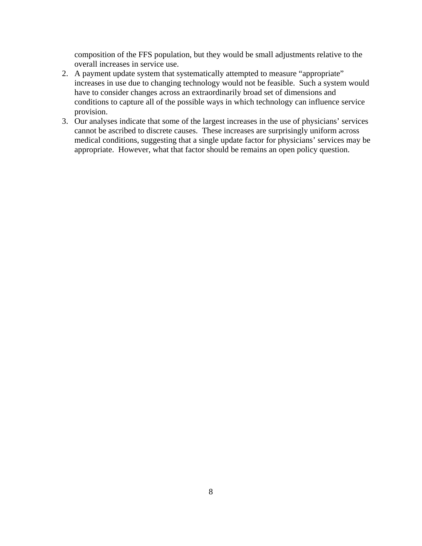composition of the FFS population, but they would be small adjustments relative to the overall increases in service use.

- 2. A payment update system that systematically attempted to measure "appropriate" increases in use due to changing technology would not be feasible. Such a system would have to consider changes across an extraordinarily broad set of dimensions and conditions to capture all of the possible ways in which technology can influence service provision.
- 3. Our analyses indicate that some of the largest increases in the use of physicians' services cannot be ascribed to discrete causes. These increases are surprisingly uniform across medical conditions, suggesting that a single update factor for physicians' services may be appropriate. However, what that factor should be remains an open policy question.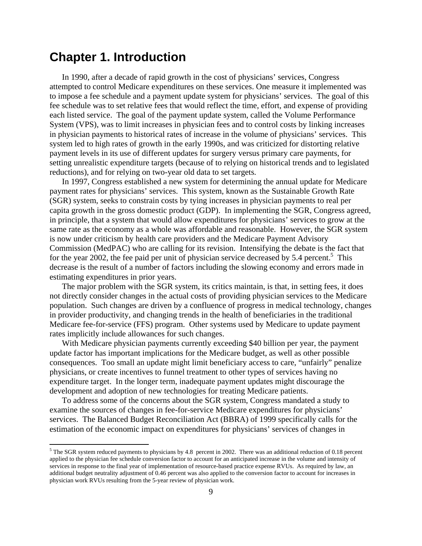### <span id="page-12-0"></span>**Chapter 1. Introduction**

1

In 1990, after a decade of rapid growth in the cost of physicians' services, Congress attempted to control Medicare expenditures on these services. One measure it implemented was to impose a fee schedule and a payment update system for physicians' services. The goal of this fee schedule was to set relative fees that would reflect the time, effort, and expense of providing each listed service. The goal of the payment update system, called the Volume Performance System (VPS), was to limit increases in physician fees and to control costs by linking increases in physician payments to historical rates of increase in the volume of physicians' services. This system led to high rates of growth in the early 1990s, and was criticized for distorting relative payment levels in its use of different updates for surgery versus primary care payments, for setting unrealistic expenditure targets (because of to relying on historical trends and to legislated reductions), and for relying on two-year old data to set targets.

In 1997, Congress established a new system for determining the annual update for Medicare payment rates for physicians' services. This system, known as the Sustainable Growth Rate (SGR) system, seeks to constrain costs by tying increases in physician payments to real per capita growth in the gross domestic product (GDP). In implementing the SGR, Congress agreed, in principle, that a system that would allow expenditures for physicians' services to grow at the same rate as the economy as a whole was affordable and reasonable. However, the SGR system is now under criticism by health care providers and the Medicare Payment Advisory Commission (MedPAC) who are calling for its revision. Intensifying the debate is the fact that for the year 2002, the fee paid per unit of physician service decreased by [5](#page-12-1).4 percent.<sup>5</sup> This decrease is the result of a number of factors including the slowing economy and errors made in estimating expenditures in prior years.

The major problem with the SGR system, its critics maintain, is that, in setting fees, it does not directly consider changes in the actual costs of providing physician services to the Medicare population. Such changes are driven by a confluence of progress in medical technology, changes in provider productivity, and changing trends in the health of beneficiaries in the traditional Medicare fee-for-service (FFS) program. Other systems used by Medicare to update payment rates implicitly include allowances for such changes.

With Medicare physician payments currently exceeding \$40 billion per year, the payment update factor has important implications for the Medicare budget, as well as other possible consequences. Too small an update might limit beneficiary access to care, "unfairly" penalize physicians, or create incentives to funnel treatment to other types of services having no expenditure target. In the longer term, inadequate payment updates might discourage the development and adoption of new technologies for treating Medicare patients.

To address some of the concerns about the SGR system, Congress mandated a study to examine the sources of changes in fee-for-service Medicare expenditures for physicians' services. The Balanced Budget Reconciliation Act (BBRA) of 1999 specifically calls for the estimation of the economic impact on expenditures for physicians' services of changes in

<span id="page-12-1"></span><sup>&</sup>lt;sup>5</sup> The SGR system reduced payments to physicians by 4.8 percent in 2002. There was an additional reduction of 0.18 percent applied to the physician fee schedule conversion factor to account for an anticipated increase in the volume and intensity of services in response to the final year of implementation of resource-based practice expense RVUs. As required by law, an additional budget neutrality adjustment of 0.46 percent was also applied to the conversion factor to account for increases in physician work RVUs resulting from the 5-year review of physician work.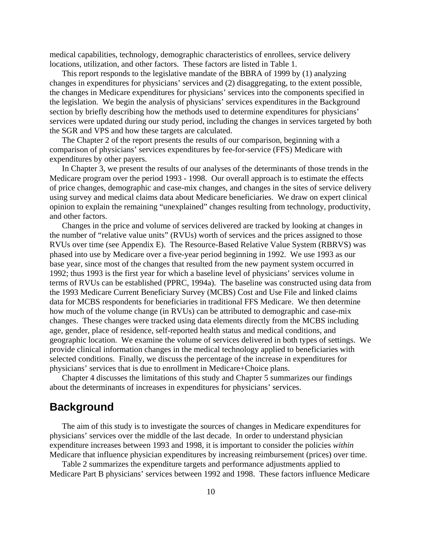<span id="page-13-0"></span>medical capabilities, technology, demographic characteristics of enrollees, service delivery locations, utilization, and other factors. These factors are listed in Table 1.

This report responds to the legislative mandate of the BBRA of 1999 by (1) analyzing changes in expenditures for physicians' services and (2) disaggregating, to the extent possible, the changes in Medicare expenditures for physicians' services into the components specified in the legislation. We begin the analysis of physicians' services expenditures in the Background section by briefly describing how the methods used to determine expenditures for physicians' services were updated during our study period, including the changes in services targeted by both the SGR and VPS and how these targets are calculated.

The Chapter 2 of the report presents the results of our comparison, beginning with a comparison of physicians' services expenditures by fee-for-service (FFS) Medicare with expenditures by other payers.

In Chapter 3, we present the results of our analyses of the determinants of those trends in the Medicare program over the period 1993 - 1998. Our overall approach is to estimate the effects of price changes, demographic and case-mix changes, and changes in the sites of service delivery using survey and medical claims data about Medicare beneficiaries. We draw on expert clinical opinion to explain the remaining "unexplained" changes resulting from technology, productivity, and other factors.

Changes in the price and volume of services delivered are tracked by looking at changes in the number of "relative value units" (RVUs) worth of services and the prices assigned to those RVUs over time (see Appendix E). The Resource-Based Relative Value System (RBRVS) was phased into use by Medicare over a five-year period beginning in 1992. We use 1993 as our base year, since most of the changes that resulted from the new payment system occurred in 1992; thus 1993 is the first year for which a baseline level of physicians' services volume in terms of RVUs can be established (PPRC, 1994a). The baseline was constructed using data from the 1993 Medicare Current Beneficiary Survey (MCBS) Cost and Use File and linked claims data for MCBS respondents for beneficiaries in traditional FFS Medicare. We then determine how much of the volume change (in RVUs) can be attributed to demographic and case-mix changes. These changes were tracked using data elements directly from the MCBS including age, gender, place of residence, self-reported health status and medical conditions, and geographic location. We examine the volume of services delivered in both types of settings. We provide clinical information changes in the medical technology applied to beneficiaries with selected conditions. Finally, we discuss the percentage of the increase in expenditures for physicians' services that is due to enrollment in Medicare+Choice plans.

Chapter 4 discusses the limitations of this study and Chapter 5 summarizes our findings about the determinants of increases in expenditures for physicians' services.

### **Background**

The aim of this study is to investigate the sources of changes in Medicare expenditures for physicians' services over the middle of the last decade. In order to understand physician expenditure increases between 1993 and 1998, it is important to consider the policies *within* Medicare that influence physician expenditures by increasing reimbursement (prices) over time.

Table 2 summarizes the expenditure targets and performance adjustments applied to Medicare Part B physicians' services between 1992 and 1998. These factors influence Medicare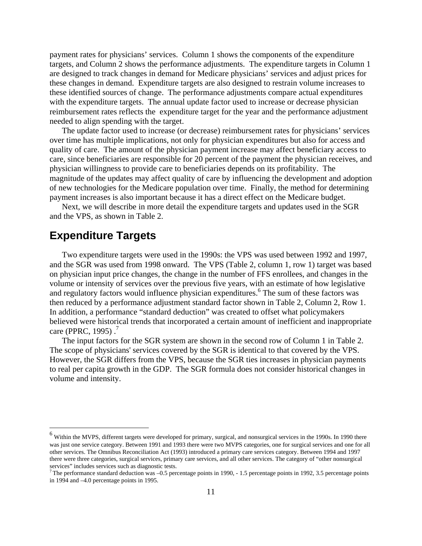<span id="page-14-0"></span>payment rates for physicians' services. Column 1 shows the components of the expenditure targets, and Column 2 shows the performance adjustments. The expenditure targets in Column 1 are designed to track changes in demand for Medicare physicians' services and adjust prices for these changes in demand. Expenditure targets are also designed to restrain volume increases to these identified sources of change. The performance adjustments compare actual expenditures with the expenditure targets. The annual update factor used to increase or decrease physician reimbursement rates reflects the expenditure target for the year and the performance adjustment needed to align spending with the target.

The update factor used to increase (or decrease) reimbursement rates for physicians' services over time has multiple implications, not only for physician expenditures but also for access and quality of care. The amount of the physician payment increase may affect beneficiary access to care, since beneficiaries are responsible for 20 percent of the payment the physician receives, and physician willingness to provide care to beneficiaries depends on its profitability. The magnitude of the updates may affect quality of care by influencing the development and adoption of new technologies for the Medicare population over time. Finally, the method for determining payment increases is also important because it has a direct effect on the Medicare budget.

Next, we will describe in more detail the expenditure targets and updates used in the SGR and the VPS, as shown in Table 2.

### **Expenditure Targets**

 $\overline{a}$ 

Two expenditure targets were used in the 1990s: the VPS was used between 1992 and 1997, and the SGR was used from 1998 onward. The VPS (Table 2, column 1, row 1) target was based on physician input price changes, the change in the number of FFS enrollees, and changes in the volume or intensity of services over the previous five years, with an estimate of how legislative and regulatory factors would influence physician expenditures.<sup>6</sup> The sum of these factors was then reduced by a performance adjustment standard factor shown in Table 2, Column 2, Row 1. In addition, a performance "standard deduction" was created to offset what policymakers believed were historical trends that incorporated a certain amount of inefficient and inappropriate care (PPRC, 1995). $<sup>7</sup>$  $<sup>7</sup>$  $<sup>7</sup>$ </sup>

The input factors for the SGR system are shown in the second row of Column 1 in Table 2. The scope of physicians' services covered by the SGR is identical to that covered by the VPS. However, the SGR differs from the VPS, because the SGR ties increases in physician payments to real per capita growth in the GDP. The SGR formula does not consider historical changes in volume and intensity.

<span id="page-14-1"></span><sup>&</sup>lt;sup>6</sup> Within the MVPS, different targets were developed for primary, surgical, and nonsurgical services in the 1990s. In 1990 there was just one service category. Between 1991 and 1993 there were two MVPS categories, one for surgical services and one for all other services. The Omnibus Reconciliation Act (1993) introduced a primary care services category. Between 1994 and 1997 there were three categories, surgical services, primary care services, and all other services. The category of "other nonsurgical services" includes services such as diagnostic tests.<br><sup>7</sup>The performance standard deduction was –0.5 percentage points in 1990, - 1.5 percentage points in 1992, 3.5 percentage points

<span id="page-14-2"></span>in 1994 and –4.0 percentage points in 1995.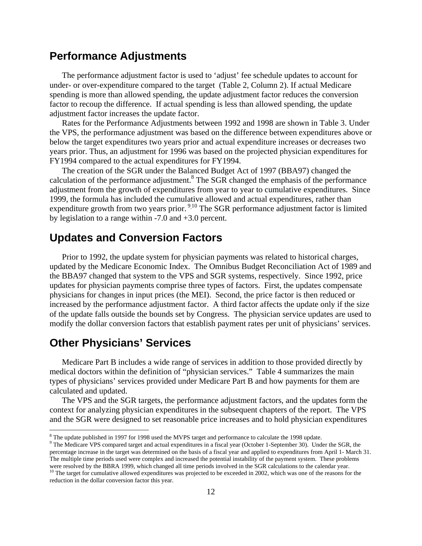### <span id="page-15-0"></span>**Performance Adjustments**

The performance adjustment factor is used to 'adjust' fee schedule updates to account for under- or over-expenditure compared to the target (Table 2, Column 2). If actual Medicare spending is more than allowed spending, the update adjustment factor reduces the conversion factor to recoup the difference. If actual spending is less than allowed spending, the update adjustment factor increases the update factor.

Rates for the Performance Adjustments between 1992 and 1998 are shown in Table 3. Under the VPS, the performance adjustment was based on the difference between expenditures above or below the target expenditures two years prior and actual expenditure increases or decreases two years prior. Thus, an adjustment for 1996 was based on the projected physician expenditures for FY1994 compared to the actual expenditures for FY1994.

The creation of the SGR under the Balanced Budget Act of 1997 (BBA97) changed the calculation of the performance adjustment. $8$  The SGR changed the emphasis of the performance adjustment from the growth of expenditures from year to year to cumulative expenditures. Since 1999, the formula has included the cumulative allowed and actual expenditures, rather than expenditure growth from two years prior.  $9^{10}$  The SGR performance adjustment factor is limited by legislation to a range within -7.0 and +3.0 percent.

### **Updates and Conversion Factors**

Prior to 1992, the update system for physician payments was related to historical charges, updated by the Medicare Economic Index. The Omnibus Budget Reconciliation Act of 1989 and the BBA97 changed that system to the VPS and SGR systems, respectively. Since 1992, price updates for physician payments comprise three types of factors. First, the updates compensate physicians for changes in input prices (the MEI). Second, the price factor is then reduced or increased by the performance adjustment factor. A third factor affects the update only if the size of the update falls outside the bounds set by Congress. The physician service updates are used to modify the dollar conversion factors that establish payment rates per unit of physicians' services.

### **Other Physicians' Services**

 $\overline{a}$ 

Medicare Part B includes a wide range of services in addition to those provided directly by medical doctors within the definition of "physician services." Table 4 summarizes the main types of physicians' services provided under Medicare Part B and how payments for them are calculated and updated.

The VPS and the SGR targets, the performance adjustment factors, and the updates form the context for analyzing physician expenditures in the subsequent chapters of the report. The VPS and the SGR were designed to set reasonable price increases and to hold physician expenditures

<span id="page-15-1"></span><sup>&</sup>lt;sup>8</sup> The update published in 1997 for 1998 used the MVPS target and performance to calculate the 1998 update.

<span id="page-15-2"></span><sup>&</sup>lt;sup>9</sup> The Medicare VPS compared target and actual expenditures in a fiscal year (October 1-September 30). Under the SGR, the percentage increase in the target was determined on the basis of a fiscal year and applied to expenditures from April 1- March 31. The multiple time periods used were complex and increased the potential instability of the payment system. These problems

<span id="page-15-3"></span>were resolved by the BBRA 1999, which changed all time periods involved in the SGR calculations to the calendar year.<br><sup>10</sup> The target for cumulative allowed expenditures was projected to be exceeded in 2002, which was one reduction in the dollar conversion factor this year.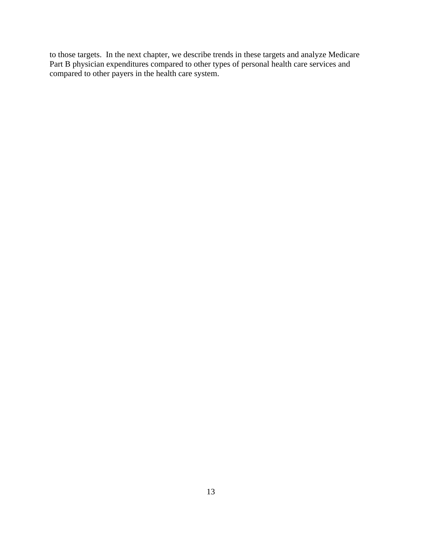to those targets. In the next chapter, we describe trends in these targets and analyze Medicare Part B physician expenditures compared to other types of personal health care services and compared to other payers in the health care system.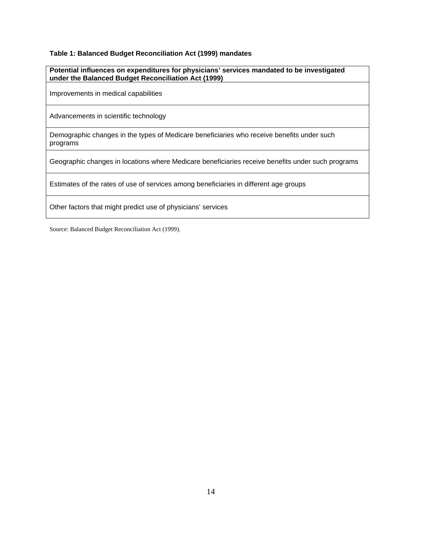#### <span id="page-17-0"></span>**Table 1: Balanced Budget Reconciliation Act (1999) mandates**

| Potential influences on expenditures for physicians' services mandated to be investigated<br>under the Balanced Budget Reconciliation Act (1999) |
|--------------------------------------------------------------------------------------------------------------------------------------------------|
| Improvements in medical capabilities                                                                                                             |
| Advancements in scientific technology                                                                                                            |
| Demographic changes in the types of Medicare beneficiaries who receive benefits under such<br>programs                                           |
| Geographic changes in locations where Medicare beneficiaries receive benefits under such programs                                                |
| Estimates of the rates of use of services among beneficiaries in different age groups                                                            |
| Other factors that might predict use of physicians' services                                                                                     |

Source: Balanced Budget Reconciliation Act (1999).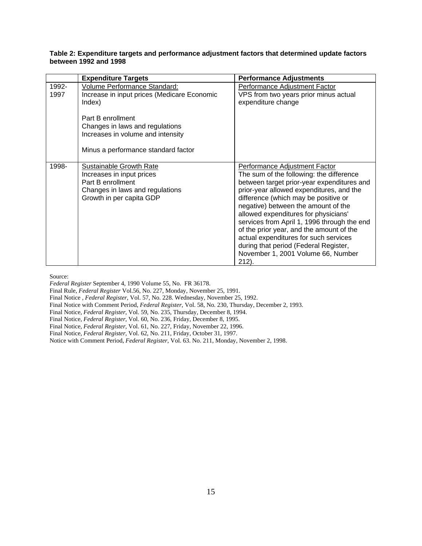#### <span id="page-18-0"></span>**Table 2: Expenditure targets and performance adjustment factors that determined update factors between 1992 and 1998**

|               | <b>Expenditure Targets</b>                                                                                                                                                         | <b>Performance Adjustments</b>                                                                                                                                                                                                                                                                                                                                                                                                                                                                                            |
|---------------|------------------------------------------------------------------------------------------------------------------------------------------------------------------------------------|---------------------------------------------------------------------------------------------------------------------------------------------------------------------------------------------------------------------------------------------------------------------------------------------------------------------------------------------------------------------------------------------------------------------------------------------------------------------------------------------------------------------------|
| 1992-<br>1997 | Volume Performance Standard:<br>Increase in input prices (Medicare Economic<br>Index)<br>Part B enrollment<br>Changes in laws and regulations<br>Increases in volume and intensity | Performance Adjustment Factor<br>VPS from two years prior minus actual<br>expenditure change                                                                                                                                                                                                                                                                                                                                                                                                                              |
|               | Minus a performance standard factor                                                                                                                                                |                                                                                                                                                                                                                                                                                                                                                                                                                                                                                                                           |
| 1998-         | Sustainable Growth Rate<br>Increases in input prices<br>Part B enrollment<br>Changes in laws and regulations<br>Growth in per capita GDP                                           | Performance Adjustment Factor<br>The sum of the following: the difference<br>between target prior-year expenditures and<br>prior-year allowed expenditures, and the<br>difference (which may be positive or<br>negative) between the amount of the<br>allowed expenditures for physicians'<br>services from April 1, 1996 through the end<br>of the prior year, and the amount of the<br>actual expenditures for such services<br>during that period (Federal Register,<br>November 1, 2001 Volume 66, Number<br>$212$ ). |

Source:

*Federal Register* September 4, 1990 Volume 55, No. FR 36178.

Final Rule, *Federal Register* Vol.56, No. 227, Monday, November 25, 1991.

Final Notice , *Federal Register*, Vol. 57, No. 228. Wednesday, November 25, 1992.

Final Notice with Comment Period, *Federal Register*, Vol. 58, No. 230, Thursday, December 2, 1993.

Final Notice, *Federal Register*, Vol. 59, No. 235, Thursday, December 8, 1994.

Final Notice, *Federal Register*, Vol. 60, No. 236, Friday, December 8, 1995.

Final Notice, *Federal Register*, Vol. 61, No. 227, Friday, November 22, 1996.

Final Notice, *Federal Register*, Vol. 62, No. 211, Friday, October 31, 1997.

Notice with Comment Period, *Federal Register*, Vol. 63. No. 211, Monday, November 2, 1998.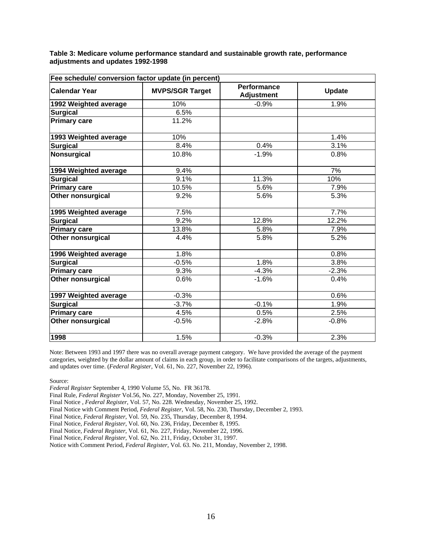<span id="page-19-0"></span>**Table 3: Medicare volume performance standard and sustainable growth rate, performance adjustments and updates 1992-1998**

| Fee schedule/ conversion factor update (in percent) |                        |                                         |               |  |  |  |  |  |
|-----------------------------------------------------|------------------------|-----------------------------------------|---------------|--|--|--|--|--|
| <b>Calendar Year</b>                                | <b>MVPS/SGR Target</b> | <b>Performance</b><br><b>Adjustment</b> | <b>Update</b> |  |  |  |  |  |
| 1992 Weighted average                               | 10%                    | $-0.9%$                                 | 1.9%          |  |  |  |  |  |
| <b>Surgical</b>                                     | 6.5%                   |                                         |               |  |  |  |  |  |
| <b>Primary care</b>                                 | 11.2%                  |                                         |               |  |  |  |  |  |
| 1993 Weighted average                               | 10%                    |                                         | 1.4%          |  |  |  |  |  |
| <b>Surgical</b>                                     | 8.4%                   | 0.4%                                    | 3.1%          |  |  |  |  |  |
| Nonsurgical                                         | 10.8%                  | $-1.9%$                                 | 0.8%          |  |  |  |  |  |
| 1994 Weighted average                               | 9.4%                   |                                         | 7%            |  |  |  |  |  |
| <b>Surgical</b>                                     | 9.1%                   | 11.3%                                   | 10%           |  |  |  |  |  |
| <b>Primary care</b>                                 | 10.5%                  | 5.6%                                    | 7.9%          |  |  |  |  |  |
| <b>Other nonsurgical</b>                            | 9.2%                   | 5.6%                                    | 5.3%          |  |  |  |  |  |
| 1995 Weighted average                               | 7.5%                   |                                         | 7.7%          |  |  |  |  |  |
| <b>Surgical</b>                                     | 9.2%                   | 12.8%                                   | 12.2%         |  |  |  |  |  |
| <b>Primary care</b>                                 | 13.8%                  | 5.8%                                    | 7.9%          |  |  |  |  |  |
| Other nonsurgical                                   | 4.4%                   | 5.8%                                    | 5.2%          |  |  |  |  |  |
| 1996 Weighted average                               | 1.8%                   |                                         | 0.8%          |  |  |  |  |  |
| <b>Surgical</b>                                     | $-0.5%$                | 1.8%                                    | 3.8%          |  |  |  |  |  |
| <b>Primary care</b>                                 | 9.3%                   | $-4.3%$                                 | $-2.3%$       |  |  |  |  |  |
| <b>Other nonsurgical</b>                            | 0.6%                   | $-1.6%$                                 | 0.4%          |  |  |  |  |  |
| 1997 Weighted average                               | $-0.3%$                |                                         | 0.6%          |  |  |  |  |  |
| <b>Surgical</b>                                     | $-3.7%$                | $-0.1%$                                 | 1.9%          |  |  |  |  |  |
| <b>Primary care</b>                                 | 4.5%                   | 0.5%                                    | 2.5%          |  |  |  |  |  |
| <b>Other nonsurgical</b>                            | $-0.5%$                | $-2.8%$                                 | $-0.8%$       |  |  |  |  |  |
| 1998                                                | 1.5%                   | $-0.3%$                                 | 2.3%          |  |  |  |  |  |

Note: Between 1993 and 1997 there was no overall average payment category. We have provided the average of the payment categories, weighted by the dollar amount of claims in each group, in order to facilitate comparisons of the targets, adjustments, and updates over time. (*Federal Register*, Vol. 61, No. 227, November 22, 1996).

Source:

*Federal Register* September 4, 1990 Volume 55, No. FR 36178.

Final Rule, *Federal Register* Vol.56, No. 227, Monday, November 25, 1991.

Final Notice , *Federal Register*, Vol. 57, No. 228. Wednesday, November 25, 1992.

Final Notice with Comment Period, *Federal Register*, Vol. 58, No. 230, Thursday, December 2, 1993.

Final Notice, *Federal Register*, Vol. 59, No. 235, Thursday, December 8, 1994.

Final Notice, *Federal Register*, Vol. 60, No. 236, Friday, December 8, 1995.

Final Notice, *Federal Register*, Vol. 61, No. 227, Friday, November 22, 1996.

Final Notice, *Federal Register*, Vol. 62, No. 211, Friday, October 31, 1997.

Notice with Comment Period, *Federal Register*, Vol. 63. No. 211, Monday, November 2, 1998.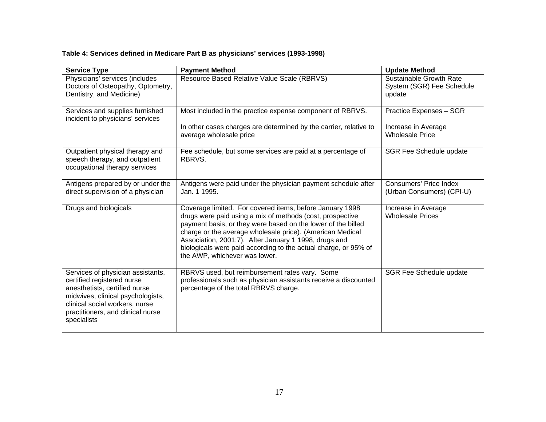#### **Table 4: Services defined in Medicare Part B as physicians' services (1993-1998)**

<span id="page-20-0"></span>

| <b>Service Type</b>                                                                                                                                                                                                         | <b>Payment Method</b>                                                                                                                                                                                                                                                                                                                                                                                           | <b>Update Method</b>                                                     |
|-----------------------------------------------------------------------------------------------------------------------------------------------------------------------------------------------------------------------------|-----------------------------------------------------------------------------------------------------------------------------------------------------------------------------------------------------------------------------------------------------------------------------------------------------------------------------------------------------------------------------------------------------------------|--------------------------------------------------------------------------|
| Physicians' services (includes<br>Doctors of Osteopathy, Optometry,<br>Dentistry, and Medicine)                                                                                                                             | Resource Based Relative Value Scale (RBRVS)                                                                                                                                                                                                                                                                                                                                                                     | Sustainable Growth Rate<br>System (SGR) Fee Schedule<br>update           |
| Services and supplies furnished<br>incident to physicians' services                                                                                                                                                         | Most included in the practice expense component of RBRVS.<br>In other cases charges are determined by the carrier, relative to<br>average wholesale price                                                                                                                                                                                                                                                       | Practice Expenses - SGR<br>Increase in Average<br><b>Wholesale Price</b> |
| Outpatient physical therapy and<br>speech therapy, and outpatient<br>occupational therapy services                                                                                                                          | Fee schedule, but some services are paid at a percentage of<br>RBRVS.                                                                                                                                                                                                                                                                                                                                           | <b>SGR Fee Schedule update</b>                                           |
| Antigens prepared by or under the<br>direct supervision of a physician                                                                                                                                                      | Antigens were paid under the physician payment schedule after<br>Jan. 1 1995.                                                                                                                                                                                                                                                                                                                                   | Consumers' Price Index<br>(Urban Consumers) (CPI-U)                      |
| Drugs and biologicals                                                                                                                                                                                                       | Coverage limited. For covered items, before January 1998<br>drugs were paid using a mix of methods (cost, prospective<br>payment basis, or they were based on the lower of the billed<br>charge or the average wholesale price). (American Medical<br>Association, 2001:7). After January 1 1998, drugs and<br>biologicals were paid according to the actual charge, or 95% of<br>the AWP, whichever was lower. | Increase in Average<br><b>Wholesale Prices</b>                           |
| Services of physician assistants,<br>certified registered nurse<br>anesthetists, certified nurse<br>midwives, clinical psychologists,<br>clinical social workers, nurse<br>practitioners, and clinical nurse<br>specialists | RBRVS used, but reimbursement rates vary. Some<br>professionals such as physician assistants receive a discounted<br>percentage of the total RBRVS charge.                                                                                                                                                                                                                                                      | SGR Fee Schedule update                                                  |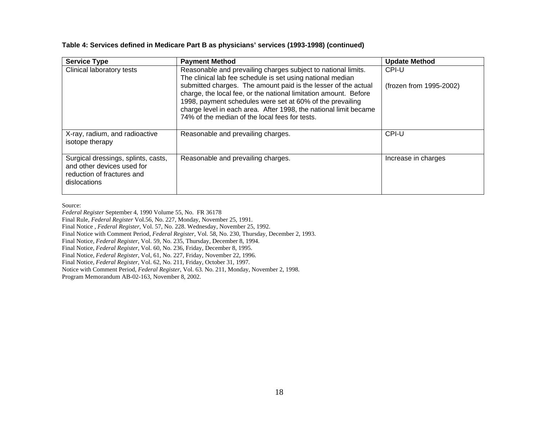| <b>Service Type</b>                                                                                             | <b>Payment Method</b>                                                                                                                                                                                                                                                                                                 | <b>Update Method</b>    |
|-----------------------------------------------------------------------------------------------------------------|-----------------------------------------------------------------------------------------------------------------------------------------------------------------------------------------------------------------------------------------------------------------------------------------------------------------------|-------------------------|
| Clinical laboratory tests                                                                                       | Reasonable and prevailing charges subject to national limits.<br>The clinical lab fee schedule is set using national median                                                                                                                                                                                           | CPI-U                   |
|                                                                                                                 | submitted charges. The amount paid is the lesser of the actual<br>charge, the local fee, or the national limitation amount. Before<br>1998, payment schedules were set at 60% of the prevailing<br>charge level in each area. After 1998, the national limit became<br>74% of the median of the local fees for tests. | (frozen from 1995-2002) |
| X-ray, radium, and radioactive<br>isotope therapy                                                               | Reasonable and prevailing charges.                                                                                                                                                                                                                                                                                    | CPI-U                   |
| Surgical dressings, splints, casts,<br>and other devices used for<br>reduction of fractures and<br>dislocations | Reasonable and prevailing charges.                                                                                                                                                                                                                                                                                    | Increase in charges     |

#### **Table 4: Services defined in Medicare Part B as physicians' services (1993-1998) (continued)**

Source:

*Federal Register* September 4, 1990 Volume 55, No. FR 36178 Final Rule, *Federal Register* Vol.56, No. 227, Monday, November 25, 1991. Final Notice , *Federal Register*, Vol. 57, No. 228. Wednesday, November 25, 1992. Final Notice with Comment Period, *Federal Register*, Vol. 58, No. 230, Thursday, December 2, 1993. Final Notice, *Federal Register*, Vol. 59, No. 235, Thursday, December 8, 1994. Final Notice, *Federal Register*, Vol. 60, No. 236, Friday, December 8, 1995. Final Notice, *Federal Register*, Vol, 61, No. 227, Friday, November 22, 1996. Final Notice, *Federal Register*, Vol. 62, No. 211, Friday, October 31, 1997. Notice with Comment Period, *Federal Register*, Vol. 63. No. 211, Monday, November 2, 1998. Program Memorandum AB-02-163, November 8, 2002.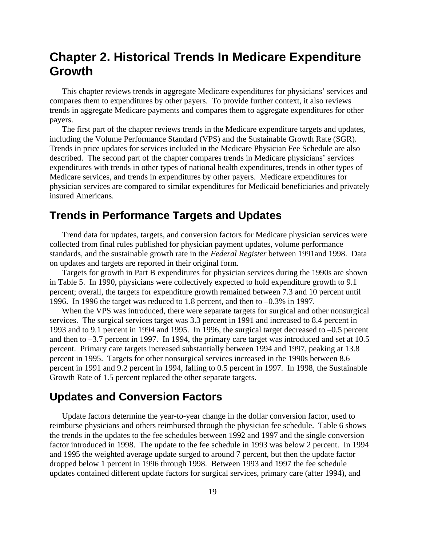## <span id="page-22-0"></span>**Chapter 2. Historical Trends In Medicare Expenditure Growth**

This chapter reviews trends in aggregate Medicare expenditures for physicians' services and compares them to expenditures by other payers. To provide further context, it also reviews trends in aggregate Medicare payments and compares them to aggregate expenditures for other payers.

The first part of the chapter reviews trends in the Medicare expenditure targets and updates, including the Volume Performance Standard (VPS) and the Sustainable Growth Rate (SGR). Trends in price updates for services included in the Medicare Physician Fee Schedule are also described. The second part of the chapter compares trends in Medicare physicians' services expenditures with trends in other types of national health expenditures, trends in other types of Medicare services, and trends in expenditures by other payers. Medicare expenditures for physician services are compared to similar expenditures for Medicaid beneficiaries and privately insured Americans.

### **Trends in Performance Targets and Updates**

Trend data for updates, targets, and conversion factors for Medicare physician services were collected from final rules published for physician payment updates, volume performance standards, and the sustainable growth rate in the *Federal Register* between 1991and 1998. Data on updates and targets are reported in their original form.

Targets for growth in Part B expenditures for physician services during the 1990s are shown in Table 5. In 1990, physicians were collectively expected to hold expenditure growth to 9.1 percent; overall, the targets for expenditure growth remained between 7.3 and 10 percent until 1996. In 1996 the target was reduced to 1.8 percent, and then to –0.3% in 1997.

When the VPS was introduced, there were separate targets for surgical and other nonsurgical services. The surgical services target was 3.3 percent in 1991 and increased to 8.4 percent in 1993 and to 9.1 percent in 1994 and 1995. In 1996, the surgical target decreased to –0.5 percent and then to –3.7 percent in 1997. In 1994, the primary care target was introduced and set at 10.5 percent. Primary care targets increased substantially between 1994 and 1997, peaking at 13.8 percent in 1995. Targets for other nonsurgical services increased in the 1990s between 8.6 percent in 1991 and 9.2 percent in 1994, falling to 0.5 percent in 1997. In 1998, the Sustainable Growth Rate of 1.5 percent replaced the other separate targets.

### **Updates and Conversion Factors**

Update factors determine the year-to-year change in the dollar conversion factor, used to reimburse physicians and others reimbursed through the physician fee schedule. Table 6 shows the trends in the updates to the fee schedules between 1992 and 1997 and the single conversion factor introduced in 1998. The update to the fee schedule in 1993 was below 2 percent. In 1994 and 1995 the weighted average update surged to around 7 percent, but then the update factor dropped below 1 percent in 1996 through 1998. Between 1993 and 1997 the fee schedule updates contained different update factors for surgical services, primary care (after 1994), and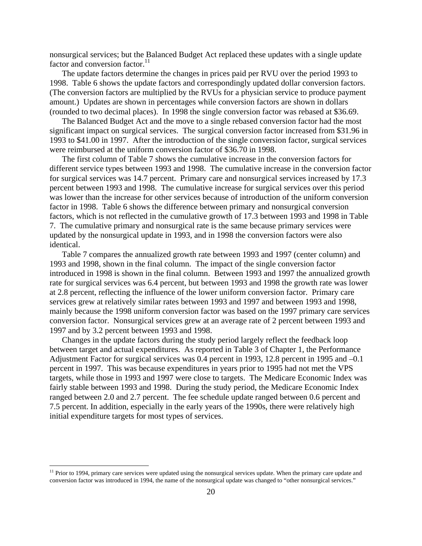nonsurgical services; but the Balanced Budget Act replaced these updates with a single update factor and conversion factor. $^{11}$ 

The update factors determine the changes in prices paid per RVU over the period 1993 to 1998. Table 6 shows the update factors and correspondingly updated dollar conversion factors. (The conversion factors are multiplied by the RVUs for a physician service to produce payment amount.) Updates are shown in percentages while conversion factors are shown in dollars (rounded to two decimal places). In 1998 the single conversion factor was rebased at \$36.69.

The Balanced Budget Act and the move to a single rebased conversion factor had the most significant impact on surgical services. The surgical conversion factor increased from \$31.96 in 1993 to \$41.00 in 1997. After the introduction of the single conversion factor, surgical services were reimbursed at the uniform conversion factor of \$36.70 in 1998.

The first column of Table 7 shows the cumulative increase in the conversion factors for different service types between 1993 and 1998. The cumulative increase in the conversion factor for surgical services was 14.7 percent. Primary care and nonsurgical services increased by 17.3 percent between 1993 and 1998. The cumulative increase for surgical services over this period was lower than the increase for other services because of introduction of the uniform conversion factor in 1998. Table 6 shows the difference between primary and nonsurgical conversion factors, which is not reflected in the cumulative growth of 17.3 between 1993 and 1998 in Table 7. The cumulative primary and nonsurgical rate is the same because primary services were updated by the nonsurgical update in 1993, and in 1998 the conversion factors were also identical.

Table 7 compares the annualized growth rate between 1993 and 1997 (center column) and 1993 and 1998, shown in the final column. The impact of the single conversion factor introduced in 1998 is shown in the final column. Between 1993 and 1997 the annualized growth rate for surgical services was 6.4 percent, but between 1993 and 1998 the growth rate was lower at 2.8 percent, reflecting the influence of the lower uniform conversion factor. Primary care services grew at relatively similar rates between 1993 and 1997 and between 1993 and 1998, mainly because the 1998 uniform conversion factor was based on the 1997 primary care services conversion factor. Nonsurgical services grew at an average rate of 2 percent between 1993 and 1997 and by 3.2 percent between 1993 and 1998.

Changes in the update factors during the study period largely reflect the feedback loop between target and actual expenditures. As reported in Table 3 of Chapter 1, the Performance Adjustment Factor for surgical services was 0.4 percent in 1993, 12.8 percent in 1995 and –0.1 percent in 1997. This was because expenditures in years prior to 1995 had not met the VPS targets, while those in 1993 and 1997 were close to targets. The Medicare Economic Index was fairly stable between 1993 and 1998. During the study period, the Medicare Economic Index ranged between 2.0 and 2.7 percent. The fee schedule update ranged between 0.6 percent and 7.5 percent. In addition, especially in the early years of the 1990s, there were relatively high initial expenditure targets for most types of services.

 $\overline{a}$ 

<span id="page-23-0"></span> $11$  Prior to 1994, primary care services were updated using the nonsurgical services update. When the primary care update and conversion factor was introduced in 1994, the name of the nonsurgical update was changed to "other nonsurgical services."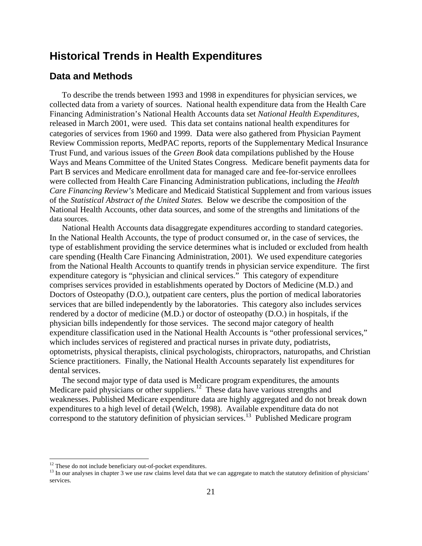### <span id="page-24-0"></span>**Historical Trends in Health Expenditures**

#### **Data and Methods**

To describe the trends between 1993 and 1998 in expenditures for physician services, we collected data from a variety of sources. National health expenditure data from the Health Care Financing Administration's National Health Accounts data set *National Health Expenditures*, released in March 2001, were used. This data set contains national health expenditures for categories of services from 1960 and 1999. Data were also gathered from Physician Payment Review Commission reports, MedPAC reports, reports of the Supplementary Medical Insurance Trust Fund, and various issues of the *Green Book* data compilations published by the House Ways and Means Committee of the United States Congress*.* Medicare benefit payments data for Part B services and Medicare enrollment data for managed care and fee-for-service enrollees were collected from Health Care Financing Administration publications, including the *Health Care Financing Review's* Medicare and Medicaid Statistical Supplement and from various issues of the *Statistical Abstract of the United States.* Below we describe the composition of the National Health Accounts, other data sources, and some of the strengths and limitations of the data sources.

National Health Accounts data disaggregate expenditures according to standard categories. In the National Health Accounts, the type of product consumed or, in the case of services, the type of establishment providing the service determines what is included or excluded from health care spending (Health Care Financing Administration, 2001). We used expenditure categories from the National Health Accounts to quantify trends in physician service expenditure. The first expenditure category is "physician and clinical services." This category of expenditure comprises services provided in establishments operated by Doctors of Medicine (M.D.) and Doctors of Osteopathy (D.O.), outpatient care centers, plus the portion of medical laboratories services that are billed independently by the laboratories. This category also includes services rendered by a doctor of medicine (M.D.) or doctor of osteopathy (D.O.) in hospitals, if the physician bills independently for those services. The second major category of health expenditure classification used in the National Health Accounts is "other professional services," which includes services of registered and practical nurses in private duty, podiatrists, optometrists, physical therapists, clinical psychologists, chiropractors, naturopaths, and Christian Science practitioners. Finally, the National Health Accounts separately list expenditures for dental services.

The second major type of data used is Medicare program expenditures, the amounts Medicare paid physicians or other suppliers.<sup>12</sup> These data have various strengths and weaknesses. Published Medicare expenditure data are highly aggregated and do not break down expenditures to a high level of detail (Welch, 1998). Available expenditure data do not correspond to the statutory definition of physician services.<sup>13</sup> Published Medicare program

 $\overline{a}$ 

<span id="page-24-2"></span><span id="page-24-1"></span>

<sup>&</sup>lt;sup>12</sup> These do not include beneficiary out-of-pocket expenditures.<br><sup>13</sup> In our analyses in chapter 3 we use raw claims level data that we can aggregate to match the statutory definition of physicians' services.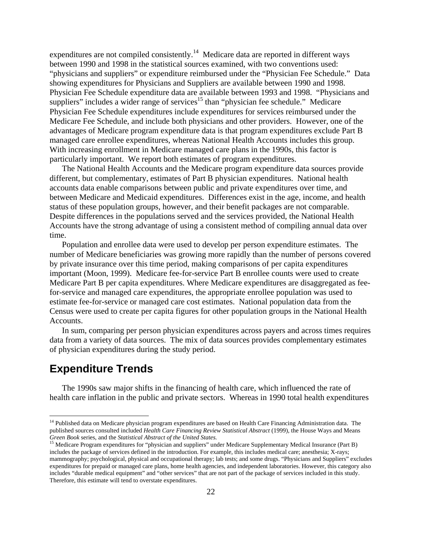<span id="page-25-0"></span>expenditures are not compiled consistently.<sup>14</sup> Medicare data are reported in different ways between 1990 and 1998 in the statistical sources examined, with two conventions used: "physicians and suppliers" or expenditure reimbursed under the "Physician Fee Schedule." Data showing expenditures for Physicians and Suppliers are available between 1990 and 1998. Physician Fee Schedule expenditure data are available between 1993 and 1998. "Physicians and suppliers" includes a wider range of services<sup>15</sup> than "physician fee schedule." Medicare Physician Fee Schedule expenditures include expenditures for services reimbursed under the Medicare Fee Schedule, and include both physicians and other providers. However, one of the advantages of Medicare program expenditure data is that program expenditures exclude Part B managed care enrollee expenditures, whereas National Health Accounts includes this group. With increasing enrollment in Medicare managed care plans in the 1990s, this factor is particularly important. We report both estimates of program expenditures.

The National Health Accounts and the Medicare program expenditure data sources provide different, but complementary, estimates of Part B physician expenditures. National health accounts data enable comparisons between public and private expenditures over time, and between Medicare and Medicaid expenditures. Differences exist in the age, income, and health status of these population groups, however, and their benefit packages are not comparable. Despite differences in the populations served and the services provided, the National Health Accounts have the strong advantage of using a consistent method of compiling annual data over time.

Population and enrollee data were used to develop per person expenditure estimates. The number of Medicare beneficiaries was growing more rapidly than the number of persons covered by private insurance over this time period, making comparisons of per capita expenditures important (Moon, 1999). Medicare fee-for-service Part B enrollee counts were used to create Medicare Part B per capita expenditures. Where Medicare expenditures are disaggregated as feefor-service and managed care expenditures, the appropriate enrollee population was used to estimate fee-for-service or managed care cost estimates. National population data from the Census were used to create per capita figures for other population groups in the National Health Accounts.

In sum, comparing per person physician expenditures across payers and across times requires data from a variety of data sources. The mix of data sources provides complementary estimates of physician expenditures during the study period.

### **Expenditure Trends**

 $\overline{a}$ 

The 1990s saw major shifts in the financing of health care, which influenced the rate of health care inflation in the public and private sectors. Whereas in 1990 total health expenditures

<span id="page-25-1"></span><sup>&</sup>lt;sup>14</sup> Published data on Medicare physician program expenditures are based on Health Care Financing Administration data. The published sources consulted included *Health Care Financing Review Statistical Abstract* (1999), the House Ways and Means *Green Book* series, and the *Statistical Abstract of the United States*.<br><sup>15</sup> Medicare Program expenditures for "physician and suppliers" under Medicare Supplementary Medical Insurance (Part B)

<span id="page-25-2"></span>includes the package of services defined in the introduction. For example, this includes medical care; anesthesia; X-rays; mammography; psychological, physical and occupational therapy; lab tests; and some drugs. "Physicians and Suppliers" excludes expenditures for prepaid or managed care plans, home health agencies, and independent laboratories. However, this category also includes "durable medical equipment" and "other services" that are not part of the package of services included in this study. Therefore, this estimate will tend to overstate expenditures.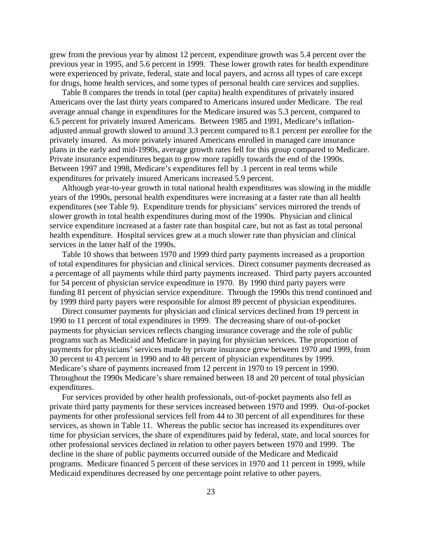grew from the previous year by almost 12 percent, expenditure growth was 5.4 percent over the previous year in 1995, and 5.6 percent in 1999. These lower growth rates for health expenditure were experienced by private, federal, state and local payers, and across all types of care except for drugs, home health services, and some types of personal health care services and supplies.

Table 8 compares the trends in total (per capita) health expenditures of privately insured Americans over the last thirty years compared to Americans insured under Medicare. The real average annual change in expenditures for the Medicare insured was 5.3 percent, compared to 6.5 percent for privately insured Americans. Between 1985 and 1991, Medicare's inflationadjusted annual growth slowed to around 3.3 percent compared to 8.1 percent per enrollee for the privately insured. As more privately insured Americans enrolled in managed care insurance plans in the early and mid-1990s, average growth rates fell for this group compared to Medicare. Private insurance expenditures began to grow more rapidly towards the end of the 1990s. Between 1997 and 1998, Medicare's expenditures fell by .1 percent in real terms while expenditures for privately insured Americans increased 5.9 percent.

Although year-to-year growth in total national health expenditures was slowing in the middle years of the 1990s, personal health expenditures were increasing at a faster rate than all health expenditures (see Table 9). Expenditure trends for physicians' services mirrored the trends of slower growth in total health expenditures during most of the 1990s. Physician and clinical service expenditure increased at a faster rate than hospital care, but not as fast as total personal health expenditure. Hospital services grew at a much slower rate than physician and clinical services in the latter half of the 1990s.

Table 10 shows that between 1970 and 1999 third party payments increased as a proportion of total expenditures for physician and clinical services. Direct consumer payments decreased as a percentage of all payments while third party payments increased. Third party payers accounted for 54 percent of physician service expenditure in 1970. By 1990 third party payers were funding 81 percent of physician service expenditure. Through the 1990s this trend continued and by 1999 third party payers were responsible for almost 89 percent of physician expenditures.

Direct consumer payments for physician and clinical services declined from 19 percent in 1990 to 11 percent of total expenditures in 1999. The decreasing share of out-of-pocket payments for physician services reflects changing insurance coverage and the role of public programs such as Medicaid and Medicare in paying for physician services. The proportion of payments for physicians' services made by private insurance grew between 1970 and 1999, from 30 percent to 43 percent in 1990 and to 48 percent of physician expenditures by 1999. Medicare's share of payments increased from 12 percent in 1970 to 19 percent in 1990. Throughout the 1990s Medicare's share remained between 18 and 20 percent of total physician expenditures.

For services provided by other health professionals, out-of-pocket payments also fell as private third party payments for these services increased between 1970 and 1999. Out-of-pocket payments for other professional services fell from 44 to 30 percent of all expenditures for these services, as shown in Table 11. Whereas the public sector has increased its expenditures over time for physician services, the share of expenditures paid by federal, state, and local sources for other professional services declined in relation to other payers between 1970 and 1999. The decline in the share of public payments occurred outside of the Medicare and Medicaid programs. Medicare financed 5 percent of these services in 1970 and 11 percent in 1999, while Medicaid expenditures decreased by one percentage point relative to other payers.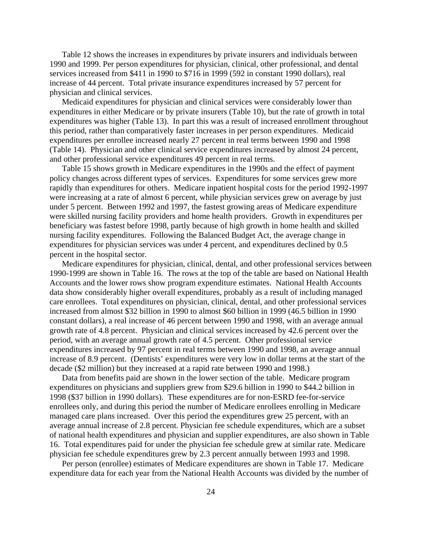Table 12 shows the increases in expenditures by private insurers and individuals between 1990 and 1999. Per person expenditures for physician, clinical, other professional, and dental services increased from \$411 in 1990 to \$716 in 1999 (592 in constant 1990 dollars), real increase of 44 percent. Total private insurance expenditures increased by 57 percent for physician and clinical services.

Medicaid expenditures for physician and clinical services were considerably lower than expenditures in either Medicare or by private insurers (Table 10), but the rate of growth in total expenditures was higher (Table 13). In part this was a result of increased enrollment throughout this period, rather than comparatively faster increases in per person expenditures. Medicaid expenditures per enrollee increased nearly 27 percent in real terms between 1990 and 1998 (Table 14). Physician and other clinical service expenditures increased by almost 24 percent, and other professional service expenditures 49 percent in real terms.

Table 15 shows growth in Medicare expenditures in the 1990s and the effect of payment policy changes across different types of services. Expenditures for some services grew more rapidly than expenditures for others. Medicare inpatient hospital costs for the period 1992-1997 were increasing at a rate of almost 6 percent, while physician services grew on average by just under 5 percent. Between 1992 and 1997, the fastest growing areas of Medicare expenditure were skilled nursing facility providers and home health providers. Growth in expenditures per beneficiary was fastest before 1998, partly because of high growth in home health and skilled nursing facility expenditures. Following the Balanced Budget Act, the average change in expenditures for physician services was under 4 percent, and expenditures declined by 0.5 percent in the hospital sector.

Medicare expenditures for physician, clinical, dental, and other professional services between 1990-1999 are shown in Table 16. The rows at the top of the table are based on National Health Accounts and the lower rows show program expenditure estimates. National Health Accounts data show considerably higher overall expenditures, probably as a result of including managed care enrollees. Total expenditures on physician, clinical, dental, and other professional services increased from almost \$32 billion in 1990 to almost \$60 billion in 1999 (46.5 billion in 1990 constant dollars), a real increase of 46 percent between 1990 and 1998, with an average annual growth rate of 4.8 percent. Physician and clinical services increased by 42.6 percent over the period, with an average annual growth rate of 4.5 percent. Other professional service expenditures increased by 97 percent in real terms between 1990 and 1998, an average annual increase of 8.9 percent. (Dentists' expenditures were very low in dollar terms at the start of the decade (\$2 million) but they increased at a rapid rate between 1990 and 1998.)

Data from benefits paid are shown in the lower section of the table. Medicare program expenditures on physicians and suppliers grew from \$29.6 billion in 1990 to \$44.2 billion in 1998 (\$37 billion in 1990 dollars). These expenditures are for non-ESRD fee-for-service enrollees only, and during this period the number of Medicare enrollees enrolling in Medicare managed care plans increased. Over this period the expenditures grew 25 percent, with an average annual increase of 2.8 percent. Physician fee schedule expenditures, which are a subset of national health expenditures and physician and supplier expenditures, are also shown in Table 16. Total expenditures paid for under the physician fee schedule grew at similar rate. Medicare physician fee schedule expenditures grew by 2.3 percent annually between 1993 and 1998.

Per person (enrollee) estimates of Medicare expenditures are shown in Table 17. Medicare expenditure data for each year from the National Health Accounts was divided by the number of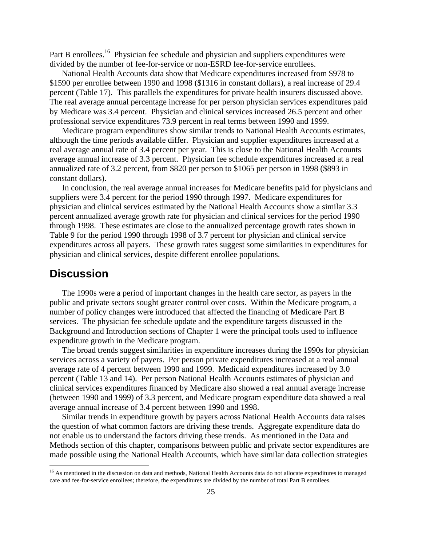<span id="page-28-0"></span>Part B enrollees.<sup>16</sup> Physician fee schedule and physician and suppliers expenditures were divided by the number of fee-for-service or non-ESRD fee-for-service enrollees.

National Health Accounts data show that Medicare expenditures increased from \$978 to \$1590 per enrollee between 1990 and 1998 (\$1316 in constant dollars), a real increase of 29.4 percent (Table 17). This parallels the expenditures for private health insurers discussed above. The real average annual percentage increase for per person physician services expenditures paid by Medicare was 3.4 percent. Physician and clinical services increased 26.5 percent and other professional service expenditures 73.9 percent in real terms between 1990 and 1999.

Medicare program expenditures show similar trends to National Health Accounts estimates, although the time periods available differ. Physician and supplier expenditures increased at a real average annual rate of 3.4 percent per year. This is close to the National Health Accounts average annual increase of 3.3 percent. Physician fee schedule expenditures increased at a real annualized rate of 3.2 percent, from \$820 per person to \$1065 per person in 1998 (\$893 in constant dollars).

In conclusion, the real average annual increases for Medicare benefits paid for physicians and suppliers were 3.4 percent for the period 1990 through 1997. Medicare expenditures for physician and clinical services estimated by the National Health Accounts show a similar 3.3 percent annualized average growth rate for physician and clinical services for the period 1990 through 1998. These estimates are close to the annualized percentage growth rates shown in Table 9 for the period 1990 through 1998 of 3.7 percent for physician and clinical service expenditures across all payers. These growth rates suggest some similarities in expenditures for physician and clinical services, despite different enrollee populations.

### **Discussion**

 $\overline{a}$ 

The 1990s were a period of important changes in the health care sector, as payers in the public and private sectors sought greater control over costs. Within the Medicare program, a number of policy changes were introduced that affected the financing of Medicare Part B services. The physician fee schedule update and the expenditure targets discussed in the Background and Introduction sections of Chapter 1 were the principal tools used to influence expenditure growth in the Medicare program.

The broad trends suggest similarities in expenditure increases during the 1990s for physician services across a variety of payers. Per person private expenditures increased at a real annual average rate of 4 percent between 1990 and 1999. Medicaid expenditures increased by 3.0 percent (Table 13 and 14). Per person National Health Accounts estimates of physician and clinical services expenditures financed by Medicare also showed a real annual average increase (between 1990 and 1999) of 3.3 percent, and Medicare program expenditure data showed a real average annual increase of 3.4 percent between 1990 and 1998.

Similar trends in expenditure growth by payers across National Health Accounts data raises the question of what common factors are driving these trends. Aggregate expenditure data do not enable us to understand the factors driving these trends. As mentioned in the Data and Methods section of this chapter, comparisons between public and private sector expenditures are made possible using the National Health Accounts, which have similar data collection strategies

<span id="page-28-1"></span><sup>&</sup>lt;sup>16</sup> As mentioned in the discussion on data and methods, National Health Accounts data do not allocate expenditures to managed care and fee-for-service enrollees; therefore, the expenditures are divided by the number of total Part B enrollees.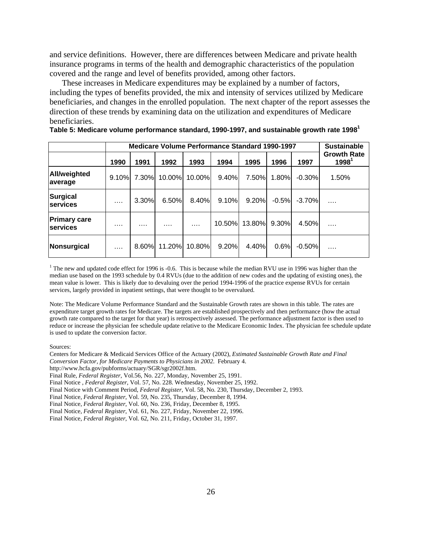<span id="page-29-0"></span>and service definitions. However, there are differences between Medicare and private health insurance programs in terms of the health and demographic characteristics of the population covered and the range and level of benefits provided, among other factors.

These increases in Medicare expenditures may be explained by a number of factors, including the types of benefits provided, the mix and intensity of services utilized by Medicare beneficiaries, and changes in the enrolled population. The next chapter of the report assesses the direction of these trends by examining data on the utilization and expenditures of Medicare beneficiaries.

|                                        | <b>Medicare Volume Performance Standard 1990-1997</b> | <b>Sustainable</b> |        |          |        |        |         |          |                                |
|----------------------------------------|-------------------------------------------------------|--------------------|--------|----------|--------|--------|---------|----------|--------------------------------|
|                                        | 1990                                                  | 1991               | 1992   | 1993     | 1994   | 1995   | 1996    | 1997     | <b>Growth Rate</b><br>$1998^1$ |
| <b>All/weighted</b><br>average         | 9.10%                                                 | 7.30%l             | 10.00% | 10.00%   | 9.40%  | 7.50%  | 1.80%   | $-0.30%$ | 1.50%                          |
| <b>Surgical</b><br><b>services</b>     | $\cdots$                                              | 3.30%              | 6.50%  | 8.40%    | 9.10%  | 9.20%  | $-0.5%$ | $-3.70%$ | .                              |
| <b>Primary care</b><br><b>services</b> | .                                                     | .                  | .      | $\cdots$ | 10.50% | 13.80% | 9.30%   | 4.50%    | .                              |
| Nonsurgical                            | $\cdots$                                              | 8.60%              | 11.20% | 10.80%   | 9.20%  | 4.40%  | 0.6%    | $-0.50%$ |                                |

**Table 5: Medicare volume performance standard, 1990-1997, and sustainable growth rate 1998<sup>1</sup>**

<sup>1</sup> The new and updated code effect for 1996 is -0.6. This is because while the median RVU use in 1996 was higher than the median use based on the 1993 schedule by 0.4 RVUs (due to the addition of new codes and the updating of existing ones), the mean value is lower. This is likely due to devaluing over the period 1994-1996 of the practice expense RVUs for certain services, largely provided in inpatient settings, that were thought to be overvalued.

Note: The Medicare Volume Performance Standard and the Sustainable Growth rates are shown in this table. The rates are expenditure target growth rates for Medicare. The targets are established prospectively and then performance (how the actual growth rate compared to the target for that year) is retrospectively assessed. The performance adjustment factor is then used to reduce or increase the physician fee schedule update relative to the Medicare Economic Index. The physician fee schedule update is used to update the conversion factor.

Sources:

Centers for Medicare & Medicaid Services Office of the Actuary (2002), *Estimated Sustainable Growth Rate and Final Conversion Factor, for Medicare Payments to Physicians in 2002*. February 4.

http://www.hcfa.gov/pubforms/actuary/SGR/sgr2002f.htm.

Final Rule, *Federal Register*, Vol.56, No. 227, Monday, November 25, 1991.

Final Notice , *Federal Register*, Vol. 57, No. 228. Wednesday, November 25, 1992.

Final Notice with Comment Period, *Federal Register*, Vol. 58, No. 230, Thursday, December 2, 1993.

Final Notice, *Federal Register*, Vol. 59, No. 235, Thursday, December 8, 1994.

Final Notice, *Federal Register*, Vol. 60, No. 236, Friday, December 8, 1995.

Final Notice, *Federal Register*, Vol. 61, No. 227, Friday, November 22, 1996.

Final Notice, *Federal Register*, Vol. 62, No. 211, Friday, October 31, 1997.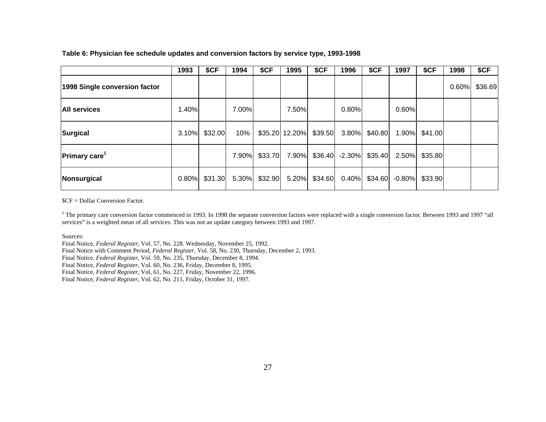|                                  | 1993  | \$CF    | 1994  | \$CF          | 1995           | \$CF    | 1996            | \$CF    | 1997      | \$CF          | 1998  | \$CF    |
|----------------------------------|-------|---------|-------|---------------|----------------|---------|-----------------|---------|-----------|---------------|-------|---------|
| 1998 Single conversion factor    |       |         |       |               |                |         |                 |         |           |               | 0.60% | \$36.69 |
| <b>All services</b>              | .40%  |         | 7.00% |               | 7.50%          |         | 0.80%           |         | 0.60%     |               |       |         |
| Surgical                         | 3.10% | \$32.00 | 10%   |               | \$35.20 12.20% | \$39.50 | 3.80%           | \$40.80 |           | 1.90% \$41.00 |       |         |
| <b>Primary care</b> <sup>1</sup> |       |         | 7.90% | \$33.70       | 7.90%          |         | $$36.40$ -2.30% | \$35.40 | 2.50%     | \$35.80       |       |         |
| Nonsurgical                      | 0.80% | \$31.30 |       | 5.30% \$32.90 | 5.20%          | \$34.60 | 0.40%           | \$34.60 | $-0.80\%$ | \$33.90       |       |         |

#### **Table 6: Physician fee schedule updates and conversion factors by service type, 1993-1998**

\$CF = Dollar Conversion Factor.

<sup>1</sup> The primary care conversion factor commenced in 1993. In 1998 the separate conversion factors were replaced with a single conversion factor. Between 1993 and 1997 "all services" is a weighted mean of all services. This was not an update category between 1993 and 1997.

Sources:

<span id="page-30-0"></span>Final Notice, *Federal Register*, Vol. 57, No. 228. Wednesday, November 25, 1992. Final Notice with Comment Period, *Federal Register*, Vol. 58, No. 230, Thursday, December 2, 1993. Final Notice, *Federal Register*, Vol. 59, No. 235, Thursday, December 8, 1994. Final Notice, *Federal Register*, Vol. 60, No. 236, Friday, December 8, 1995. Final Notice, *Federal Register*, Vol, 61, No. 227, Friday, November 22, 1996. Final Notice, *Federal Register*, Vol. 62, No. 211, Friday, October 31, 1997.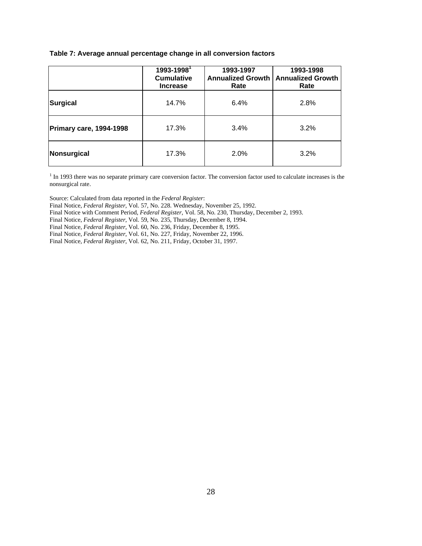#### <span id="page-31-0"></span>**Table 7: Average annual percentage change in all conversion factors**

|                                | 1993-1998 <sup>1</sup><br><b>Cumulative</b><br><b>Increase</b> | 1993-1997<br><b>Annualized Growth</b><br>Rate | 1993-1998<br><b>Annualized Growth</b><br>Rate |
|--------------------------------|----------------------------------------------------------------|-----------------------------------------------|-----------------------------------------------|
| Surgical                       | 14.7%                                                          | 6.4%                                          | 2.8%                                          |
| <b>Primary care, 1994-1998</b> | 17.3%                                                          | 3.4%                                          | 3.2%                                          |
| Nonsurgical                    | 17.3%                                                          | 2.0%                                          | 3.2%                                          |

 $<sup>1</sup>$  In 1993 there was no separate primary care conversion factor. The conversion factor used to calculate increases is the</sup> nonsurgical rate.

Source: Calculated from data reported in the *Federal Register*:

Final Notice, *Federal Register*, Vol. 57, No. 228. Wednesday, November 25, 1992.

Final Notice with Comment Period, *Federal Register*, Vol. 58, No. 230, Thursday, December 2, 1993.

Final Notice, *Federal Register*, Vol. 59, No. 235, Thursday, December 8, 1994.

Final Notice, *Federal Register*, Vol. 60, No. 236, Friday, December 8, 1995.

Final Notice, *Federal Register*, Vol. 61, No. 227, Friday, November 22, 1996.

Final Notice, *Federal Register*, Vol. 62, No. 211, Friday, October 31, 1997.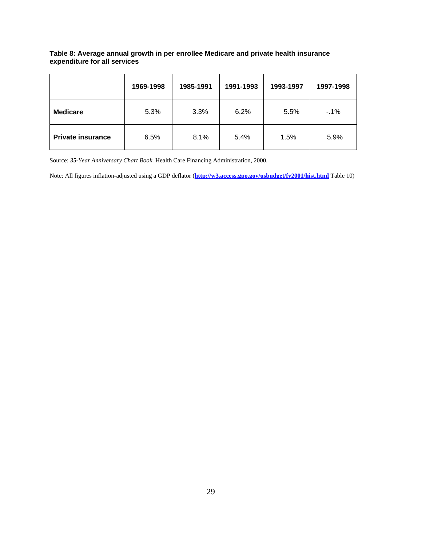#### <span id="page-32-0"></span>**Table 8: Average annual growth in per enrollee Medicare and private health insurance expenditure for all services**

|                          | 1969-1998 | 1985-1991 | 1991-1993 | 1993-1997 | 1997-1998 |
|--------------------------|-----------|-----------|-----------|-----------|-----------|
| <b>Medicare</b>          | 5.3%      | 3.3%      | 6.2%      | 5.5%      | $-1%$     |
| <b>Private insurance</b> | 6.5%      | 8.1%      | 5.4%      | 1.5%      | 5.9%      |

Source: *35-Year Anniversary Chart Book*. Health Care Financing Administration, 2000.

Note: All figures inflation-adjusted using a GDP deflator (**<http://w3.access.gpo.gov/usbudget/fy2001/hist.html>** Table 10)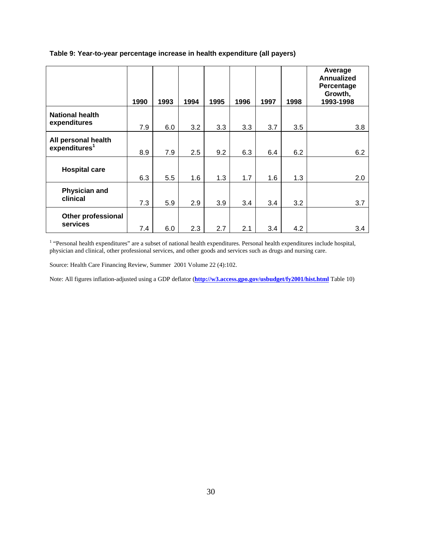|                                                  | 1990 | 1993 | 1994 | 1995 | 1996 | 1997 | 1998 | Average<br><b>Annualized</b><br>Percentage<br>Growth,<br>1993-1998 |
|--------------------------------------------------|------|------|------|------|------|------|------|--------------------------------------------------------------------|
| <b>National health</b><br>expenditures           | 7.9  | 6.0  | 3.2  | 3.3  | 3.3  | 3.7  | 3.5  | 3.8                                                                |
| All personal health<br>expenditures <sup>1</sup> | 8.9  | 7.9  | 2.5  | 9.2  | 6.3  | 6.4  | 6.2  | 6.2                                                                |
| <b>Hospital care</b>                             | 6.3  | 5.5  | 1.6  | 1.3  | 1.7  | 1.6  | 1.3  | 2.0                                                                |
| Physician and<br>clinical                        | 7.3  | 5.9  | 2.9  | 3.9  | 3.4  | 3.4  | 3.2  | 3.7                                                                |
| <b>Other professional</b><br>services            | 7.4  | 6.0  | 2.3  | 2.7  | 2.1  | 3.4  | 4.2  | 3.4                                                                |

#### <span id="page-33-0"></span>**Table 9: Year-to-year percentage increase in health expenditure (all payers)**

<sup>1</sup> "Personal health expenditures" are a subset of national health expenditures. Personal health expenditures include hospital, physician and clinical, other professional services, and other goods and services such as drugs and nursing care.

Source: Health Care Financing Review, Summer 2001 Volume 22 (4):102.

Note: All figures inflation-adjusted using a GDP deflator (**<http://w3.access.gpo.gov/usbudget/fy2001/hist.html>** Table 10)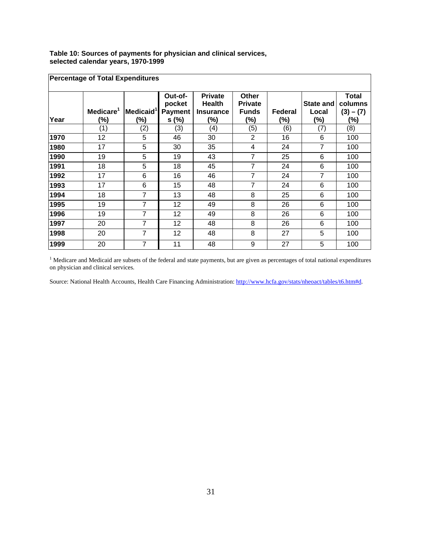<span id="page-34-0"></span>**Table 10: Sources of payments for physician and clinical services, selected calendar years, 1970-1999** 

|      | <b>Percentage of Total Expenditures</b> |                              |                                             |                                                            |                                                |                |                           |                                               |
|------|-----------------------------------------|------------------------------|---------------------------------------------|------------------------------------------------------------|------------------------------------------------|----------------|---------------------------|-----------------------------------------------|
| Year | Medicare <sup>1</sup><br>(%)            | Medicaid <sup>'</sup><br>(%) | Out-of-<br>pocket<br><b>Payment</b><br>s(%) | <b>Private</b><br><b>Health</b><br><b>Insurance</b><br>(%) | Other<br><b>Private</b><br><b>Funds</b><br>(%) | Federal<br>(%) | State and<br>Local<br>(%) | <b>Total</b><br>columns<br>$(3) - (7)$<br>(%) |
|      | (1)                                     | (2)                          | (3)                                         | (4)                                                        | (5)                                            | (6)            | (7)                       | (8)                                           |
| 1970 | 12                                      | 5                            | 46                                          | 30                                                         | $\overline{2}$                                 | 16             | 6                         | 100                                           |
| 1980 | 17                                      | 5                            | 30                                          | 35                                                         | 4                                              | 24             | 7                         | 100                                           |
| 1990 | 19                                      | 5                            | 19                                          | 43                                                         | 7                                              | 25             | 6                         | 100                                           |
| 1991 | 18                                      | 5                            | 18                                          | 45                                                         | 7                                              | 24             | 6                         | 100                                           |
| 1992 | 17                                      | 6                            | 16                                          | 46                                                         | 7                                              | 24             | $\overline{7}$            | 100                                           |
| 1993 | 17                                      | 6                            | 15                                          | 48                                                         | 7                                              | 24             | 6                         | 100                                           |
| 1994 | 18                                      | $\overline{7}$               | 13                                          | 48                                                         | 8                                              | 25             | 6                         | 100                                           |
| 1995 | 19                                      | 7                            | 12                                          | 49                                                         | 8                                              | 26             | 6                         | 100                                           |
| 1996 | 19                                      | $\overline{7}$               | 12                                          | 49                                                         | 8                                              | 26             | 6                         | 100                                           |
| 1997 | 20                                      | $\overline{7}$               | 12                                          | 48                                                         | 8                                              | 26             | 6                         | 100                                           |
| 1998 | 20                                      | 7                            | 12                                          | 48                                                         | 8                                              | 27             | 5                         | 100                                           |
| 1999 | 20                                      | 7                            | 11                                          | 48                                                         | 9                                              | 27             | 5                         | 100                                           |

 $<sup>1</sup>$  Medicare and Medicaid are subsets of the federal and state payments, but are given as percentages of total national expenditures</sup> on physician and clinical services.

Source: National Health Accounts, Health Care Financing Administration: http://www.hcfa.gov/stats/nheoact/tables/t6.htm#d.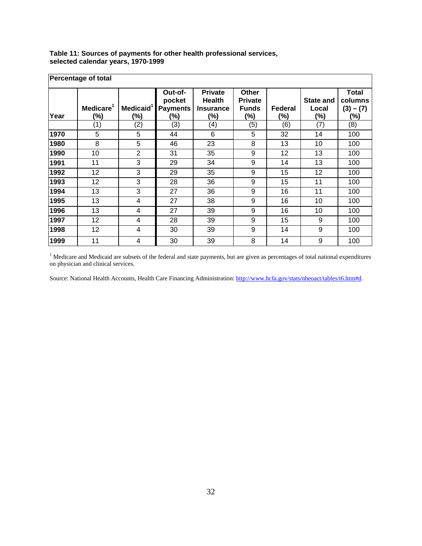| <b>Percentage of total</b> |                              |                              |                                             |                                                               |                                                |                |                                  |                                                  |  |
|----------------------------|------------------------------|------------------------------|---------------------------------------------|---------------------------------------------------------------|------------------------------------------------|----------------|----------------------------------|--------------------------------------------------|--|
| Year                       | Medicare <sup>1</sup><br>(%) | Medicaid <sup>'</sup><br>(%) | Out-of-<br>pocket<br><b>Payments</b><br>(%) | <b>Private</b><br><b>Health</b><br><b>Insurance</b><br>$(\%)$ | Other<br><b>Private</b><br><b>Funds</b><br>(%) | Federal<br>(%) | <b>State and</b><br>Local<br>(%) | <b>Total</b><br>columns<br>$(3) - (7)$<br>$(\%)$ |  |
|                            | (1)                          | (2)                          | (3)                                         | (4)                                                           | (5)                                            | (6)            | (7)                              | (8)                                              |  |
| 1970                       | 5                            | 5                            | 44                                          | 6                                                             | 5                                              | 32             | 14                               | 100                                              |  |
| 1980                       | 8                            | 5                            | 46                                          | 23                                                            | 8                                              | 13             | 10                               | 100                                              |  |
| 1990                       | 10                           | $\overline{2}$               | 31                                          | 35                                                            | 9                                              | 12             | 13                               | 100                                              |  |
| 1991                       | 11                           | 3                            | 29                                          | 34                                                            | 9                                              | 14             | 13                               | 100                                              |  |
| 1992                       | 12                           | 3                            | 29                                          | 35                                                            | 9                                              | 15             | 12                               | 100                                              |  |
| 1993                       | 12                           | 3                            | 28                                          | 36                                                            | 9                                              | 15             | 11                               | 100                                              |  |
| 1994                       | 13                           | 3                            | 27                                          | 36                                                            | 9                                              | 16             | 11                               | 100                                              |  |
| 1995                       | 13                           | 4                            | 27                                          | 38                                                            | 9                                              | 16             | 10                               | 100                                              |  |
| 1996                       | 13                           | 4                            | 27                                          | 39                                                            | 9                                              | 16             | 10                               | 100                                              |  |
| 1997                       | 12                           | 4                            | 28                                          | 39                                                            | 9                                              | 15             | 9                                | 100                                              |  |
| 1998                       | 12                           | 4                            | 30                                          | 39                                                            | 9                                              | 14             | 9                                | 100                                              |  |
| 1999                       | 11                           | 4                            | 30                                          | 39                                                            | 8                                              | 14             | 9                                | 100                                              |  |

#### <span id="page-35-0"></span>**Table 11: Sources of payments for other health professional services, selected calendar years, 1970-1999**

<sup>1</sup> Medicare and Medicaid are subsets of the federal and state payments, but are given as percentages of total national expenditures on physician and clinical services.

Source: National Health Accounts, Health Care Financing Administration: http://www.hcfa.gov/stats/nheoact/tables/t6.htm#d.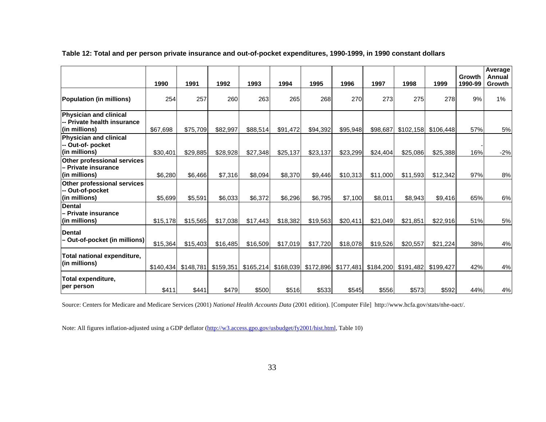|                                                                               | 1990      | 1991      | 1992      | 1993      | 1994      | 1995      | 1996      | 1997      | 1998      | 1999      | Growth<br>1990-99 | Average<br>Annual<br>Growth |
|-------------------------------------------------------------------------------|-----------|-----------|-----------|-----------|-----------|-----------|-----------|-----------|-----------|-----------|-------------------|-----------------------------|
| Population (in millions)                                                      | 254       | 257       | 260       | 263       | 265       | 268       | 270       | 273       | 275       | 278       | 9%                | 1%                          |
| <b>Physician and clinical</b><br>-- Private health insurance<br>(in millions) | \$67,698  | \$75,709  | \$82,997  | \$88,514  | \$91,472  | \$94,392  | \$95,948  | \$98,687  | \$102,158 | \$106,448 | 57%               | 5%                          |
| <b>Physician and clinical</b><br>-- Out-of- pocket<br>(in millions)           | \$30,401  | \$29,885  | \$28,928  | \$27,348  | \$25,137  | \$23,137  | \$23,299  | \$24,404  | \$25,086  | \$25,388  | 16%               | $-2%$                       |
| <b>Other professional services</b><br>- Private insurance<br>(in millions)    | \$6,280   | \$6,466   | \$7,316   | \$8,094   | \$8,370   | \$9,446   | \$10,313  | \$11,000  | \$11,593  | \$12,342  | 97%               | 8%                          |
| Other professional services<br>-- Out-of-pocket<br>(in millions)              | \$5,699   | \$5,591   | \$6,033   | \$6,372   | \$6,296   | \$6,795   | \$7,100   | \$8.011   | \$8,943   | \$9,416   | 65%               | $6\%$                       |
| <b>Dental</b><br>- Private insurance<br>(in millions)                         | \$15,178  | \$15,565  | \$17,038  | \$17,443  | \$18,382  | \$19,563  | \$20,411  | \$21,049  | \$21,851  | \$22,916  | 51%               | 5%                          |
| <b>Dental</b><br>– Out-of-pocket (in millions)                                | \$15,364  | \$15,403  | \$16,485  | \$16,509  | \$17,019  | \$17,720  | \$18,078  | \$19,526  | \$20,557  | \$21,224  | 38%               | 4%                          |
| Total national expenditure,<br>(in millions)                                  | \$140,434 | \$148,781 | \$159,351 | \$165,214 | \$168,039 | \$172,896 | \$177,481 | \$184,200 | \$191,482 | \$199,427 | 42%               | 4%                          |
| Total expenditure,<br>per person                                              | \$411     | \$441     | \$479     | \$500     | \$516     | \$533     | \$545     | \$556     | \$573     | \$592     | 44%               | 4%                          |

**Table 12: Total and per person private insurance and out-of-pocket expenditures, 1990-1999, in 1990 constant dollars** 

Source: Centers for Medicare and Medicare Services (2001) *National Health Accounts Data* (2001 edition). [Computer File] http://www.hcfa.gov/stats/nhe-oact/.

Note: All figures inflation-adjusted using a GDP deflator [\(http://w3.access.gpo.gov/usbudget/fy2001/hist.html](http://w3.access.gpo.gov/usbudget/fy2001/hist.html), Table 10)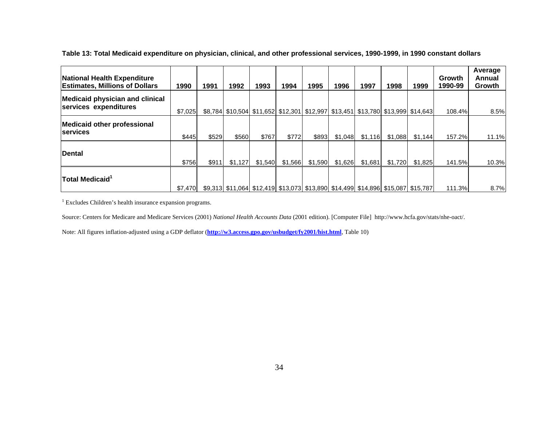| National Health Expenditure<br><b>Estimates, Millions of Dollars</b> | 1990    | 1991  | 1992    | 1993    | 1994    | 1995    | 1996    | 1997    | 1998    | 1999                                                                            | Growth<br>1990-99 | Average<br>Annual<br>Growth |
|----------------------------------------------------------------------|---------|-------|---------|---------|---------|---------|---------|---------|---------|---------------------------------------------------------------------------------|-------------------|-----------------------------|
| <b>Medicaid physician and clinical</b><br>services expenditures      | \$7.025 |       |         |         |         |         |         |         |         | \$8,784 \$10,504 \$11,652 \$12,301 \$12,997 \$13,451 \$13,780 \$13,999 \$14,643 | 108.4%            | 8.5%                        |
| <b>Medicaid other professional</b><br><b>services</b>                | \$445   | \$529 | \$560   | \$767   | \$772   | \$893   | \$1,048 | \$1,116 | \$1,088 | \$1.144                                                                         | 157.2%l           | 11.1%                       |
| Dental                                                               | \$756   | \$911 | \$1.127 | \$1,540 | \$1,566 | \$1,590 | \$1,626 | \$1,681 | \$1,720 | \$1,825                                                                         | 141.5%            | 10.3%                       |
| $ $ Total Medicaid ${}^1$                                            | \$7,470 |       |         |         |         |         |         |         |         | \$9,313 \$11,064 \$12,419 \$13,073 \$13,890 \$14,499 \$14,896 \$15,087 \$15,787 | 111.3%            | 8.7%                        |

**Table 13: Total Medicaid expenditure on physician, clinical, and other professional services, 1990-1999, in 1990 constant dollars** 

<sup>1</sup> Excludes Children's health insurance expansion programs.

Source: Centers for Medicare and Medicare Services (2001) *National Health Accounts Data* (2001 edition). [Computer File] http://www.hcfa.gov/stats/nhe-oact/.

Note: All figures inflation-adjusted using a GDP deflator (**<http://w3.access.gpo.gov/usbudget/fy2001/hist.html>**, Table 10)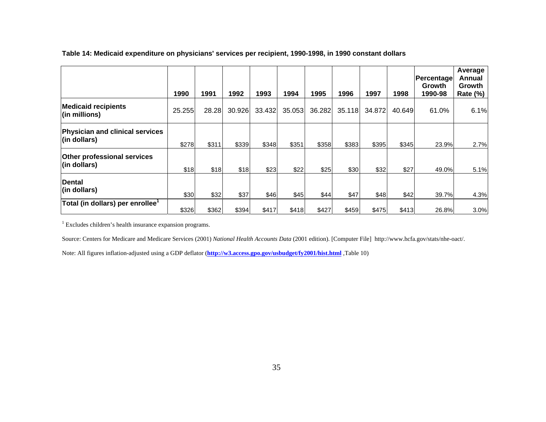|                                                         | 1990   | 1991  | 1992   | 1993   | 1994   | 1995   | 1996   | 1997   | 1998   | Percentage<br><b>Growth</b><br>1990-98 | Average<br>Annual<br>Growth<br><b>Rate (%)</b> |
|---------------------------------------------------------|--------|-------|--------|--------|--------|--------|--------|--------|--------|----------------------------------------|------------------------------------------------|
| <b>Medicaid recipients</b><br>(in millions)             | 25.255 | 28.28 | 30.926 | 33.432 | 35.053 | 36.282 | 35.118 | 34.872 | 40.649 | 61.0%                                  | 6.1%                                           |
| Physician and clinical services<br>$\vert$ (in dollars) | \$278  | \$311 | \$339  | \$348  | \$351  | \$358  | \$383  | \$395  | \$345  | 23.9%                                  | 2.7%                                           |
| <b>Other professional services</b><br>(in dollars)      | \$18   | \$18  | \$18   | \$23   | \$22   | \$25   | \$30   | \$32   | \$27   | 49.0%                                  | 5.1%                                           |
| Dental<br>$\vert$ (in dollars)                          | \$30   | \$32  | \$37   | \$46   | \$45   | \$44   | \$47   | \$48   | \$42   | 39.7%                                  | 4.3%                                           |
| Total (in dollars) per enrollee <sup>1</sup>            | \$326  | \$362 | \$394  | \$417  | \$418  | \$427  | \$459  | \$475  | \$413  | 26.8%                                  | 3.0%                                           |

**Table 14: Medicaid expenditure on physicians' services per recipient, 1990-1998, in 1990 constant dollars** 

<sup>1</sup> Excludes children's health insurance expansion programs.

Source: Centers for Medicare and Medicare Services (2001) *National Health Accounts Data* (2001 edition). [Computer File] http://www.hcfa.gov/stats/nhe-oact/.

Note: All figures inflation-adjusted using a GDP deflator (**<http://w3.access.gpo.gov/usbudget/fy2001/hist.html>** ,Table 10)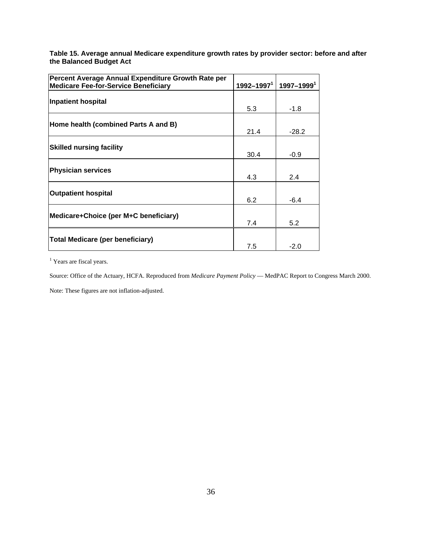**Table 15. Average annual Medicare expenditure growth rates by provider sector: before and after the Balanced Budget Act** 

| Percent Average Annual Expenditure Growth Rate per |                            |                |
|----------------------------------------------------|----------------------------|----------------|
| <b>Medicare Fee-for-Service Beneficiary</b>        | $1992 - 1997$ <sup>1</sup> | $1997 - 19991$ |
| <b>Inpatient hospital</b>                          | 5.3                        | $-1.8$         |
| Home health (combined Parts A and B)               | 21.4                       | $-28.2$        |
| <b>Skilled nursing facility</b>                    | 30.4                       | $-0.9$         |
| <b>Physician services</b>                          | 4.3                        | 2.4            |
| <b>Outpatient hospital</b>                         | 6.2                        | $-6.4$         |
| Medicare+Choice (per M+C beneficiary)              | 7.4                        | 5.2            |
| <b>Total Medicare (per beneficiary)</b>            | 7.5                        | $-2.0$         |

<sup>1</sup> Years are fiscal years.

Source: Office of the Actuary, HCFA. Reproduced from *Medicare Payment Policy* — MedPAC Report to Congress March 2000.

Note: These figures are not inflation-adjusted.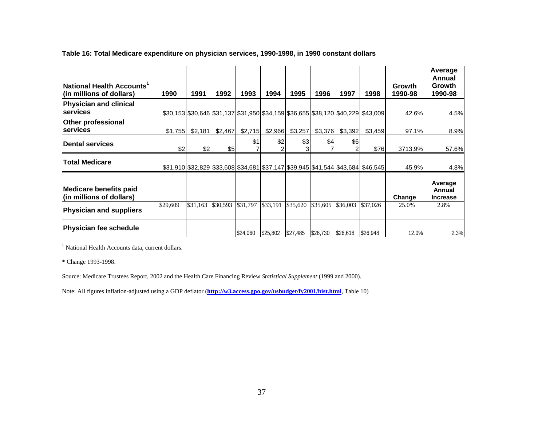| National Health Accounts <sup>1</sup><br>(in millions of dollars) | 1990     | 1991     | 1992     | 1993     | 1994     | 1995     | 1996     | 1997     | 1998                                                                               | Growth<br>1990-98 | Average<br>Annual<br>Growth<br>1990-98 |
|-------------------------------------------------------------------|----------|----------|----------|----------|----------|----------|----------|----------|------------------------------------------------------------------------------------|-------------------|----------------------------------------|
| Physician and clinical<br><b>services</b>                         |          |          |          |          |          |          |          |          | \$30,153 \$30,646 \$31,137 \$31,950 \$34,159 \$36,655 \$38,120 \$40,229 \$43,009   | 42.6%             | 4.5%                                   |
| <b>Other professional</b><br><b>services</b>                      | \$1,755  | \$2,181  | \$2,467  | \$2,715  | \$2,966  | \$3,257  | \$3,376  | \$3,392  | \$3,459                                                                            | 97.1%             | 8.9%                                   |
| Dental services                                                   | \$2      | \$2      | \$5      | \$1      | \$2      | \$3      | \$4      | \$6<br>2 | \$76                                                                               | 3713.9%           | 57.6%                                  |
| <b>Total Medicare</b>                                             |          |          |          |          |          |          |          |          | $$31,910$  \$32,829 \$33,608 \$34,681 \$37,147 \$39,945 \$41,544 \$43,684 \$46,545 | 45.9%             | 4.8%                                   |
| <b>Medicare benefits paid</b><br>(in millions of dollars)         |          |          |          |          |          |          |          |          |                                                                                    | Change            | Average<br>Annual<br><b>Increase</b>   |
| <b>Physician and suppliers</b>                                    | \$29,609 | \$31,163 | \$30,593 | \$31,797 | \$33,191 | \$35,620 | \$35,605 | \$36,003 | \$37,026                                                                           | 25.0%             | 2.8%                                   |
| Physician fee schedule                                            |          |          |          | \$24,060 | \$25,802 | \$27,485 | \$26,730 | \$26,618 | \$26,948                                                                           | 12.0%             | 2.3%                                   |

#### **Table 16: Total Medicare expenditure on physician services, 1990-1998, in 1990 constant dollars**

<sup>1</sup> National Health Accounts data, current dollars.

\* Change 1993-1998.

Source: Medicare Trustees Report, 2002 and the Health Care Financing Review *Statistical Supplement* (1999 and 2000).

Note: All figures inflation-adjusted using a GDP deflator (**<http://w3.access.gpo.gov/usbudget/fy2001/hist.html>**, Table 10)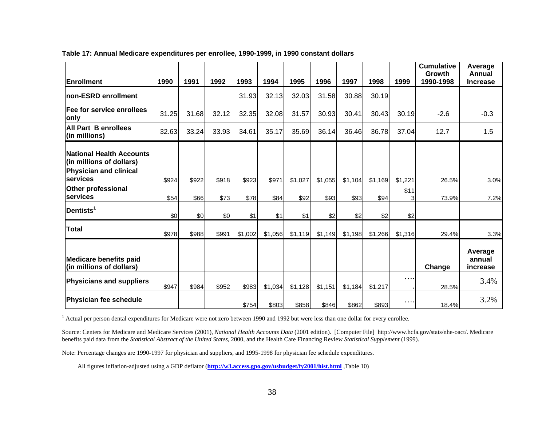| <b>Enrollment</b>                                         | 1990  | 1991  | 1992  | 1993    | 1994    | 1995    | 1996    | 1997    | 1998    | 1999      | <b>Cumulative</b><br>Growth<br>1990-1998 | Average<br>Annual<br><b>Increase</b> |
|-----------------------------------------------------------|-------|-------|-------|---------|---------|---------|---------|---------|---------|-----------|------------------------------------------|--------------------------------------|
| non-ESRD enrollment                                       |       |       |       | 31.93   | 32.13   | 32.03   | 31.58   | 30.88   | 30.19   |           |                                          |                                      |
| Fee for service enrollees<br>only                         | 31.25 | 31.68 | 32.12 | 32.35   | 32.08   | 31.57   | 30.93   | 30.41   | 30.43   | 30.19     | $-2.6$                                   | $-0.3$                               |
| <b>All Part B enrollees</b><br>(in millions)              | 32.63 | 33.24 | 33.93 | 34.61   | 35.17   | 35.69   | 36.14   | 36.46   | 36.78   | 37.04     | 12.7                                     | 1.5                                  |
| National Health Accounts<br>(in millions of dollars)      |       |       |       |         |         |         |         |         |         |           |                                          |                                      |
| <b>Physician and clinical</b><br>services                 | \$924 | \$922 | \$918 | \$923   | \$971   | \$1,027 | \$1,055 | \$1,104 | \$1,169 | \$1,221   | 26.5%                                    | 3.0%                                 |
| <b>Other professional</b><br>services                     | \$54  | \$66  | \$73  | \$78    | \$84    | \$92    | \$93    | \$93    | \$94    | \$11<br>3 | 73.9%                                    | 7.2%                                 |
| Dentists <sup>1</sup>                                     | \$0   | \$0   | \$0   | \$1     | \$1     | \$1     | \$2     | \$2     | \$2     | \$2       |                                          |                                      |
| <b>Total</b>                                              | \$978 | \$988 | \$991 | \$1,002 | \$1,056 | \$1,119 | \$1,149 | \$1,198 | \$1,266 | \$1,316   | 29.4%                                    | 3.3%                                 |
| <b>Medicare benefits paid</b><br>(in millions of dollars) |       |       |       |         |         |         |         |         |         |           | Change                                   | Average<br>annual<br>increase        |
| <b>Physicians and suppliers</b>                           | \$947 | \$984 | \$952 | \$983   | \$1,034 | \$1,128 | \$1,151 | \$1,184 | \$1,217 | $\cdots$  | 28.5%                                    | 3.4%                                 |
| Physician fee schedule                                    |       |       |       | \$754   | \$803   | \$858   | \$846   | \$862   | \$893   | $\cdots$  | 18.4%                                    | 3.2%                                 |

#### **Table 17: Annual Medicare expenditures per enrollee, 1990-1999, in 1990 constant dollars**

<sup>1</sup> Actual per person dental expenditures for Medicare were not zero between 1990 and 1992 but were less than one dollar for every enrollee.

Source: Centers for Medicare and Medicare Services (2001), *National Health Accounts Data* (2001 edition). [Computer File] http://www.hcfa.gov/stats/nhe-oact/. Medicare benefits paid data from the *Statistical Abstract of the United States*, 2000, and the Health Care Financing Review *Statistical Supplement* (1999).

Note: Percentage changes are 1990-1997 for physician and suppliers, and 1995-1998 for physician fee schedule expenditures.

All figures inflation-adjusted using a GDP deflator (**<http://w3.access.gpo.gov/usbudget/fy2001/hist.html>** ,Table 10)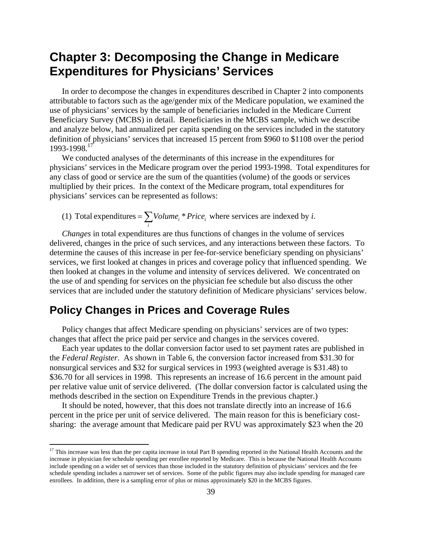# **Chapter 3: Decomposing the Change in Medicare Expenditures for Physicians' Services**

In order to decompose the changes in expenditures described in Chapter 2 into components attributable to factors such as the age/gender mix of the Medicare population, we examined the use of physicians' services by the sample of beneficiaries included in the Medicare Current Beneficiary Survey (MCBS) in detail. Beneficiaries in the MCBS sample, which we describe and analyze below, had annualized per capita spending on the services included in the statutory definition of physicians' services that increased 15 percent from \$960 to \$1108 over the period 1993-1998.[17](#page-42-0) 

We conducted analyses of the determinants of this increase in the expenditures for physicians' services in the Medicare program over the period 1993-1998. Total expenditures for any class of good or service are the sum of the quantities (volume) of the goods or services multiplied by their prices. In the context of the Medicare program, total expenditures for physicians' services can be represented as follows:

(1) Total expenditures =  $\sum$  *Volume*<sub>*i*</sub> \* *Price*<sub>i</sub> where services are indexed by *i*.  $=\sum_i Volume_i$ 

*Changes* in total expenditures are thus functions of changes in the volume of services delivered, changes in the price of such services, and any interactions between these factors. To determine the causes of this increase in per fee-for-service beneficiary spending on physicians' services, we first looked at changes in prices and coverage policy that influenced spending. We then looked at changes in the volume and intensity of services delivered. We concentrated on the use of and spending for services on the physician fee schedule but also discuss the other services that are included under the statutory definition of Medicare physicians' services below.

## **Policy Changes in Prices and Coverage Rules**

 $\overline{a}$ 

Policy changes that affect Medicare spending on physicians' services are of two types: changes that affect the price paid per service and changes in the services covered.

Each year updates to the dollar conversion factor used to set payment rates are published in the *Federal Register*. As shown in Table 6, the conversion factor increased from \$31.30 for nonsurgical services and \$32 for surgical services in 1993 (weighted average is \$31.48) to \$36.70 for all services in 1998. This represents an increase of 16.6 percent in the amount paid per relative value unit of service delivered. (The dollar conversion factor is calculated using the methods described in the section on Expenditure Trends in the previous chapter.)

It should be noted, however, that this does not translate directly into an increase of 16.6 percent in the price per unit of service delivered. The main reason for this is beneficiary costsharing: the average amount that Medicare paid per RVU was approximately \$23 when the 20

<span id="page-42-0"></span><sup>&</sup>lt;sup>17</sup> This increase was less than the per capita increase in total Part B spending reported in the National Health Accounts and the increase in physician fee schedule spending per enrollee reported by Medicare. This is because the National Health Accounts include spending on a wider set of services than those included in the statutory definition of physicians' services and the fee schedule spending includes a narrower set of services. Some of the public figures may also include spending for managed care enrollees. In addition, there is a sampling error of plus or minus approximately \$20 in the MCBS figures.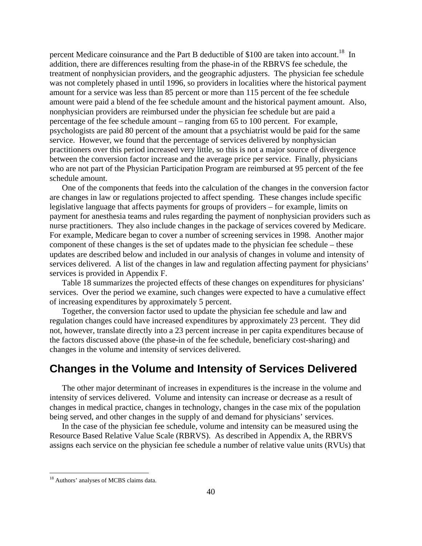percent Medicare coinsurance and the Part B deductible of \$100 are taken into account.<sup>18</sup> In addition, there are differences resulting from the phase-in of the RBRVS fee schedule, the treatment of nonphysician providers, and the geographic adjusters. The physician fee schedule was not completely phased in until 1996, so providers in localities where the historical payment amount for a service was less than 85 percent or more than 115 percent of the fee schedule amount were paid a blend of the fee schedule amount and the historical payment amount. Also, nonphysician providers are reimbursed under the physician fee schedule but are paid a percentage of the fee schedule amount – ranging from 65 to 100 percent. For example, psychologists are paid 80 percent of the amount that a psychiatrist would be paid for the same service. However, we found that the percentage of services delivered by nonphysician practitioners over this period increased very little, so this is not a major source of divergence between the conversion factor increase and the average price per service. Finally, physicians who are not part of the Physician Participation Program are reimbursed at 95 percent of the fee schedule amount.

One of the components that feeds into the calculation of the changes in the conversion factor are changes in law or regulations projected to affect spending. These changes include specific legislative language that affects payments for groups of providers – for example, limits on payment for anesthesia teams and rules regarding the payment of nonphysician providers such as nurse practitioners. They also include changes in the package of services covered by Medicare. For example, Medicare began to cover a number of screening services in 1998. Another major component of these changes is the set of updates made to the physician fee schedule – these updates are described below and included in our analysis of changes in volume and intensity of services delivered. A list of the changes in law and regulation affecting payment for physicians' services is provided in Appendix F.

Table 18 summarizes the projected effects of these changes on expenditures for physicians' services. Over the period we examine, such changes were expected to have a cumulative effect of increasing expenditures by approximately 5 percent.

Together, the conversion factor used to update the physician fee schedule and law and regulation changes could have increased expenditures by approximately 23 percent. They did not, however, translate directly into a 23 percent increase in per capita expenditures because of the factors discussed above (the phase-in of the fee schedule, beneficiary cost-sharing) and changes in the volume and intensity of services delivered.

# **Changes in the Volume and Intensity of Services Delivered**

The other major determinant of increases in expenditures is the increase in the volume and intensity of services delivered. Volume and intensity can increase or decrease as a result of changes in medical practice, changes in technology, changes in the case mix of the population being served, and other changes in the supply of and demand for physicians' services.

In the case of the physician fee schedule, volume and intensity can be measured using the Resource Based Relative Value Scale (RBRVS). As described in Appendix A, the RBRVS assigns each service on the physician fee schedule a number of relative value units (RVUs) that

1

<span id="page-43-0"></span><sup>18</sup> Authors' analyses of MCBS claims data.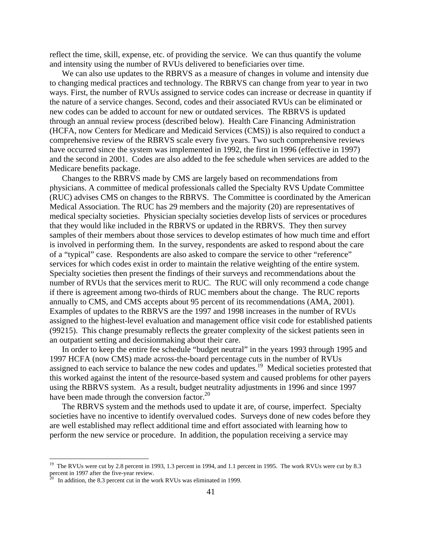reflect the time, skill, expense, etc. of providing the service. We can thus quantify the volume and intensity using the number of RVUs delivered to beneficiaries over time.

We can also use updates to the RBRVS as a measure of changes in volume and intensity due to changing medical practices and technology. The RBRVS can change from year to year in two ways. First, the number of RVUs assigned to service codes can increase or decrease in quantity if the nature of a service changes. Second, codes and their associated RVUs can be eliminated or new codes can be added to account for new or outdated services. The RBRVS is updated through an annual review process (described below). Health Care Financing Administration (HCFA, now Centers for Medicare and Medicaid Services (CMS)) is also required to conduct a comprehensive review of the RBRVS scale every five years. Two such comprehensive reviews have occurred since the system was implemented in 1992, the first in 1996 (effective in 1997) and the second in 2001. Codes are also added to the fee schedule when services are added to the Medicare benefits package.

Changes to the RBRVS made by CMS are largely based on recommendations from physicians. A committee of medical professionals called the Specialty RVS Update Committee (RUC) advises CMS on changes to the RBRVS. The Committee is coordinated by the American Medical Association. The RUC has 29 members and the majority (20) are representatives of medical specialty societies. Physician specialty societies develop lists of services or procedures that they would like included in the RBRVS or updated in the RBRVS. They then survey samples of their members about those services to develop estimates of how much time and effort is involved in performing them. In the survey, respondents are asked to respond about the care of a "typical" case. Respondents are also asked to compare the service to other "reference" services for which codes exist in order to maintain the relative weighting of the entire system. Specialty societies then present the findings of their surveys and recommendations about the number of RVUs that the services merit to RUC. The RUC will only recommend a code change if there is agreement among two-thirds of RUC members about the change. The RUC reports annually to CMS, and CMS accepts about 95 percent of its recommendations (AMA, 2001). Examples of updates to the RBRVS are the 1997 and 1998 increases in the number of RVUs assigned to the highest-level evaluation and management office visit code for established patients (99215). This change presumably reflects the greater complexity of the sickest patients seen in an outpatient setting and decisionmaking about their care.

In order to keep the entire fee schedule "budget neutral" in the years 1993 through 1995 and 1997 HCFA (now CMS) made across-the-board percentage cuts in the number of RVUs assigned to each service to balance the new codes and updates.<sup>19</sup> Medical societies protested that this worked against the intent of the resource-based system and caused problems for other payers using the RBRVS system. As a result, budget neutrality adjustments in 1996 and since 1997 have been made through the conversion factor. $^{20}$ 

The RBRVS system and the methods used to update it are, of course, imperfect.Specialty societies have no incentive to identify overvalued codes. Surveys done of new codes before they are well established may reflect additional time and effort associated with learning how to perform the new service or procedure. In addition, the population receiving a service may

<u>.</u>

<span id="page-44-0"></span><sup>&</sup>lt;sup>19</sup> The RVUs were cut by 2.8 percent in 1993, 1.3 percent in 1994, and 1.1 percent in 1995. The work RVUs were cut by 8.3 percent in 1997 after the five-year review.<br><sup>20</sup> In addition, the 8.3 percent cut in the work RVUs was eliminated in 1999.

<span id="page-44-1"></span>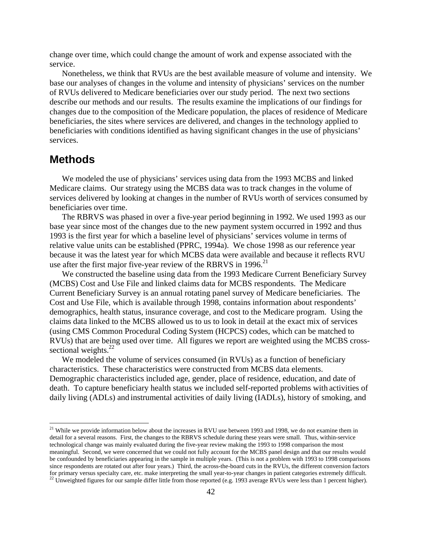change over time, which could change the amount of work and expense associated with the service.

Nonetheless, we think that RVUs are the best available measure of volume and intensity. We base our analyses of changes in the volume and intensity of physicians' services on the number of RVUs delivered to Medicare beneficiaries over our study period. The next two sections describe our methods and our results. The results examine the implications of our findings for changes due to the composition of the Medicare population, the places of residence of Medicare beneficiaries, the sites where services are delivered, and changes in the technology applied to beneficiaries with conditions identified as having significant changes in the use of physicians' services.

## **Methods**

 $\overline{a}$ 

We modeled the use of physicians' services using data from the 1993 MCBS and linked Medicare claims. Our strategy using the MCBS data was to track changes in the volume of services delivered by looking at changes in the number of RVUs worth of services consumed by beneficiaries over time.

The RBRVS was phased in over a five-year period beginning in 1992. We used 1993 as our base year since most of the changes due to the new payment system occurred in 1992 and thus 1993 is the first year for which a baseline level of physicians' services volume in terms of relative value units can be established (PPRC, 1994a). We chose 1998 as our reference year because it was the latest year for which MCBS data were available and because it reflects RVU use after the first major five-year review of the RBRVS in 1996.<sup>[21](#page-45-0)</sup>

We constructed the baseline using data from the 1993 Medicare Current Beneficiary Survey (MCBS) Cost and Use File and linked claims data for MCBS respondents. The Medicare Current Beneficiary Survey is an annual rotating panel survey of Medicare beneficiaries. The Cost and Use File, which is available through 1998, contains information about respondents' demographics, health status, insurance coverage, and cost to the Medicare program. Using the claims data linked to the MCBS allowed us to us to look in detail at the exact mix of services (using CMS Common Procedural Coding System (HCPCS) codes, which can be matched to RVUs) that are being used over time. All figures we report are weighted using the MCBS crosssectional weights. $^{22}$ 

We modeled the volume of services consumed (in RVUs) as a function of beneficiary characteristics. These characteristics were constructed from MCBS data elements. Demographic characteristics included age, gender, place of residence, education, and date of death. To capture beneficiary health status we included self-reported problems with activities of daily living (ADLs) and instrumental activities of daily living (IADLs), history of smoking, and

<span id="page-45-0"></span><sup>&</sup>lt;sup>21</sup> While we provide information below about the increases in RVU use between 1993 and 1998, we do not examine them in detail for a several reasons. First, the changes to the RBRVS schedule during these years were small. Thus, within-service technological change was mainly evaluated during the five-year review making the 1993 to 1998 comparison the most meaningful. Second, we were concerned that we could not fully account for the MCBS panel design and that our results would be confounded by beneficiaries appearing in the sample in multiple years. (This is not a problem with 1993 to 1998 comparisons since respondents are rotated out after four years.) Third, the across-the-board cuts in the RVUs, the different conversion factors for primary versus specialty care, etc. make interpreting the small year-to-year changes in patient categories extremely difficult.<br><sup>22</sup> Unweighted figures for our sample differ little from those reported (e.g. 1993 averag

<span id="page-45-1"></span>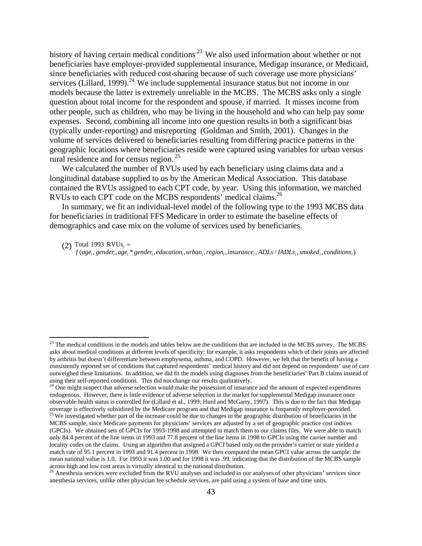history of having certain medical conditions<sup>23</sup> We also used information about whether or not beneficiaries have employer-provided supplemental insurance, Medigap insurance, or Medicaid, since beneficiaries with reduced cost-sharing because of such coverage use more physicians' services (Lillard, 1999).<sup>[24](#page-46-1)</sup> We include supplemental insurance status but not income in our models because the latter is extremely unreliable in the MCBS. The MCBS asks only a single question about total income for the respondent and spouse, if married. It misses income from other people, such as children, who may be living in the household and who can help pay some expenses. Second, combining all income into one question results in both a significant bias (typically under-reporting) and misreporting (Goldman and Smith, 2001). Changes in the volume of services delivered to beneficiaries resulting fromdiffering practice patterns in the geographic locations where beneficiaries reside were captured using variables for urban versus rural residence and for census region. [25](#page-46-2)

We calculated the number of RVUs used by each beneficiary using claims data and a longitudinal database supplied to us by the American Medical Association. This database contained the RVUs assigned to each CPT code, by year. Using this information, we matched RVUs to each CPT code on the MCBS respondents' medical claims. [26](#page-46-3) 

In summary, we fit an individual-level model of the following type to the 1993 MCBS data for beneficiaries in traditional FFS Medicare in order to estimate the baseline effects of demographics and case mix on the volume of services used by beneficiaries.

Total 1993  $RVUs_i =$ 

1

(2) Total 1993 RVUs<sub>i</sub> =<br>f(age<sub>i</sub>, gender<sub>i</sub>, age<sub>i</sub>\* gender<sub>i</sub>, education<sub>i</sub>, urban<sub>i</sub>, region<sub>i</sub>, insurance<sub>i</sub>, ADLs / IADLs<sub>i</sub>, smoked<sub>i</sub>, conditions<sub>i</sub>)

<span id="page-46-0"></span> $23$  The medical conditions in the models and tables below are the conditions that are included in the MCBS survey. The MCBS asks about medical conditions at different levels of specificity: for example, it asks respondents which of their joints are affected by arthritis but doesn't differentiate between emphysema, asthma, and COPD. However, we felt that the benefit of having a consistently reported set of conditions that captured respondents' medical history and did not depend on respondents' use of care outweighed these limitations. In addition, we did fit the models using diagnoses from the beneficiaries' Part B claims instead of using their self-reported conditions. This did not change our results qualitatively.<br><sup>24</sup> One might suspect that adverse selection would make the possession of insurance and the amount of expected expenditures

<span id="page-46-2"></span><span id="page-46-1"></span>endogenous. However, there is little evidence of adverse selection in the market for supplemental Medigap insurance once observable health status is controlled for (Lillard et al., 1999; Hurd and McGarry, 1997). This is due to the fact that Medigap coverage is effectively subsidized by the Medicare program and that Medigap insurance is frequently employer-provided.<br><sup>25</sup> We investigated whether part of the increase could be due to changes in the geographic distributio MCBS sample, since Medicare payments for physicians' services are adjusted by a set of geographic practice cost indices (GPCIs). We obtained sets of GPCIs for 1993-1998 and attempted to match them to our claims files. We were able to match only 84.4 percent of the line items in 1993 and 77.8 percent of the line items in 1998 to GPCIs using the carrier number and locality codes on the claims. Using an algorithm that assigned a GPCI based only on the provider's carrier or state yielded a match rate of 95.1 percent in 1993 and 91.4 percent in 1998. We then computed the mean GPCI value across the sample: the mean national value is 1.0. For 1993 it was 1.00 and for 1998 it was .99, indicating that the distribution of the MCBS sample across high and low cost areas is virtually identical to the national distribution.<br><sup>26</sup> Anesthesia services were excluded from the RVU analyses and included in our analyses of other physicians' services since

<span id="page-46-3"></span>anesthesia services, unlike other physician fee schedule services, are paid using a system of base and time units.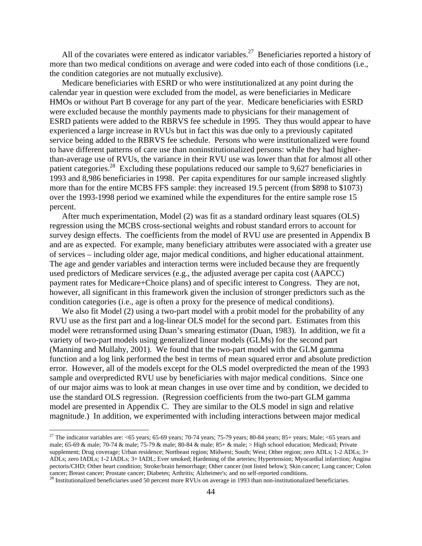All of the covariates were entered as indicator variables.<sup>27</sup> Beneficiaries reported a history of more than two medical conditions on average and were coded into each of those conditions (i.e., the condition categories are not mutually exclusive).

Medicare beneficiaries with ESRD or who were institutionalized at any point during the calendar year in question were excluded from the model, as were beneficiaries in Medicare HMOs or without Part B coverage for any part of the year. Medicare beneficiaries with ESRD were excluded because the monthly payments made to physicians for their management of ESRD patients were added to the RBRVS fee schedule in 1995.They thus would appear to have experienced a large increase in RVUs but in fact this was due only to a previously capitated service being added to the RBRVS fee schedule. Persons who were institutionalized were found to have different patterns of care use than noninstitutionalized persons: while they had higherthan-average use of RVUs, the variance in their RVU use was lower than that for almost all other patient categories[.28](#page-47-1) Excluding these populations reduced our sample to 9,627 beneficiaries in 1993 and 8,986 beneficiaries in 1998. Per capita expenditures for our sample increased slightly more than for the entire MCBS FFS sample: they increased 19.5 percent (from \$898 to \$1073) over the 1993-1998 period we examined while the expenditures for the entire sample rose 15 percent.

After much experimentation, Model (2) was fit as a standard ordinary least squares (OLS) regression using the MCBS cross-sectional weights and robust standard errors to account for survey design effects. The coefficients from the model of RVU use are presented in Appendix B and are as expected. For example, many beneficiary attributes were associated with a greater use of services – including older age, major medical conditions, and higher educational attainment. The age and gender variables and interaction terms were included because they are frequently used predictors of Medicare services (e.g., the adjusted average per capita cost (AAPCC) payment rates for Medicare+Choice plans) and of specific interest to Congress. They are not, however, all significant in this framework given the inclusion of stronger predictors such as the condition categories (i.e., age is often a proxy for the presence of medical conditions).

We also fit Model (2) using a two-part model with a probit model for the probability of any RVU use as the first part and a log-linear OLS model for the second part. Estimates from this model were retransformed using Duan's smearing estimator (Duan, 1983). In addition, we fit a variety of two-part models using generalized linear models (GLMs) for the second part (Manning and Mullahy, 2001). We found that the two-part model with the GLM gamma function and a log link performed the best in terms of mean squared error and absolute prediction error. However, all of the models except for the OLS model overpredicted the mean of the 1993 sample and overpredicted RVU use by beneficiaries with major medical conditions. Since one of our major aims was to look at mean changes in use over time and by condition, we decided to use the standard OLS regression. (Regression coefficients from the two-part GLM gamma model are presented in Appendix C. They are similar to the OLS model in sign and relative magnitude.)In addition, we experimented with including interactions between major medical

 $\overline{a}$ 

<span id="page-47-0"></span><sup>&</sup>lt;sup>27</sup> The indicator variables are:  $\lt 65$  years; 65-69 years; 70-74 years; 75-79 years; 80-84 years; 85+ years; Male;  $\lt 65$  years and male; 65-69 & male; 70-74 & male; 75-79 & male; 80-84 & male;  $85 +$  & male;  $>$  High school education; Medicaid; Private supplement; Drug coverage; Urban residence; Northeast region; Midwest; South; West; Other region; zero ADLs; 1-2 ADLs; 3+ ADLs; zero IADLs; 1-2 IADLs; 3+ IADL; Ever smoked; Hardening of the arteries; Hypertension; Myocardial infarction; Angina pectoris/CHD; Other heart condition; Stroke/brain hemorrhage; Other cancer (not listed below); Skin cancer; Lung cancer; Colon cancer; Breast cancer; Prostate cancer; Diabetes; Arthritis; Alzheimer's; and no self-reported conditions.<br><sup>28</sup> Institutionalized beneficiaries used 50 percent more RVUs on average in 1993 than non-institutionalized benefi

<span id="page-47-1"></span>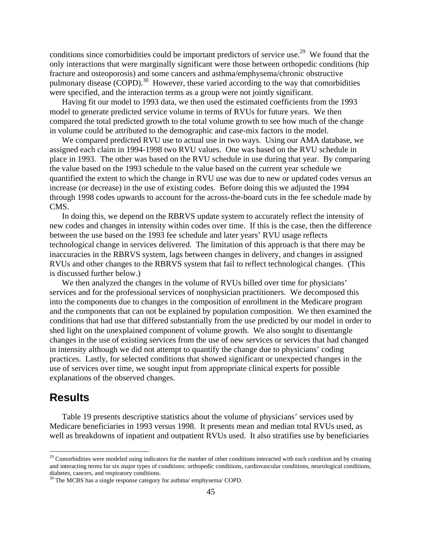conditions since comorbidities could be important predictors of service use.<sup>29</sup> We found that the only interactions that were marginally significant were those between orthopedic conditions (hip fracture and osteoporosis) and some cancers and asthma/emphysema/chronic obstructive pulmonary disease (COPD).<sup>30</sup> However, these varied according to the way that comorbidities were specified, and the interaction terms as a group were not jointly significant.

Having fit our model to 1993 data, we then used the estimated coefficients from the 1993 model to generate predicted service volume in terms of RVUs for future years. We then compared the total predicted growth to the total volume growth to see how much of the change in volume could be attributed to the demographic and case-mix factors in the model.

We compared predicted RVU use to actual use in two ways. Using our AMA database, we assigned each claim in 1994-1998 two RVU values. One was based on the RVU schedule in place in 1993. The other was based on the RVU schedule in use during that year. By comparing the value based on the 1993 schedule to the value based on the current year schedule we quantified the extent to which the change in RVU use was due to new or updated codes versus an increase (or decrease) in the use of existing codes. Before doing this we adjusted the 1994 through 1998 codes upwards to account for the across-the-board cuts in the fee schedule made by CMS.

In doing this, we depend on the RBRVS update system to accurately reflect the intensity of new codes and changes in intensity within codes over time. If this is the case, then the difference between the use based on the 1993 fee schedule and later years' RVU usage reflects technological change in services delivered. The limitation of this approach is that there may be inaccuracies in the RBRVS system, lags between changes in delivery, and changes in assigned RVUs and other changes to the RBRVS system that fail to reflect technological changes. (This is discussed further below.)

We then analyzed the changes in the volume of RVUs billed over time for physicians' services and for the professional services of nonphysician practitioners. We decomposed this into the components due to changes in the composition of enrollment in the Medicare program and the components that can not be explained by population composition. We then examined the conditions that had use that differed substantially from the use predicted by our model in order to shed light on the unexplained component of volume growth. We also sought to disentangle changes in the use of existing services from the use of new services or services that had changed in intensity although we did not attempt to quantify the change due to physicians' coding practices. Lastly, for selected conditions that showed significant or unexpected changes in the use of services over time, we sought input from appropriate clinical experts for possible explanations of the observed changes.

## **Results**

 $\overline{a}$ 

Table 19 presents descriptive statistics about the volume of physicians' services used by Medicare beneficiaries in 1993 versus 1998. It presents mean and median total RVUs used, as well as breakdowns of inpatient and outpatient RVUs used. It also stratifies use by beneficiaries

<span id="page-48-0"></span> $29$  Comorbidities were modeled using indicators for the number of other conditions interacted with each condition and by creating and interacting terms for six major types of conditions: orthopedic conditions, cardiovascular conditions, neurological conditions, diabetes, cancers, and respiratory conditions.  $30$  The MCBS has a single response category for asthma/ emphysema/ COPD.

<span id="page-48-1"></span>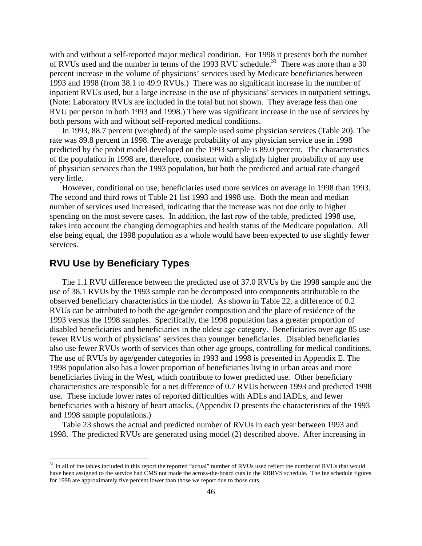with and without a self-reported major medical condition. For 1998 it presents both the number of RVUs used and the number in terms of the 1993 RVU schedule.<sup>31</sup> There was more than a 30 percent increase in the volume of physicians' services used by Medicare beneficiaries between 1993 and 1998 (from 38.1 to 49.9 RVUs.) There was no significant increase in the number of inpatient RVUs used, but a large increase in the use of physicians' services in outpatient settings. (Note: Laboratory RVUs are included in the total but not shown. They average less than one RVU per person in both 1993 and 1998.) There was significant increase in the use of services by both persons with and without self-reported medical conditions.

In 1993, 88.7 percent (weighted) of the sample used some physician services (Table 20). The rate was 89.8 percent in 1998. The average probability of any physician service use in 1998 predicted by the probit model developed on the 1993 sample is 89.0 percent. The characteristics of the population in 1998 are, therefore, consistent with a slightly higher probability of any use of physician services than the 1993 population, but both the predicted and actual rate changed very little.

However, conditional on use, beneficiaries used more services on average in 1998 than 1993. The second and third rows of Table 21 list 1993 and 1998 use. Both the mean and median number of services used increased, indicating that the increase was not due only to higher spending on the most severe cases. In addition, the last row of the table, predicted 1998 use, takes into account the changing demographics and health status of the Medicare population. All else being equal, the 1998 population as a whole would have been expected to use slightly fewer services.

## **RVU Use by Beneficiary Types**

 $\overline{a}$ 

The 1.1 RVU difference between the predicted use of 37.0 RVUs by the 1998 sample and the use of 38.1 RVUs by the 1993 sample can be decomposed into components attributable to the observed beneficiary characteristics in the model. As shown in Table 22, a difference of 0.2 RVUs can be attributed to both the age/gender composition and the place of residence of the 1993 versus the 1998 samples. Specifically, the 1998 population has a greater proportion of disabled beneficiaries and beneficiaries in the oldest age category. Beneficiaries over age 85 use fewer RVUs worth of physicians' services than younger beneficiaries. Disabled beneficiaries also use fewer RVUs worth of services than other age groups, controlling for medical conditions. The use of RVUs by age/gender categories in 1993 and 1998 is presented in Appendix E. The 1998 population also has a lower proportion of beneficiaries living in urban areas and more beneficiaries living in the West, which contribute to lower predicted use. Other beneficiary characteristics are responsible for a net difference of 0.7 RVUs between 1993 and predicted 1998 use. These include lower rates of reported difficulties with ADLs and IADLs, and fewer beneficiaries with a history of heart attacks. (Appendix D presents the characteristics of the 1993 and 1998 sample populations.)

Table 23 shows the actual and predicted number of RVUs in each year between 1993 and 1998. The predicted RVUs are generated using model (2) described above. After increasing in

<span id="page-49-0"></span><sup>&</sup>lt;sup>31</sup> In all of the tables included in this report the reported "actual" number of RVUs used reflect the number of RVUs that would have been assigned to the service had CMS not made the across-the-board cuts in the RBRVS schedule. The fee schedule figures for 1998 are approximately five percent lower than those we report due to those cuts.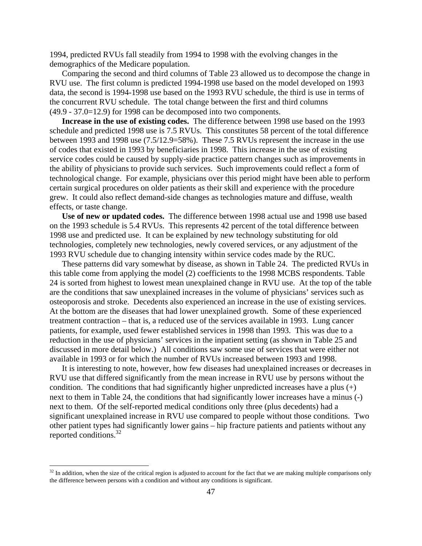1994, predicted RVUs fall steadily from 1994 to 1998 with the evolving changes in the demographics of the Medicare population.

Comparing the second and third columns of Table 23 allowed us to decompose the change in RVU use. The first column is predicted 1994-1998 use based on the model developed on 1993 data, the second is 1994-1998 use based on the 1993 RVU schedule, the third is use in terms of the concurrent RVU schedule. The total change between the first and third columns (49.9 - 37.0=12.9) for 1998 can be decomposed into two components.

**Increase in the use of existing codes.** The difference between 1998 use based on the 1993 schedule and predicted 1998 use is 7.5 RVUs. This constitutes 58 percent of the total difference between 1993 and 1998 use (7.5/12.9=58%). These 7.5 RVUs represent the increase in the use of codes that existed in 1993 by beneficiaries in 1998. This increase in the use of existing service codes could be caused by supply-side practice pattern changes such as improvements in the ability of physicians to provide such services. Such improvements could reflect a form of technological change. For example, physicians over this period might have been able to perform certain surgical procedures on older patients as their skill and experience with the procedure grew. It could also reflect demand-side changes as technologies mature and diffuse, wealth effects, or taste change.

**Use of new or updated codes.** The difference between 1998 actual use and 1998 use based on the 1993 schedule is 5.4 RVUs. This represents 42 percent of the total difference between 1998 use and predicted use. It can be explained by new technology substituting for old technologies, completely new technologies, newly covered services, or any adjustment of the 1993 RVU schedule due to changing intensity within service codes made by the RUC.

These patterns did vary somewhat by disease, as shown in Table 24. The predicted RVUs in this table come from applying the model (2) coefficients to the 1998 MCBS respondents. Table 24 is sorted from highest to lowest mean unexplained change in RVU use. At the top of the table are the conditions that saw unexplained increases in the volume of physicians' services such as osteoporosis and stroke. Decedents also experienced an increase in the use of existing services. At the bottom are the diseases that had lower unexplained growth. Some of these experienced treatment contraction – that is, a reduced use of the services available in 1993. Lung cancer patients, for example, used fewer established services in 1998 than 1993. This was due to a reduction in the use of physicians' services in the inpatient setting (as shown in Table 25 and discussed in more detail below.) All conditions saw some use of services that were either not available in 1993 or for which the number of RVUs increased between 1993 and 1998.

It is interesting to note, however, how few diseases had unexplained increases or decreases in RVU use that differed significantly from the mean increase in RVU use by persons without the condition. The conditions that had significantly higher unpredicted increases have a plus  $(+)$ next to them in Table 24, the conditions that had significantly lower increases have a minus (-) next to them. Of the self-reported medical conditions only three (plus decedents) had a significant unexplained increase in RVU use compared to people without those conditions. Two other patient types had significantly lower gains – hip fracture patients and patients without any reported conditions.<sup>32</sup>

 $\overline{a}$ 

<span id="page-50-0"></span> $32$  In addition, when the size of the critical region is adjusted to account for the fact that we are making multiple comparisons only the difference between persons with a condition and without any conditions is significant.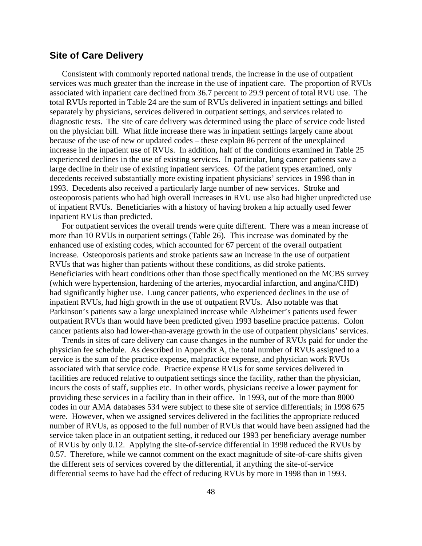### **Site of Care Delivery**

Consistent with commonly reported national trends, the increase in the use of outpatient services was much greater than the increase in the use of inpatient care. The proportion of RVUs associated with inpatient care declined from 36.7 percent to 29.9 percent of total RVU use. The total RVUs reported in Table 24 are the sum of RVUs delivered in inpatient settings and billed separately by physicians, services delivered in outpatient settings, and services related to diagnostic tests. The site of care delivery was determined using the place of service code listed on the physician bill. What little increase there was in inpatient settings largely came about because of the use of new or updated codes – these explain 86 percent of the unexplained increase in the inpatient use of RVUs. In addition, half of the conditions examined in Table 25 experienced declines in the use of existing services. In particular, lung cancer patients saw a large decline in their use of existing inpatient services. Of the patient types examined, only decedents received substantially more existing inpatient physicians' services in 1998 than in 1993. Decedents also received a particularly large number of new services. Stroke and osteoporosis patients who had high overall increases in RVU use also had higher unpredicted use of inpatient RVUs. Beneficiaries with a history of having broken a hip actually used fewer inpatient RVUs than predicted.

For outpatient services the overall trends were quite different. There was a mean increase of more than 10 RVUs in outpatient settings (Table 26). This increase was dominated by the enhanced use of existing codes, which accounted for 67 percent of the overall outpatient increase. Osteoporosis patients and stroke patients saw an increase in the use of outpatient RVUs that was higher than patients without these conditions, as did stroke patients. Beneficiaries with heart conditions other than those specifically mentioned on the MCBS survey (which were hypertension, hardening of the arteries, myocardial infarction, and angina/CHD) had significantly higher use. Lung cancer patients, who experienced declines in the use of inpatient RVUs, had high growth in the use of outpatient RVUs. Also notable was that Parkinson's patients saw a large unexplained increase while Alzheimer's patients used fewer outpatient RVUs than would have been predicted given 1993 baseline practice patterns. Colon cancer patients also had lower-than-average growth in the use of outpatient physicians' services.

Trends in sites of care delivery can cause changes in the number of RVUs paid for under the physician fee schedule. As described in Appendix A, the total number of RVUs assigned to a service is the sum of the practice expense, malpractice expense, and physician work RVUs associated with that service code. Practice expense RVUs for some services delivered in facilities are reduced relative to outpatient settings since the facility, rather than the physician, incurs the costs of staff, supplies etc. In other words, physicians receive a lower payment for providing these services in a facility than in their office. In 1993, out of the more than 8000 codes in our AMA databases 534 were subject to these site of service differentials; in 1998 675 were. However, when we assigned services delivered in the facilities the appropriate reduced number of RVUs, as opposed to the full number of RVUs that would have been assigned had the service taken place in an outpatient setting, it reduced our 1993 per beneficiary average number of RVUs by only 0.12. Applying the site-of-service differential in 1998 reduced the RVUs by 0.57. Therefore, while we cannot comment on the exact magnitude of site-of-care shifts given the different sets of services covered by the differential, if anything the site-of-service differential seems to have had the effect of reducing RVUs by more in 1998 than in 1993.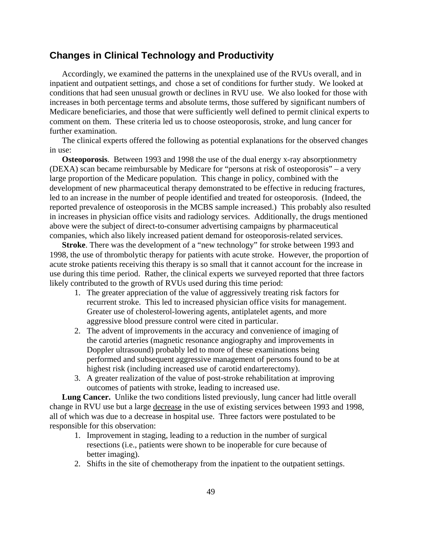### **Changes in Clinical Technology and Productivity**

Accordingly, we examined the patterns in the unexplained use of the RVUs overall, and in inpatient and outpatient settings, and chose a set of conditions for further study. We looked at conditions that had seen unusual growth or declines in RVU use. We also looked for those with increases in both percentage terms and absolute terms, those suffered by significant numbers of Medicare beneficiaries, and those that were sufficiently well defined to permit clinical experts to comment on them. These criteria led us to choose osteoporosis, stroke, and lung cancer for further examination.

The clinical experts offered the following as potential explanations for the observed changes in use:

**Osteoporosis**. Between 1993 and 1998 the use of the dual energy x-ray absorptionmetry (DEXA) scan became reimbursable by Medicare for "persons at risk of osteoporosis" – a very large proportion of the Medicare population. This change in policy, combined with the development of new pharmaceutical therapy demonstrated to be effective in reducing fractures, led to an increase in the number of people identified and treated for osteoporosis. (Indeed, the reported prevalence of osteoporosis in the MCBS sample increased.) This probably also resulted in increases in physician office visits and radiology services. Additionally, the drugs mentioned above were the subject of direct-to-consumer advertising campaigns by pharmaceutical companies, which also likely increased patient demand for osteoporosis-related services.

**Stroke**. There was the development of a "new technology" for stroke between 1993 and 1998, the use of thrombolytic therapy for patients with acute stroke. However, the proportion of acute stroke patients receiving this therapy is so small that it cannot account for the increase in use during this time period. Rather, the clinical experts we surveyed reported that three factors likely contributed to the growth of RVUs used during this time period:

- 1. The greater appreciation of the value of aggressively treating risk factors for recurrent stroke. This led to increased physician office visits for management. Greater use of cholesterol-lowering agents, antiplatelet agents, and more aggressive blood pressure control were cited in particular.
- 2. The advent of improvements in the accuracy and convenience of imaging of the carotid arteries (magnetic resonance angiography and improvements in Doppler ultrasound) probably led to more of these examinations being performed and subsequent aggressive management of persons found to be at highest risk (including increased use of carotid endarterectomy).
- 3. A greater realization of the value of post-stroke rehabilitation at improving outcomes of patients with stroke, leading to increased use.

**Lung Cancer.** Unlike the two conditions listed previously, lung cancer had little overall change in RVU use but a large decrease in the use of existing services between 1993 and 1998, all of which was due to a decrease in hospital use. Three factors were postulated to be responsible for this observation:

- 1. Improvement in staging, leading to a reduction in the number of surgical resections (i.e., patients were shown to be inoperable for cure because of better imaging).
- 2. Shifts in the site of chemotherapy from the inpatient to the outpatient settings.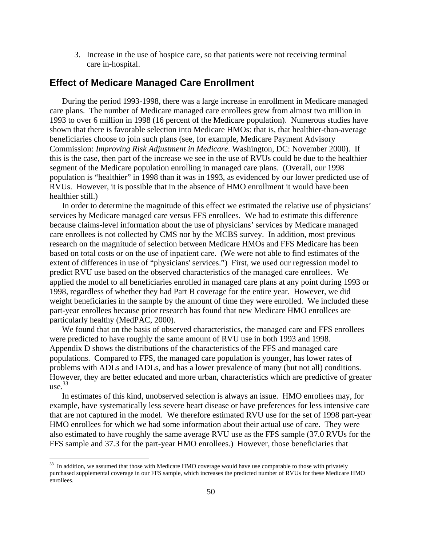3. Increase in the use of hospice care, so that patients were not receiving terminal care in-hospital.

### **Effect of Medicare Managed Care Enrollment**

During the period 1993-1998, there was a large increase in enrollment in Medicare managed care plans. The number of Medicare managed care enrollees grew from almost two million in 1993 to over 6 million in 1998 (16 percent of the Medicare population). Numerous studies have shown that there is favorable selection into Medicare HMOs: that is, that healthier-than-average beneficiaries choose to join such plans (see, for example, Medicare Payment Advisory Commission: *Improving Risk Adjustment in Medicare.* Washington, DC: November 2000). If this is the case, then part of the increase we see in the use of RVUs could be due to the healthier segment of the Medicare population enrolling in managed care plans. (Overall, our 1998 population is "healthier" in 1998 than it was in 1993, as evidenced by our lower predicted use of RVUs. However, it is possible that in the absence of HMO enrollment it would have been healthier still.)

In order to determine the magnitude of this effect we estimated the relative use of physicians' services by Medicare managed care versus FFS enrollees. We had to estimate this difference because claims-level information about the use of physicians' services by Medicare managed care enrollees is not collected by CMS nor by the MCBS survey. In addition, most previous research on the magnitude of selection between Medicare HMOs and FFS Medicare has been based on total costs or on the use of inpatient care. (We were not able to find estimates of the extent of differences in use of "physicians' services.") First, we used our regression model to predict RVU use based on the observed characteristics of the managed care enrollees. We applied the model to all beneficiaries enrolled in managed care plans at any point during 1993 or 1998, regardless of whether they had Part B coverage for the entire year. However, we did weight beneficiaries in the sample by the amount of time they were enrolled. We included these part-year enrollees because prior research has found that new Medicare HMO enrollees are particularly healthy (MedPAC, 2000).

We found that on the basis of observed characteristics, the managed care and FFS enrollees were predicted to have roughly the same amount of RVU use in both 1993 and 1998. Appendix D shows the distributions of the characteristics of the FFS and managed care populations. Compared to FFS, the managed care population is younger, has lower rates of problems with ADLs and IADLs, and has a lower prevalence of many (but not all) conditions. However, they are better educated and more urban, characteristics which are predictive of greater  $use.<sup>33</sup>$ 

In estimates of this kind, unobserved selection is always an issue. HMO enrollees may, for example, have systematically less severe heart disease or have preferences for less intensive care that are not captured in the model. We therefore estimated RVU use for the set of 1998 part-year HMO enrollees for which we had some information about their actual use of care. They were also estimated to have roughly the same average RVU use as the FFS sample (37.0 RVUs for the FFS sample and 37.3 for the part-year HMO enrollees.) However, those beneficiaries that

<u>.</u>

<span id="page-53-0"></span><sup>&</sup>lt;sup>33</sup> In addition, we assumed that those with Medicare HMO coverage would have use comparable to those with privately purchased supplemental coverage in our FFS sample, which increases the predicted number of RVUs for these Medicare HMO enrollees.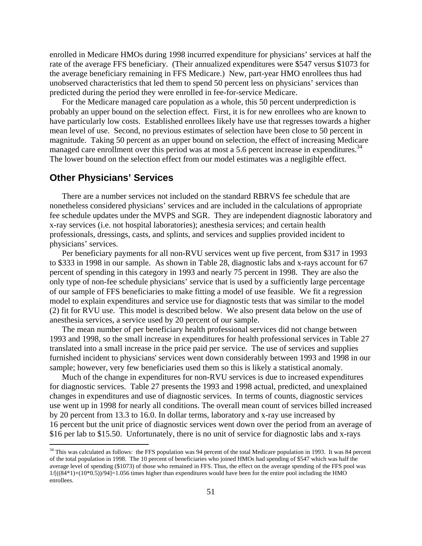enrolled in Medicare HMOs during 1998 incurred expenditure for physicians' services at half the rate of the average FFS beneficiary. (Their annualized expenditures were \$547 versus \$1073 for the average beneficiary remaining in FFS Medicare.) New, part-year HMO enrollees thus had unobserved characteristics that led them to spend 50 percent less on physicians' services than predicted during the period they were enrolled in fee-for-service Medicare.

For the Medicare managed care population as a whole, this 50 percent underprediction is probably an upper bound on the selection effect. First, it is for new enrollees who are known to have particularly low costs. Established enrollees likely have use that regresses towards a higher mean level of use. Second, no previous estimates of selection have been close to 50 percent in magnitude. Taking 50 percent as an upper bound on selection, the effect of increasing Medicare managed care enrollment over this period was at most a 5.6 percent increase in expenditures.<sup>34</sup> The lower bound on the selection effect from our model estimates was a negligible effect.

### **Other Physicians' Services**

 $\overline{a}$ 

There are a number services not included on the standard RBRVS fee schedule that are nonetheless considered physicians' services and are included in the calculations of appropriate fee schedule updates under the MVPS and SGR. They are independent diagnostic laboratory and x-ray services (i.e. not hospital laboratories); anesthesia services; and certain health professionals, dressings, casts, and splints, and services and supplies provided incident to physicians' services.

Per beneficiary payments for all non-RVU services went up five percent, from \$317 in 1993 to \$333 in 1998 in our sample. As shown in Table 28, diagnostic labs and x-rays account for 67 percent of spending in this category in 1993 and nearly 75 percent in 1998. They are also the only type of non-fee schedule physicians' service that is used by a sufficiently large percentage of our sample of FFS beneficiaries to make fitting a model of use feasible. We fit a regression model to explain expenditures and service use for diagnostic tests that was similar to the model (2) fit for RVU use. This model is described below. We also present data below on the use of anesthesia services, a service used by 20 percent of our sample.

The mean number of per beneficiary health professional services did not change between 1993 and 1998, so the small increase in expenditures for health professional services in Table 27 translated into a small increase in the price paid per service. The use of services and supplies furnished incident to physicians' services went down considerably between 1993 and 1998 in our sample; however, very few beneficiaries used them so this is likely a statistical anomaly.

Much of the change in expenditures for non-RVU services is due to increased expenditures for diagnostic services. Table 27 presents the 1993 and 1998 actual, predicted, and unexplained changes in expenditures and use of diagnostic services. In terms of counts, diagnostic services use went up in 1998 for nearly all conditions. The overall mean count of services billed increased by 20 percent from 13.3 to 16.0. In dollar terms, laboratory and x-ray use increased by 16 percent but the unit price of diagnostic services went down over the period from an average of \$16 per lab to \$15.50. Unfortunately, there is no unit of service for diagnostic labs and x-rays

<span id="page-54-0"></span><sup>&</sup>lt;sup>34</sup> This was calculated as follows: the FFS population was 94 percent of the total Medicare population in 1993. It was 84 percent of the total population in 1998. The 10 percent of beneficiaries who joined HMOs had spending of \$547 which was half the average level of spending (\$1073) of those who remained in FFS. Thus, the effect on the average spending of the FFS pool was  $1/[((84*1)+(10*0.5))/94] = 1.056$  times higher than expenditures would have been for the entire pool including the HMO enrollees.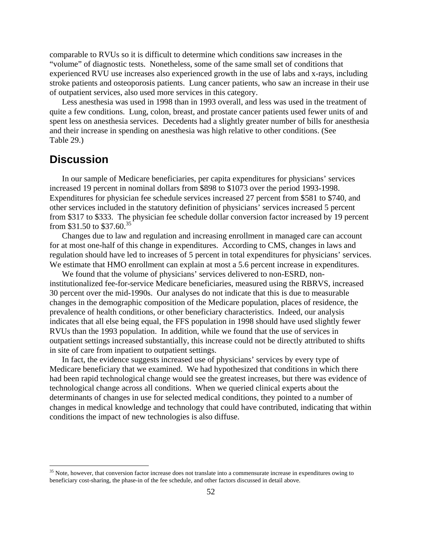comparable to RVUs so it is difficult to determine which conditions saw increases in the "volume" of diagnostic tests. Nonetheless, some of the same small set of conditions that experienced RVU use increases also experienced growth in the use of labs and x-rays, including stroke patients and osteoporosis patients. Lung cancer patients, who saw an increase in their use of outpatient services, also used more services in this category.

Less anesthesia was used in 1998 than in 1993 overall, and less was used in the treatment of quite a few conditions. Lung, colon, breast, and prostate cancer patients used fewer units of and spent less on anesthesia services. Decedents had a slightly greater number of bills for anesthesia and their increase in spending on anesthesia was high relative to other conditions. (See Table 29.)

## **Discussion**

 $\overline{a}$ 

In our sample of Medicare beneficiaries, per capita expenditures for physicians' services increased 19 percent in nominal dollars from \$898 to \$1073 over the period 1993-1998. Expenditures for physician fee schedule services increased 27 percent from \$581 to \$740, and other services included in the statutory definition of physicians' services increased 5 percent from \$317 to \$333. The physician fee schedule dollar conversion factor increased by 19 percent from \$31.50 to \$37.60.<sup>[35](#page-55-0)</sup>

Changes due to law and regulation and increasing enrollment in managed care can account for at most one-half of this change in expenditures. According to CMS, changes in laws and regulation should have led to increases of 5 percent in total expenditures for physicians' services. We estimate that HMO enrollment can explain at most a 5.6 percent increase in expenditures.

We found that the volume of physicians' services delivered to non-ESRD, noninstitutionalized fee-for-service Medicare beneficiaries, measured using the RBRVS, increased 30 percent over the mid-1990s. Our analyses do not indicate that this is due to measurable changes in the demographic composition of the Medicare population, places of residence, the prevalence of health conditions, or other beneficiary characteristics. Indeed, our analysis indicates that all else being equal, the FFS population in 1998 should have used slightly fewer RVUs than the 1993 population. In addition, while we found that the use of services in outpatient settings increased substantially, this increase could not be directly attributed to shifts in site of care from inpatient to outpatient settings.

In fact, the evidence suggests increased use of physicians' services by every type of Medicare beneficiary that we examined. We had hypothesized that conditions in which there had been rapid technological change would see the greatest increases, but there was evidence of technological change across all conditions. When we queried clinical experts about the determinants of changes in use for selected medical conditions, they pointed to a number of changes in medical knowledge and technology that could have contributed, indicating that within conditions the impact of new technologies is also diffuse.

<span id="page-55-0"></span><sup>&</sup>lt;sup>35</sup> Note, however, that conversion factor increase does not translate into a commensurate increase in expenditures owing to beneficiary cost-sharing, the phase-in of the fee schedule, and other factors discussed in detail above.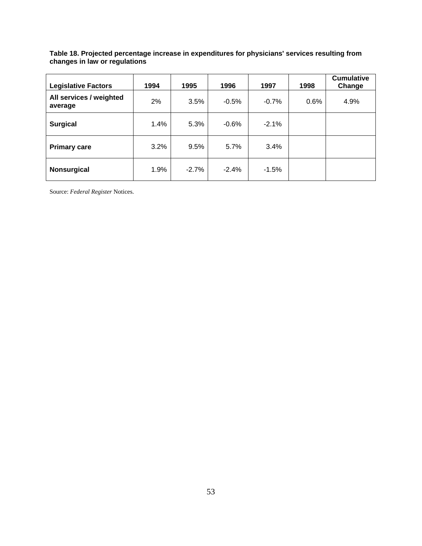#### **Table 18. Projected percentage increase in expenditures for physicians' services resulting from changes in law or regulations**

| <b>Legislative Factors</b>         | 1994 | 1995    | 1996    | 1997    | 1998 | <b>Cumulative</b><br>Change |
|------------------------------------|------|---------|---------|---------|------|-----------------------------|
| All services / weighted<br>average | 2%   | 3.5%    | $-0.5%$ | $-0.7%$ | 0.6% | 4.9%                        |
| <b>Surgical</b>                    | 1.4% | 5.3%    | $-0.6%$ | $-2.1%$ |      |                             |
| <b>Primary care</b>                | 3.2% | 9.5%    | 5.7%    | 3.4%    |      |                             |
| <b>Nonsurgical</b>                 | 1.9% | $-2.7%$ | $-2.4%$ | $-1.5%$ |      |                             |

Source: *Federal Register* Notices.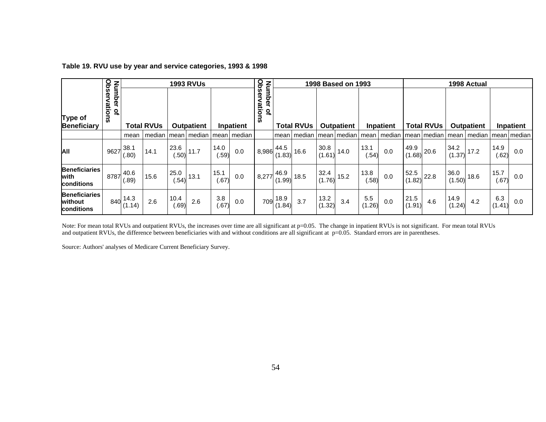|                                               |                                        |                        | <b>1993 RVUs</b>  |               |                                        |               |           |                             | 1998 Based on 1993<br>1998 Actual         |                   |                |                   |               |               |                                                            |                   |                |                   |               |               |
|-----------------------------------------------|----------------------------------------|------------------------|-------------------|---------------|----------------------------------------|---------------|-----------|-----------------------------|-------------------------------------------|-------------------|----------------|-------------------|---------------|---------------|------------------------------------------------------------|-------------------|----------------|-------------------|---------------|---------------|
| Type of<br>Beneficiary                        | Observations<br>Number<br>$\mathbf{a}$ |                        | <b>Total RVUs</b> |               | Outpatient                             |               | Inpatient | Observations<br>Number<br>읷 |                                           | <b>Total RVUs</b> |                | <b>Outpatient</b> |               | Inpatient     |                                                            | <b>Total RVUs</b> |                | <b>Outpatient</b> |               | Inpatient     |
|                                               |                                        | mean                   |                   |               | median   mean   median   mean   median |               |           |                             |                                           | mean median       |                | mean median       |               | mean   median |                                                            | mean median       |                | mean   median     |               | mean   median |
| <b>AII</b>                                    | 9627                                   | 38.1<br>(.80)          | 14.1              | 23.6<br>(.50) | 11.7                                   | 14.0<br>(.59) | 0.0       | 8,986                       | 44.5<br>(1.83)                            | 16.6              | 30.8<br>(1.61) | 14.0              | 13.1<br>(.54) | 0.0           | 49.9                                                       | $1(1.68)$ 20.6    | 34.2<br>(1.37) | 17.2              | 14.9<br>.62)  | 0.0           |
| <b>Beneficiaries</b><br>with<br>conditions    |                                        | $8787^{40.6}$<br>(.89) | 15.6              | 25.0<br>(.54) | 13.1                                   | 15.1<br>(.67) | 0.0       |                             | 46.9<br>$\left  8,277\right ^{40}$ (1.99) | 18.5              | 32.4<br>(1.76) | 15.2              | 13.8<br>(.58) | 0.0           | $\begin{array}{c c} 52.5 & 22.8 \\ (1.82) & & \end{array}$ |                   | 36.0<br>(1.50) | 18.6              | 15.7<br>(.67) | 0.0           |
| <b>Beneficiaries</b><br>without<br>conditions | 840                                    | 14.3<br>(1.14)         | 2.6               | 10.4<br>(.69) | 2.6                                    | 3.8<br>(.67)  | 0.0       | 709                         | 18.9<br>(1.84)                            | 3.7               | 13.2<br>(1.32) | 3.4               | 5.5<br>(1.26) | 0.0           | 21.5<br>(1.91)                                             | 4.6               | 14.9<br>(1.24) | 4.2               | 6.3<br>(1.41) | 0.0           |

#### **Table 19. RVU use by year and service categories, 1993 & 1998**

Note: For mean total RVUs and outpatient RVUs, the increases over time are all significant at p=0.05. The change in inpatient RVUs is not significant. For mean total RVUs and outpatient RVUs, the difference between beneficiaries with and without conditions are all significant at p=0.05. Standard errors are in parentheses.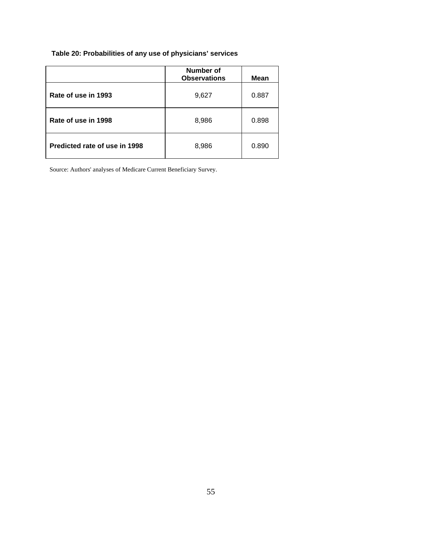# **Table 20: Probabilities of any use of physicians' services**

|                               | <b>Number of</b><br><b>Observations</b> | <b>Mean</b> |
|-------------------------------|-----------------------------------------|-------------|
| Rate of use in 1993           | 9,627                                   | 0.887       |
| Rate of use in 1998           | 8,986                                   | 0.898       |
| Predicted rate of use in 1998 | 8,986                                   | 0.890       |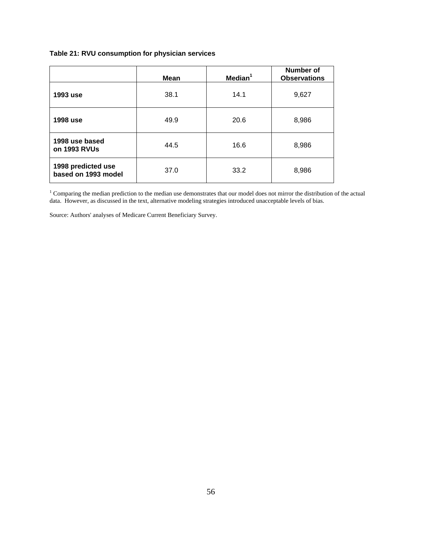#### **Table 21: RVU consumption for physician services**

|                                           | <b>Mean</b> | Median <sup>1</sup> | Number of<br><b>Observations</b> |
|-------------------------------------------|-------------|---------------------|----------------------------------|
| 1993 use                                  | 38.1        | 14.1                | 9,627                            |
| 1998 use                                  | 49.9        | 20.6                | 8,986                            |
| 1998 use based<br>on 1993 RVUs            | 44.5        | 16.6                | 8,986                            |
| 1998 predicted use<br>based on 1993 model | 37.0        | 33.2                | 8,986                            |

<sup>1</sup> Comparing the median prediction to the median use demonstrates that our model does not mirror the distribution of the actual data. However, as discussed in the text, alternative modeling strategies introduced unacceptable levels of bias.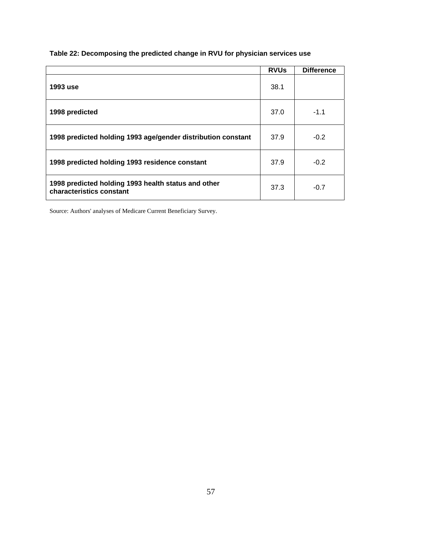### **Table 22: Decomposing the predicted change in RVU for physician services use**

|                                                                                 | <b>RVUs</b> | <b>Difference</b> |
|---------------------------------------------------------------------------------|-------------|-------------------|
| 1993 use                                                                        | 38.1        |                   |
| 1998 predicted                                                                  | 37.0        | $-1.1$            |
| 1998 predicted holding 1993 age/gender distribution constant                    | 37.9        | $-0.2$            |
| 1998 predicted holding 1993 residence constant                                  | 37.9        | $-0.2$            |
| 1998 predicted holding 1993 health status and other<br>characteristics constant | 37.3        | $-0.7$            |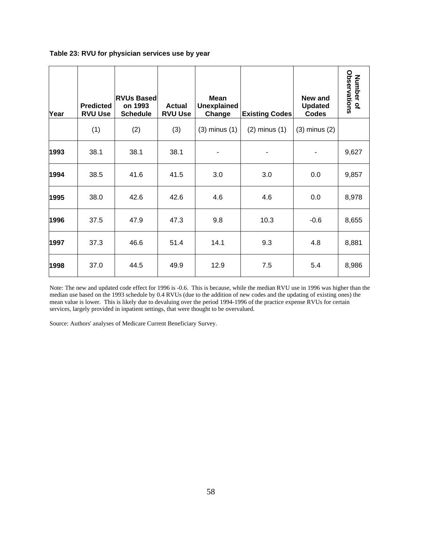| Year | <b>Predicted</b><br><b>RVU Use</b> | <b>RVUs Based</b><br>on 1993<br><b>Schedule</b> | <b>Actual</b><br><b>RVU Use</b> | <b>Mean</b><br><b>Unexplained</b><br>Change | <b>Existing Codes</b> | New and<br><b>Updated</b><br><b>Codes</b> | Observations<br>Number of |
|------|------------------------------------|-------------------------------------------------|---------------------------------|---------------------------------------------|-----------------------|-------------------------------------------|---------------------------|
|      | (1)                                | (2)                                             | (3)                             | $(3)$ minus $(1)$                           | $(2)$ minus $(1)$     | $(3)$ minus $(2)$                         |                           |
| 1993 | 38.1                               | 38.1                                            | 38.1                            |                                             |                       |                                           | 9,627                     |
| 1994 | 38.5                               | 41.6                                            | 41.5                            | 3.0                                         | 3.0                   | 0.0                                       | 9,857                     |
| 1995 | 38.0                               | 42.6                                            | 42.6                            | 4.6                                         | 4.6                   | 0.0                                       | 8,978                     |
| 1996 | 37.5                               | 47.9                                            | 47.3                            | 9.8                                         | 10.3                  | $-0.6$                                    | 8,655                     |
| 1997 | 37.3                               | 46.6                                            | 51.4                            | 14.1                                        | 9.3                   | 4.8                                       | 8,881                     |
| 1998 | 37.0                               | 44.5                                            | 49.9                            | 12.9                                        | 7.5                   | 5.4                                       | 8,986                     |

#### **Table 23: RVU for physician services use by year**

Note: The new and updated code effect for 1996 is -0.6. This is because, while the median RVU use in 1996 was higher than the median use based on the 1993 schedule by 0.4 RVUs (due to the addition of new codes and the updating of existing ones) the mean value is lower. This is likely due to devaluing over the period 1994-1996 of the practice expense RVUs for certain services, largely provided in inpatient settings, that were thought to be overvalued.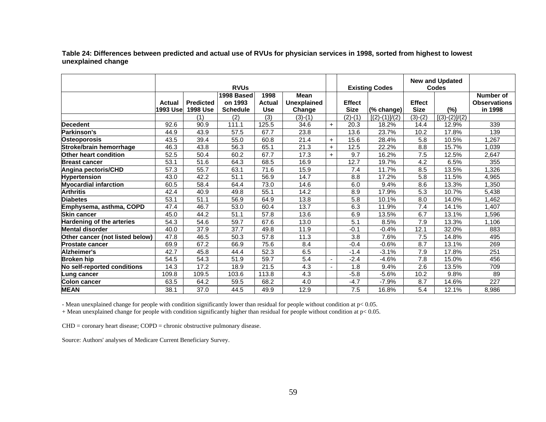**Table 24: Differences between predicted and actual use of RVUs for physician services in 1998, sorted from highest to lowest unexplained change**

|                                  | <b>RVUs</b>                       |                                     |                                          |                                     |                                             |            |                              | <b>Existing Codes</b> | <b>New and Updated</b><br><b>Codes</b> |                 |                                             |
|----------------------------------|-----------------------------------|-------------------------------------|------------------------------------------|-------------------------------------|---------------------------------------------|------------|------------------------------|-----------------------|----------------------------------------|-----------------|---------------------------------------------|
|                                  | <b>Actual</b><br><b>1993 Usel</b> | <b>Predicted</b><br><b>1998 Use</b> | 1998 Based<br>on 1993<br><b>Schedule</b> | 1998<br><b>Actual</b><br><b>Use</b> | <b>Mean</b><br><b>Unexplained</b><br>Change |            | <b>Effect</b><br><b>Size</b> | (% change)            | <b>Effect</b><br><b>Size</b>           | $(\%)$          | Number of<br><b>Observations</b><br>in 1998 |
|                                  |                                   | (1)                                 | (2)                                      | (3)                                 | $(3)-(1)$                                   |            | $(2)-(1)$                    | $[(2)-(1)]/(2)$       | $(3)-(2)$                              | $[(3)-(2)]/(2)$ |                                             |
| Decedent                         | 92.6                              | 90.9                                | 111.1                                    | 125.5                               | 34.6                                        | $\ddot{+}$ | 20.3                         | 18.2%                 | 14.4                                   | 12.9%           | 339                                         |
| Parkinson's                      | 44.9                              | 43.9                                | 57.5                                     | 67.7                                | 23.8                                        |            | 13.6                         | 23.7%                 | 10.2                                   | 17.8%           | 139                                         |
| <b>Osteoporosis</b>              | 43.5                              | 39.4                                | 55.0                                     | 60.8                                | 21.4                                        | $+$        | 15.6                         | 28.4%                 | 5.8                                    | 10.5%           | 1,267                                       |
| Stroke/brain hemorrhage          | 46.3                              | 43.8                                | 56.3                                     | 65.1                                | 21.3                                        | $\ddot{}$  | 12.5                         | 22.2%                 | 8.8                                    | 15.7%           | 1,039                                       |
| Other heart condition            | 52.5                              | 50.4                                | 60.2                                     | 67.7                                | 17.3                                        | $\ddot{}$  | 9.7                          | 16.2%                 | 7.5                                    | 12.5%           | 2,647                                       |
| <b>Breast cancer</b>             | 53.1                              | 51.6                                | 64.3                                     | 68.5                                | 16.9                                        |            | 12.7                         | 19.7%                 | 4.2                                    | 6.5%            | 355                                         |
| Angina pectoris/CHD              | 57.3                              | 55.7                                | 63.1                                     | 71.6                                | 15.9                                        |            | 7.4                          | 11.7%                 | 8.5                                    | 13.5%           | ,326                                        |
| <b>Hypertension</b>              | 43.0                              | 42.2                                | 51.1                                     | 56.9                                | 14.7                                        |            | 8.8                          | 17.2%                 | 5.8                                    | 11.5%           | 4,965                                       |
| <b>Myocardial infarction</b>     | 60.5                              | 58.4                                | 64.4                                     | 73.0                                | 14.6                                        |            | 6.0                          | 9.4%                  | 8.6                                    | 13.3%           | 1,350                                       |
| <b>Arthritis</b>                 | 42.4                              | 40.9                                | 49.8                                     | 55.1                                | 14.2                                        |            | 8.9                          | 17.9%                 | 5.3                                    | 10.7%           | 5,438                                       |
| <b>Diabetes</b>                  | 53.1                              | 51.1                                | 56.9                                     | 64.9                                | 13.8                                        |            | 5.8                          | $10.1\%$              | 8.0                                    | 14.0%           | 1,462                                       |
| Emphysema, asthma, COPD          | 47.4                              | 46.7                                | 53.0                                     | 60.4                                | 13.7                                        |            | 6.3                          | 11.9%                 | 7.4                                    | 14.1%           | 1,407                                       |
| Skin cancer                      | 45.0                              | 44.2                                | 51.1                                     | 57.8                                | 13.6                                        |            | 6.9                          | 13.5%                 | 6.7                                    | 13.1%           | 1,596                                       |
| <b>Hardening of the arteries</b> | 54.3                              | 54.6                                | 59.7                                     | 67.6                                | 13.0                                        |            | 5.1                          | 8.5%                  | 7.9                                    | 13.3%           | 1,106                                       |
| <b>Mental disorder</b>           | 40.0                              | 37.9                                | 37.7                                     | 49.8                                | 11.9                                        |            | $-0.1$                       | $-0.4%$               | 12.1                                   | 32.0%           | 883                                         |
| Other cancer (not listed below)  | 47.8                              | 46.5                                | 50.3                                     | 57.8                                | 11.3                                        |            | 3.8                          | 7.6%                  | 7.5                                    | 14.8%           | 495                                         |
| <b>Prostate cancer</b>           | 69.9                              | 67.2                                | 66.9                                     | 75.6                                | 8.4                                         |            | $-0.4$                       | $-0.6%$               | 8.7                                    | 13.1%           | 269                                         |
| Alzheimer's                      | 42.7                              | 45.8                                | 44.4                                     | 52.3                                | 6.5                                         |            | $-1.4$                       | $-3.1%$               | 7.9                                    | 17.8%           | 251                                         |
| Broken hip                       | 54.5                              | 54.3                                | 51.9                                     | 59.7                                | 5.4                                         |            | $-2.4$                       | $-4.6%$               | 7.8                                    | 15.0%           | 456                                         |
| No self-reported conditions      | 14.3                              | 17.2                                | 18.9                                     | 21.5                                | 4.3                                         |            | 1.8                          | 9.4%                  | 2.6                                    | 13.5%           | 709                                         |
| Lung cancer                      | 109.8                             | 109.5                               | 103.6                                    | 113.8                               | 4.3                                         |            | $-5.8$                       | $-5.6%$               | 10.2                                   | 9.8%            | 89                                          |
| Colon cancer                     | 63.5                              | 64.2                                | 59.5                                     | 68.2                                | 4.0                                         |            | $-4.7$                       | $-7.9%$               | 8.7                                    | 14.6%           | $\overline{227}$                            |
| <b>MEAN</b>                      | 38.1                              | 37.0                                | 44.5                                     | 49.9                                | 12.9                                        |            | 7.5                          | 16.8%                 | 5.4                                    | 12.1%           | 8,986                                       |

- Mean unexplained change for people with condition significantly lower than residual for people without condition at p< 0.05.

+ Mean unexplained change for people with condition significantly higher than residual for people without condition at  $p < 0.05$ .

CHD = coronary heart disease; COPD = chronic obstructive pulmonary disease.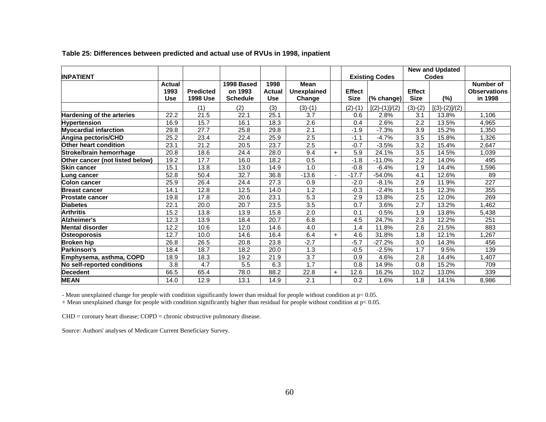|                                 |            |                  |                 |               |                    |           |               |                       |                  | <b>New and Updated</b> |                     |
|---------------------------------|------------|------------------|-----------------|---------------|--------------------|-----------|---------------|-----------------------|------------------|------------------------|---------------------|
| <b>INPATIENT</b>                |            |                  |                 |               |                    |           |               | <b>Existing Codes</b> |                  | <b>Codes</b>           |                     |
|                                 | Actual     |                  | 1998 Based      | 1998          | <b>Mean</b>        |           |               |                       |                  |                        | Number of           |
|                                 | 1993       | <b>Predicted</b> | on 1993         | <b>Actual</b> | <b>Unexplained</b> |           | <b>Effect</b> |                       | <b>Effect</b>    |                        | <b>Observations</b> |
|                                 | <b>Use</b> | <b>1998 Use</b>  | <b>Schedule</b> | <b>Use</b>    | Change             |           | <b>Size</b>   | (% change)            | <b>Size</b>      | $(\%)$                 | in 1998             |
|                                 |            | (1)              | (2)             | (3)           | $(3)-(1)$          |           | $(2)-(1)$     | $[(2)-(1)]/(2)$       | $(3)-(2)$        | $[(3)-(2)]/(2)$        |                     |
| Hardening of the arteries       | 22.2       | 21.5             | 22.1            | 25.1          | 3.7                |           | 0.6           | 2.8%                  | 3.1              | 13.8%                  | 1,106               |
| <b>Hypertension</b>             | 16.9       | 15.7             | 16.1            | 18.3          | 2.6                |           | 0.4           | 2.6%                  | 2.2              | 13.5%                  | 4,965               |
| <b>Myocardial infarction</b>    | 29.8       | 27.7             | 25.8            | 29.8          | 2.1                |           | $-1.9$        | $-7.3%$               | $\overline{3.9}$ | 15.2%                  | ,350                |
| Angina pectoris/CHD             | 25.2       | 23.4             | 22.4            | 25.9          | 2.5                |           | $-1.1$        | $-4.7%$               | 3.5              | 15.8%                  | .326                |
| <b>Other heart condition</b>    | 23.1       | 21.2             | 20.5            | 23.7          | 2.5                |           | $-0.7$        | $-3.5%$               | 3.2              | 15.4%                  | 2.647               |
| Stroke/brain hemorrhage         | 20.8       | 18.6             | 24.4            | 28.0          | 9.4                | $+$       | 5.9           | 24.1%                 | 3.5              | 14.5%                  | 1,039               |
| Other cancer (not listed below) | 19.2       | 17.7             | 16.0            | 18.2          | 0.5                |           | $-1.8$        | $-11.0%$              | 2.2              | 14.0%                  | 495                 |
| <b>Skin cancer</b>              | 15.1       | 13.8             | 13.0            | 14.9          | 1.0                |           | $-0.8$        | $-6.4%$               | 1.9              | 14.4%                  | ,596                |
| Lung cancer                     | 52.8       | 50.4             | 32.7            | 36.8          | $-13.6$            |           | $-17.7$       | $-54.0%$              | 4.1              | 12.6%                  | 89                  |
| <b>Colon cancer</b>             | 25.9       | 26.4             | 24.4            | 27.3          | 0.9                |           | $-2.0$        | $-8.1%$               | 2.9              | 11.9%                  | 227                 |
| <b>Breast cancer</b>            | 14.1       | 12.8             | 12.5            | 14.0          | 1.2                |           | $-0.3$        | $-2.4%$               | 1.5              | 12.3%                  | 355                 |
| <b>Prostate cancer</b>          | 19.8       | 17.8             | 20.6            | 23.1          | 5.3                |           | 2.9           | 13.8%                 | 2.5              | 12.0%                  | 269                 |
| <b>Diabetes</b>                 | 22.1       | 20.0             | 20.7            | 23.5          | 3.5                |           | 0.7           | 3.6%                  | 2.7              | 13.2%                  | ,462                |
| <b>Arthritis</b>                | 15.2       | 13.8             | 13.9            | 15.8          | $\overline{2.0}$   |           | 0.1           | 0.5%                  | 1.9              | 13.8%                  | 5,438               |
| Alzheimer's                     | 12.3       | 13.9             | 18.4            | 20.7          | 6.8                |           | 4.5           | 24.7%                 | 2.3              | 12.2%                  | 251                 |
| Mental disorder                 | 12.2       | 10.6             | 12.0            | 14.6          | 4.0                |           | 1.4           | 11.8%                 | 2.6              | 21.5%                  | 883                 |
| <b>Osteoporosis</b>             | 12.7       | 10.0             | 14.6            | 16.4          | 6.4                | $\ddot{}$ | 4.6           | 31.8%                 | 1.8              | 12.1%                  | 1,267               |
| <b>Broken hip</b>               | 26.8       | 26.5             | 20.8            | 23.8          | $-2.7$             |           | $-5.7$        | $-27.2%$              | 3.0              | 14.3%                  | 456                 |
| <b>Parkinson's</b>              | 18.4       | 18.7             | 18.2            | 20.0          | 1.3                |           | $-0.5$        | $-2.5%$               | 1.7              | 9.5%                   | 139                 |
| Emphysema, asthma, COPD         | 18.9       | 18.3             | 19.2            | 21.9          | 3.7                |           | 0.9           | 4.6%                  | 2.8              | 14.4%                  | ,407                |
| No self-reported conditions     | 3.8        | 4.7              | 5.5             | 6.3           | 1.7                |           | 0.8           | 14.9%                 | 0.8              | 15.2%                  | 709                 |
| <b>Decedent</b>                 | 66.5       | 65.4             | 78.0            | 88.2          | 22.8               | $+$       | 12.6          | 16.2%                 | 10.2             | 13.0%                  | 339                 |
| <b>MEAN</b>                     | 14.0       | 12.9             | 13.1            | 14.9          | 2.1                |           | 0.2           | 1.6%                  | 1.8              | 14.1%                  | 8,986               |

**Table 25: Differences between predicted and actual use of RVUs in 1998, inpatient** 

- Mean unexplained change for people with condition significantly lower than residual for people without condition at p< 0.05.

+ Mean unexplained change for people with condition significantly higher than residual for people without condition at p< 0.05.

CHD = coronary heart disease; COPD = chronic obstructive pulmonary disease.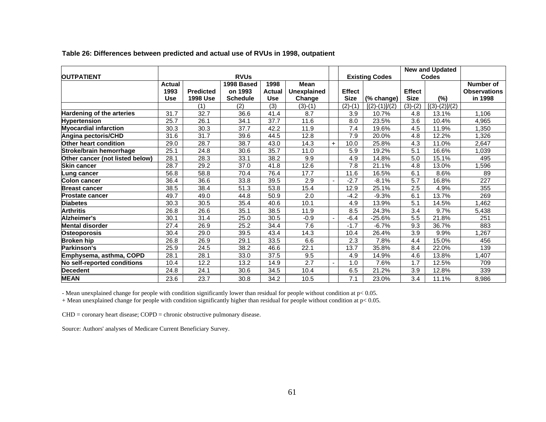|                                 |            |                  |                 |               |                    |     |               |                       |               | <b>New and Updated</b> |                     |
|---------------------------------|------------|------------------|-----------------|---------------|--------------------|-----|---------------|-----------------------|---------------|------------------------|---------------------|
| <b>OUTPATIENT</b>               |            |                  | <b>RVUs</b>     |               |                    |     |               | <b>Existing Codes</b> |               | <b>Codes</b>           |                     |
|                                 | Actual     |                  | 1998 Based      | 1998          | <b>Mean</b>        |     |               |                       |               |                        | Number of           |
|                                 | 1993       | <b>Predicted</b> | on 1993         | <b>Actual</b> | <b>Unexplained</b> |     | <b>Effect</b> |                       | <b>Effect</b> |                        | <b>Observations</b> |
|                                 | <b>Use</b> | <b>1998 Use</b>  | <b>Schedule</b> | <b>Use</b>    | Change             |     | <b>Size</b>   | (% change)            | <b>Size</b>   | (%)                    | in 1998             |
|                                 |            | (1)              | (2)             | (3)           | $(3)-(1)$          |     | $(2)-(1)$     | $[(2)-(1)]/(2)$       | $(3)-(2)$     | $[(3)-(2)]/(2)$        |                     |
| Hardening of the arteries       | 31.7       | 32.7             | 36.6            | 41.4          | 8.7                |     | 3.9           | 10.7%                 | 4.8           | 13.1%                  | 1,106               |
| <b>Hypertension</b>             | 25.7       | 26.1             | 34.1            | 37.7          | 11.6               |     | 8.0           | 23.5%                 | 3.6           | 10.4%                  | 4,965               |
| <b>Myocardial infarction</b>    | 30.3       | 30.3             | 37.7            | 42.2          | 11.9               |     | 7.4           | 19.6%                 | 4.5           | 11.9%                  | .350                |
| Angina pectoris/CHD             | 31.6       | 31.7             | 39.6            | 44.5          | 12.8               |     | 7.9           | 20.0%                 | 4.8           | 12.2%                  | 1,326               |
| <b>Other heart condition</b>    | 29.0       | 28.7             | 38.7            | 43.0          | 14.3               | $+$ | 10.0          | 25.8%                 | 4.3           | 11.0%                  | 2,647               |
| Stroke/brain hemorrhage         | 25.1       | 24.8             | 30.6            | 35.7          | 11.0               |     | 5.9           | 19.2%                 | 5.1           | 16.6%                  | 1,039               |
| Other cancer (not listed below) | 28.1       | 28.3             | 33.1            | 38.2          | 9.9                |     | 4.9           | 14.8%                 | 5.0           | 15.1%                  | 495                 |
| <b>Skin cancer</b>              | 28.7       | 29.2             | 37.0            | 41.8          | 12.6               |     | 7.8           | 21.1%                 | 4.8           | 13.0%                  | ,596                |
| Lung cancer                     | 56.8       | 58.8             | 70.4            | 76.4          | 17.7               |     | 11.6          | 16.5%                 | 6.1           | 8.6%                   | 89                  |
| Colon cancer                    | 36.4       | 36.6             | 33.8            | 39.5          | 2.9                |     | $-2.7$        | $-8.1%$               | 5.7           | 16.8%                  | $\overline{227}$    |
| <b>Breast cancer</b>            | 38.5       | 38.4             | 51.3            | 53.8          | 15.4               |     | 12.9          | 25.1%                 | 2.5           | 4.9%                   | 355                 |
| <b>Prostate cancer</b>          | 49.7       | 49.0             | 44.8            | 50.9          | 2.0                |     | $-4.2$        | $-9.3%$               | 6.1           | 13.7%                  | 269                 |
| <b>Diabetes</b>                 | 30.3       | 30.5             | 35.4            | 40.6          | 10.1               |     | 4.9           | 13.9%                 | 5.1           | 14.5%                  | ,462                |
| <b>Arthritis</b>                | 26.8       | 26.6             | 35.1            | 38.5          | 11.9               |     | 8.5           | 24.3%                 | 3.4           | 9.7%                   | 5,438               |
| Alzheimer's                     | 30.1       | 31.4             | 25.0            | 30.5          | $-0.9$             |     | $-6.4$        | -25.6%                | 5.5           | 21.8%                  | 251                 |
| <b>Mental disorder</b>          | 27.4       | 26.9             | 25.2            | 34.4          | 7.6                |     | $-1.7$        | $-6.7%$               | 9.3           | 36.7%                  | 883                 |
| <b>Osteoporosis</b>             | 30.4       | 29.0             | 39.5            | 43.4          | 14.3               |     | 10.4          | 26.4%                 | 3.9           | 9.9%                   | ,267                |
| <b>Broken hip</b>               | 26.8       | 26.9             | 29.1            | 33.5          | 6.6                |     | 2.3           | 7.8%                  | 4.4           | 15.0%                  | 456                 |
| Parkinson's                     | 25.9       | 24.5             | 38.2            | 46.6          | 22.1               |     | 13.7          | 35.8%                 | 8.4           | 22.0%                  | 139                 |
| Emphysema, asthma, COPD         | 28.1       | 28.1             | 33.0            | 37.5          | 9.5                |     | 4.9           | 14.9%                 | 4.6           | 13.8%                  | ,407                |
| No self-reported conditions     | 10.4       | 12.2             | 13.2            | 14.9          | 2.7                |     | 1.0           | 7.6%                  | 1.7           | 12.5%                  | 709                 |
| <b>Decedent</b>                 | 24.8       | 24.1             | 30.6            | 34.5          | 10.4               |     | 6.5           | 21.2%                 | 3.9           | 12.8%                  | 339                 |
| <b>MEAN</b>                     | 23.6       | 23.7             | 30.8            | 34.2          | 10.5               |     | 7.1           | 23.0%                 | 3.4           | 11.1%                  | 8,986               |

#### **Table 26: Differences between predicted and actual use of RVUs in 1998, outpatient**

- Mean unexplained change for people with condition significantly lower than residual for people without condition at p< 0.05.

+ Mean unexplained change for people with condition significantly higher than residual for people without condition at p< 0.05.

CHD = coronary heart disease; COPD = chronic obstructive pulmonary disease.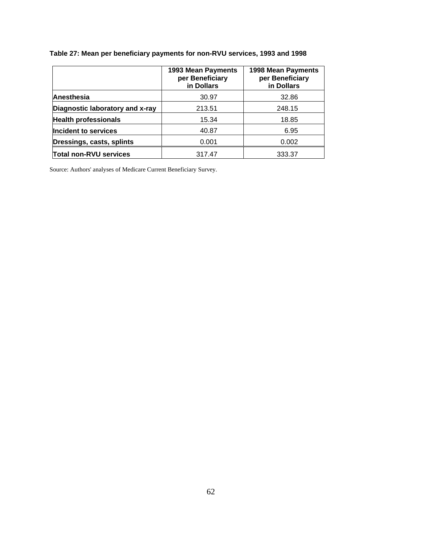|                                 | 1993 Mean Payments<br>per Beneficiary<br>in Dollars | 1998 Mean Payments<br>per Beneficiary<br>in Dollars |
|---------------------------------|-----------------------------------------------------|-----------------------------------------------------|
| Anesthesia                      | 30.97                                               | 32.86                                               |
| Diagnostic laboratory and x-ray | 213.51                                              | 248.15                                              |
| <b>Health professionals</b>     | 15.34                                               | 18.85                                               |
| Incident to services            | 40.87                                               | 6.95                                                |
| Dressings, casts, splints       | 0.001                                               | 0.002                                               |
| Total non-RVU services          | 317.47                                              | 333.37                                              |

### **Table 27: Mean per beneficiary payments for non-RVU services, 1993 and 1998**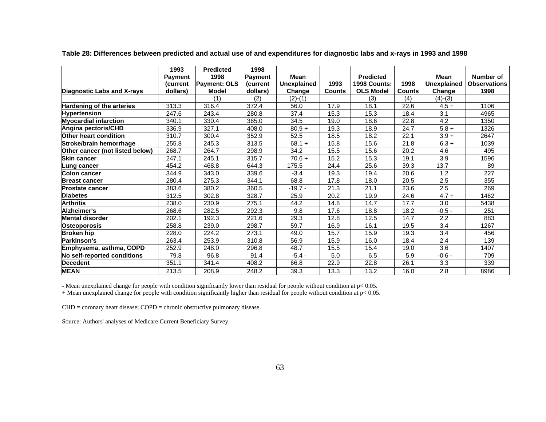|                                   | 1993           | <b>Predicted</b>    | 1998           |                    |               |                     |               |                    |                     |
|-----------------------------------|----------------|---------------------|----------------|--------------------|---------------|---------------------|---------------|--------------------|---------------------|
|                                   | <b>Payment</b> | 1998                | <b>Payment</b> | Mean               |               | <b>Predicted</b>    |               | <b>Mean</b>        | Number of           |
|                                   | <b>Current</b> | <b>Payment: OLS</b> | (current       | <b>Unexplained</b> | 1993          | <b>1998 Counts:</b> | 1998          | <b>Unexplained</b> | <b>Observations</b> |
| <b>Diagnostic Labs and X-rays</b> | dollars)       | <b>Model</b>        | dollars)       | Change             | <b>Counts</b> | <b>OLS Model</b>    | <b>Counts</b> | Change             | 1998                |
|                                   |                | (1)                 | (2)            | $(2)-(1)$          |               | (3)                 | (4)           | $(4)-(3)$          |                     |
| <b>Hardening of the arteries</b>  | 313.3          | 316.4               | 372.4          | 56.0               | 17.9          | 18.1                | 22.6          | $4.5+$             | 1106                |
| <b>Hypertension</b>               | 247.6          | 243.4               | 280.8          | 37.4               | 15.3          | 15.3                | 18.4          | 3.1                | 4965                |
| <b>Myocardial infarction</b>      | 340.1          | 330.4               | 365.0          | 34.5               | 19.0          | 18.6                | 22.8          | 4.2                | 1350                |
| Angina pectoris/CHD               | 336.9          | 327.1               | 408.0          | $80.9 +$           | 19.3          | 18.9                | 24.7          | $5.8 +$            | 1326                |
| Other heart condition             | 310.7          | 300.4               | 352.9          | 52.5               | 18.5          | 18.2                | 22.1          | $3.9 +$            | 2647                |
| Stroke/brain hemorrhage           | 255.8          | 245.3               | 313.5          | $68.1 +$           | 15.8          | 15.6                | 21.8          | $6.3 +$            | 1039                |
| Other cancer (not listed below)   | 268.7          | 264.7               | 298.9          | 34.2               | 15.5          | 15.6                | 20.2          | 4.6                | 495                 |
| <b>Skin cancer</b>                | 247.1          | 245.1               | 315.7          | $70.6 +$           | 15.2          | 15.3                | 19.1          | 3.9                | 1596                |
| Lung cancer                       | 454.2          | 468.8               | 644.3          | 175.5              | 24.4          | 25.6                | 39.3          | 13.7               | 89                  |
| Colon cancer                      | 344.9          | 343.0               | 339.6          | $-3.4$             | 19.3          | 19.4                | 20.6          | 1.2                | 227                 |
| <b>Breast cancer</b>              | 280.4          | 275.3               | 344.1          | 68.8               | 17.8          | 18.0                | 20.5          | 2.5                | 355                 |
| <b>Prostate cancer</b>            | 383.6          | 380.2               | 360.5          | $-19.7 -$          | 21.3          | 21.1                | 23.6          | 2.5                | 269                 |
| <b>Diabetes</b>                   | 312.5          | 302.8               | 328.7          | 25.9               | 20.2          | 19.9                | 24.6          | $4.7 +$            | 1462                |
| Arthritis                         | 238.0          | 230.9               | 275.1          | 44.2               | 14.8          | 14.7                | 17.7          | 3.0                | 5438                |
| Alzheimer's                       | 268.6          | 282.5               | 292.3          | 9.8                | 17.6          | 18.8                | 18.2          | $-0.5 -$           | 251                 |
| <b>Mental disorder</b>            | 202.1          | 192.3               | 221.6          | 29.3               | 12.8          | 12.5                | 14.7          | 2.2                | 883                 |
| Osteoporosis                      | 258.8          | 239.0               | 298.7          | 59.7               | 16.9          | 16.1                | 19.5          | 3.4                | 1267                |
| Broken hip                        | 228.0          | 224.2               | 273.1          | 49.0               | 15.7          | 15.9                | 19.3          | 3.4                | 456                 |
| <b>Parkinson's</b>                | 263.4          | 253.9               | 310.8          | 56.9               | 15.9          | 16.0                | 18.4          | 2.4                | 139                 |
| Emphysema, asthma, COPD           | 252.9          | 248.0               | 296.8          | 48.7               | 15.5          | 15.4                | 19.0          | 3.6                | 1407                |
| No self-reported conditions       | 79.8           | 96.8                | 91.4           | $-5.4 -$           | 5.0           | 6.5                 | 5.9           | $-0.6 -$           | 709                 |
| <b>Decedent</b>                   | 351.1          | 341.4               | 408.2          | 66.8               | 22.9          | 22.8                | 26.1          | 3.3                | 339                 |
| <b>MEAN</b>                       | 213.5          | 208.9               | 248.2          | 39.3               | 13.3          | 13.2                | 16.0          | 2.8                | 8986                |

**Table 28: Differences between predicted and actual use of and expenditures for diagnostic labs and x-rays in 1993 and 1998** 

- Mean unexplained change for people with condition significantly lower than residual for people without condition at p< 0.05.

+ Mean unexplained change for people with condition significantly higher than residual for people without condition at p< 0.05.

CHD = coronary heart disease; COPD = chronic obstructive pulmonary disease.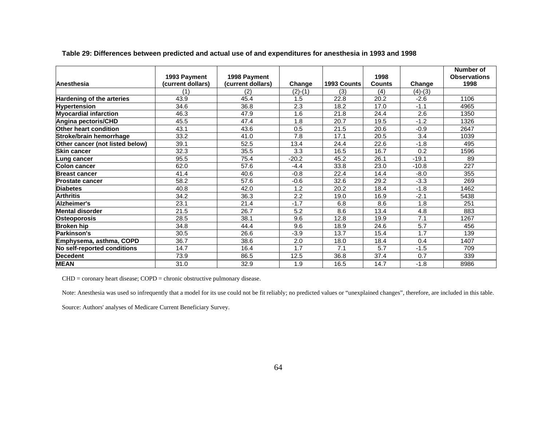|                                  |                   |                   |           |             |               |           | Number of           |
|----------------------------------|-------------------|-------------------|-----------|-------------|---------------|-----------|---------------------|
|                                  | 1993 Payment      | 1998 Payment      |           |             | 1998          |           | <b>Observations</b> |
| Anesthesia                       | (current dollars) | (current dollars) | Change    | 1993 Counts | <b>Counts</b> | Change    | 1998                |
|                                  | (1)               | (2)               | $(2)-(1)$ | (3)         | (4)           | $(4)-(3)$ |                     |
| <b>Hardening of the arteries</b> | 43.9              | 45.4              | 1.5       | 22.8        | 20.2          | $-2.6$    | 1106                |
| <b>Hypertension</b>              | 34.6              | 36.8              | 2.3       | 18.2        | 17.0          | $-1.1$    | 4965                |
| <b>Myocardial infarction</b>     | 46.3              | 47.9              | 1.6       | 21.8        | 24.4          | 2.6       | 1350                |
| Angina pectoris/CHD              | 45.5              | 47.4              | 1.8       | 20.7        | 19.5          | $-1.2$    | 1326                |
| Other heart condition            | 43.1              | 43.6              | 0.5       | 21.5        | 20.6          | $-0.9$    | 2647                |
| Stroke/brain hemorrhage          | 33.2              | 41.0              | 7.8       | 17.1        | 20.5          | 3.4       | 1039                |
| Other cancer (not listed below)  | 39.1              | 52.5              | 13.4      | 24.4        | 22.6          | $-1.8$    | 495                 |
| <b>Skin cancer</b>               | 32.3              | 35.5              | 3.3       | 16.5        | 16.7          | 0.2       | 1596                |
| Lung cancer                      | 95.5              | 75.4              | $-20.2$   | 45.2        | 26.1          | $-19.1$   | 89                  |
| <b>Colon cancer</b>              | 62.0              | 57.6              | $-4.4$    | 33.8        | 23.0          | $-10.8$   | 227                 |
| <b>Breast cancer</b>             | 41.4              | 40.6              | $-0.8$    | 22.4        | 14.4          | $-8.0$    | 355                 |
| <b>Prostate cancer</b>           | 58.2              | 57.6              | $-0.6$    | 32.6        | 29.2          | $-3.3$    | 269                 |
| <b>Diabetes</b>                  | 40.8              | 42.0              | 1.2       | 20.2        | 18.4          | $-1.8$    | 1462                |
| <b>Arthritis</b>                 | 34.2              | 36.3              | 2.2       | 19.0        | 16.9          | $-2.1$    | 5438                |
| Alzheimer's                      | 23.1              | 21.4              | $-1.7$    | 6.8         | 8.6           | 1.8       | 251                 |
| <b>Mental disorder</b>           | 21.5              | 26.7              | 5.2       | 8.6         | 13.4          | 4.8       | 883                 |
| <b>Osteoporosis</b>              | 28.5              | 38.1              | 9.6       | 12.8        | 19.9          | 7.1       | 1267                |
| <b>Broken hip</b>                | 34.8              | 44.4              | 9.6       | 18.9        | 24.6          | 5.7       | 456                 |
| Parkinson's                      | 30.5              | 26.6              | $-3.9$    | 13.7        | 15.4          | 1.7       | 139                 |
| Emphysema, asthma, COPD          | 36.7              | 38.6              | 2.0       | 18.0        | 18.4          | 0.4       | 1407                |
| No self-reported conditions      | 14.7              | 16.4              | 1.7       | 7.1         | 5.7           | $-1.5$    | 709                 |
| Decedent                         | 73.9              | 86.5              | 12.5      | 36.8        | 37.4          | 0.7       | 339                 |
| <b>MEAN</b>                      | 31.0              | 32.9              | 1.9       | 16.5        | 14.7          | $-1.8$    | 8986                |

**Table 29: Differences between predicted and actual use of and expenditures for anesthesia in 1993 and 1998** 

CHD = coronary heart disease; COPD = chronic obstructive pulmonary disease.

Note: Anesthesia was used so infrequently that a model for its use could not be fit reliably; no predicted values or "unexplained changes", therefore, are included in this table.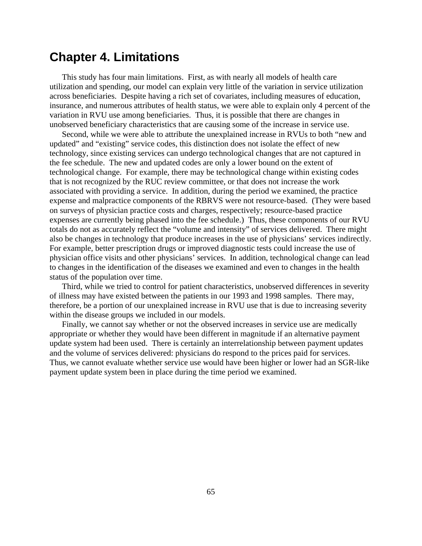# **Chapter 4. Limitations**

This study has four main limitations. First, as with nearly all models of health care utilization and spending, our model can explain very little of the variation in service utilization across beneficiaries. Despite having a rich set of covariates, including measures of education, insurance, and numerous attributes of health status, we were able to explain only 4 percent of the variation in RVU use among beneficiaries. Thus, it is possible that there are changes in unobserved beneficiary characteristics that are causing some of the increase in service use.

Second, while we were able to attribute the unexplained increase in RVUs to both "new and updated" and "existing" service codes, this distinction does not isolate the effect of new technology, since existing services can undergo technological changes that are not captured in the fee schedule. The new and updated codes are only a lower bound on the extent of technological change. For example, there may be technological change within existing codes that is not recognized by the RUC review committee, or that does not increase the work associated with providing a service. In addition, during the period we examined, the practice expense and malpractice components of the RBRVS were not resource-based. (They were based on surveys of physician practice costs and charges, respectively; resource-based practice expenses are currently being phased into the fee schedule.) Thus, these components of our RVU totals do not as accurately reflect the "volume and intensity" of services delivered. There might also be changes in technology that produce increases in the use of physicians' services indirectly. For example, better prescription drugs or improved diagnostic tests could increase the use of physician office visits and other physicians' services. In addition, technological change can lead to changes in the identification of the diseases we examined and even to changes in the health status of the population over time.

Third, while we tried to control for patient characteristics, unobserved differences in severity of illness may have existed between the patients in our 1993 and 1998 samples. There may, therefore, be a portion of our unexplained increase in RVU use that is due to increasing severity within the disease groups we included in our models.

Finally, we cannot say whether or not the observed increases in service use are medically appropriate or whether they would have been different in magnitude if an alternative payment update system had been used. There is certainly an interrelationship between payment updates and the volume of services delivered: physicians do respond to the prices paid for services. Thus, we cannot evaluate whether service use would have been higher or lower had an SGR-like payment update system been in place during the time period we examined.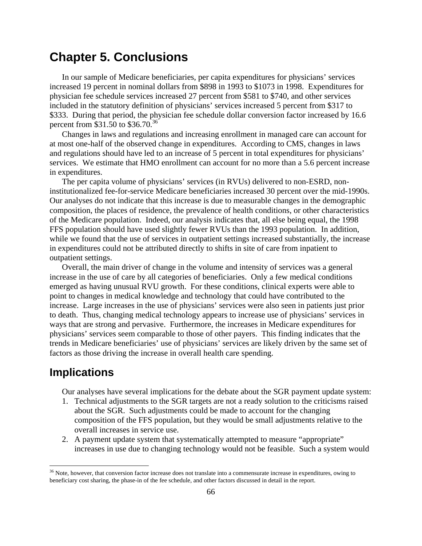# **Chapter 5. Conclusions**

In our sample of Medicare beneficiaries, per capita expenditures for physicians' services increased 19 percent in nominal dollars from \$898 in 1993 to \$1073 in 1998. Expenditures for physician fee schedule services increased 27 percent from \$581 to \$740, and other services included in the statutory definition of physicians' services increased 5 percent from \$317 to \$333. During that period, the physician fee schedule dollar conversion factor increased by 16.6 percent from \$31.50 to \$36.70.<sup>36</sup>

Changes in laws and regulations and increasing enrollment in managed care can account for at most one-half of the observed change in expenditures. According to CMS, changes in laws and regulations should have led to an increase of 5 percent in total expenditures for physicians' services. We estimate that HMO enrollment can account for no more than a 5.6 percent increase in expenditures.

The per capita volume of physicians' services (in RVUs) delivered to non-ESRD, noninstitutionalized fee-for-service Medicare beneficiaries increased 30 percent over the mid-1990s. Our analyses do not indicate that this increase is due to measurable changes in the demographic composition, the places of residence, the prevalence of health conditions, or other characteristics of the Medicare population. Indeed, our analysis indicates that, all else being equal, the 1998 FFS population should have used slightly fewer RVUs than the 1993 population. In addition, while we found that the use of services in outpatient settings increased substantially, the increase in expenditures could not be attributed directly to shifts in site of care from inpatient to outpatient settings.

Overall, the main driver of change in the volume and intensity of services was a general increase in the use of care by all categories of beneficiaries. Only a few medical conditions emerged as having unusual RVU growth. For these conditions, clinical experts were able to point to changes in medical knowledge and technology that could have contributed to the increase. Large increases in the use of physicians' services were also seen in patients just prior to death. Thus, changing medical technology appears to increase use of physicians' services in ways that are strong and pervasive. Furthermore, the increases in Medicare expenditures for physicians' services seem comparable to those of other payers. This finding indicates that the trends in Medicare beneficiaries' use of physicians' services are likely driven by the same set of factors as those driving the increase in overall health care spending.

## **Implications**

 $\overline{a}$ 

Our analyses have several implications for the debate about the SGR payment update system:

- 1. Technical adjustments to the SGR targets are not a ready solution to the criticisms raised about the SGR. Such adjustments could be made to account for the changing composition of the FFS population, but they would be small adjustments relative to the overall increases in service use.
- 2. A payment update system that systematically attempted to measure "appropriate" increases in use due to changing technology would not be feasible. Such a system would

<span id="page-69-0"></span><sup>&</sup>lt;sup>36</sup> Note, however, that conversion factor increase does not translate into a commensurate increase in expenditures, owing to beneficiary cost sharing, the phase-in of the fee schedule, and other factors discussed in detail in the report.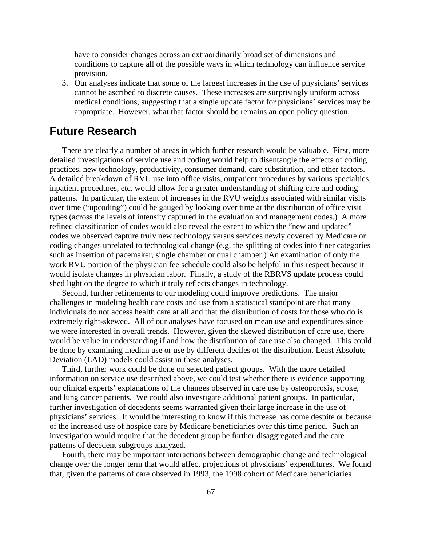have to consider changes across an extraordinarily broad set of dimensions and conditions to capture all of the possible ways in which technology can influence service provision.

3. Our analyses indicate that some of the largest increases in the use of physicians' services cannot be ascribed to discrete causes. These increases are surprisingly uniform across medical conditions, suggesting that a single update factor for physicians' services may be appropriate. However, what that factor should be remains an open policy question.

## **Future Research**

There are clearly a number of areas in which further research would be valuable. First, more detailed investigations of service use and coding would help to disentangle the effects of coding practices, new technology, productivity, consumer demand, care substitution, and other factors. A detailed breakdown of RVU use into office visits, outpatient procedures by various specialties, inpatient procedures, etc. would allow for a greater understanding of shifting care and coding patterns. In particular, the extent of increases in the RVU weights associated with similar visits over time ("upcoding") could be gauged by looking over time at the distribution of office visit types (across the levels of intensity captured in the evaluation and management codes.) A more refined classification of codes would also reveal the extent to which the "new and updated" codes we observed capture truly new technology versus services newly covered by Medicare or coding changes unrelated to technological change (e.g. the splitting of codes into finer categories such as insertion of pacemaker, single chamber or dual chamber.) An examination of only the work RVU portion of the physician fee schedule could also be helpful in this respect because it would isolate changes in physician labor. Finally, a study of the RBRVS update process could shed light on the degree to which it truly reflects changes in technology.

Second, further refinements to our modeling could improve predictions. The major challenges in modeling health care costs and use from a statistical standpoint are that many individuals do not access health care at all and that the distribution of costs for those who do is extremely right-skewed. All of our analyses have focused on mean use and expenditures since we were interested in overall trends. However, given the skewed distribution of care use, there would be value in understanding if and how the distribution of care use also changed. This could be done by examining median use or use by different deciles of the distribution. Least Absolute Deviation (LAD) models could assist in these analyses.

Third, further work could be done on selected patient groups. With the more detailed information on service use described above, we could test whether there is evidence supporting our clinical experts' explanations of the changes observed in care use by osteoporosis, stroke, and lung cancer patients. We could also investigate additional patient groups. In particular, further investigation of decedents seems warranted given their large increase in the use of physicians' services. It would be interesting to know if this increase has come despite or because of the increased use of hospice care by Medicare beneficiaries over this time period. Such an investigation would require that the decedent group be further disaggregated and the care patterns of decedent subgroups analyzed.

Fourth, there may be important interactions between demographic change and technological change over the longer term that would affect projections of physicians' expenditures. We found that, given the patterns of care observed in 1993, the 1998 cohort of Medicare beneficiaries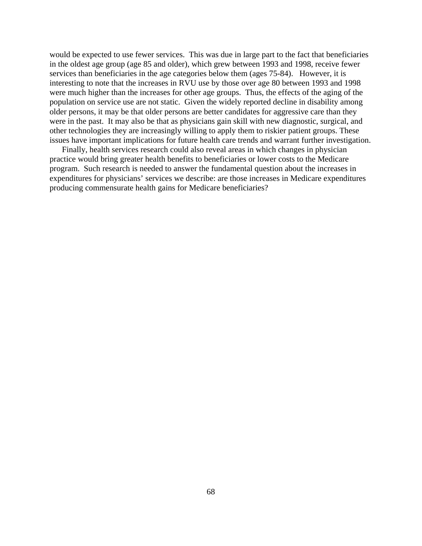would be expected to use fewer services. This was due in large part to the fact that beneficiaries in the oldest age group (age 85 and older), which grew between 1993 and 1998, receive fewer services than beneficiaries in the age categories below them (ages 75-84). However, it is interesting to note that the increases in RVU use by those over age 80 between 1993 and 1998 were much higher than the increases for other age groups. Thus, the effects of the aging of the population on service use are not static. Given the widely reported decline in disability among older persons, it may be that older persons are better candidates for aggressive care than they were in the past. It may also be that as physicians gain skill with new diagnostic, surgical, and other technologies they are increasingly willing to apply them to riskier patient groups. These issues have important implications for future health care trends and warrant further investigation.

Finally, health services research could also reveal areas in which changes in physician practice would bring greater health benefits to beneficiaries or lower costs to the Medicare program. Such research is needed to answer the fundamental question about the increases in expenditures for physicians' services we describe: are those increases in Medicare expenditures producing commensurate health gains for Medicare beneficiaries?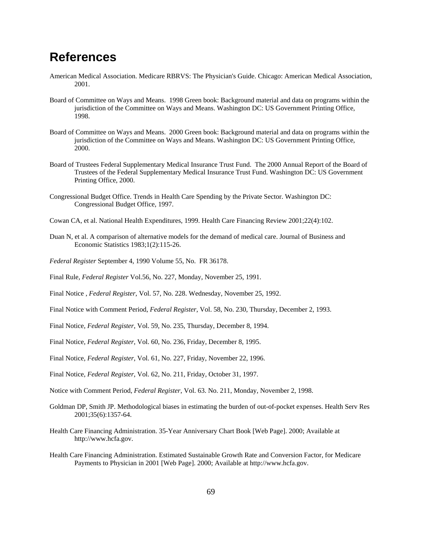### **References**

- American Medical Association. Medicare RBRVS: The Physician's Guide. Chicago: American Medical Association, 2001.
- Board of Committee on Ways and Means. 1998 Green book: Background material and data on programs within the jurisdiction of the Committee on Ways and Means. Washington DC: US Government Printing Office, 1998.
- Board of Committee on Ways and Means. 2000 Green book: Background material and data on programs within the jurisdiction of the Committee on Ways and Means. Washington DC: US Government Printing Office, 2000.
- Board of Trustees Federal Supplementary Medical Insurance Trust Fund. The 2000 Annual Report of the Board of Trustees of the Federal Supplementary Medical Insurance Trust Fund. Washington DC: US Government Printing Office, 2000.
- Congressional Budget Office. Trends in Health Care Spending by the Private Sector. Washington DC: Congressional Budget Office, 1997.
- Cowan CA, et al. National Health Expenditures, 1999. Health Care Financing Review 2001;22(4):102.
- Duan N, et al. A comparison of alternative models for the demand of medical care. Journal of Business and Economic Statistics 1983;1(2):115-26.
- *Federal Register* September 4, 1990 Volume 55, No. FR 36178.
- Final Rule, *Federal Register* Vol.56, No. 227, Monday, November 25, 1991.
- Final Notice , *Federal Register*, Vol. 57, No. 228. Wednesday, November 25, 1992.
- Final Notice with Comment Period, *Federal Register*, Vol. 58, No. 230, Thursday, December 2, 1993.
- Final Notice, *Federal Register*, Vol. 59, No. 235, Thursday, December 8, 1994.
- Final Notice, *Federal Register*, Vol. 60, No. 236, Friday, December 8, 1995.
- Final Notice, *Federal Register*, Vol. 61, No. 227, Friday, November 22, 1996.
- Final Notice, *Federal Register*, Vol. 62, No. 211, Friday, October 31, 1997.
- Notice with Comment Period, *Federal Register*, Vol. 63. No. 211, Monday, November 2, 1998.
- Goldman DP, Smith JP. Methodological biases in estimating the burden of out-of-pocket expenses. Health Serv Res 2001;35(6):1357-64.
- Health Care Financing Administration. 35-Year Anniversary Chart Book [Web Page]. 2000; Available at http://www.hcfa.gov.
- Health Care Financing Administration. Estimated Sustainable Growth Rate and Conversion Factor, for Medicare Payments to Physician in 2001 [Web Page]. 2000; Available at http://www.hcfa.gov.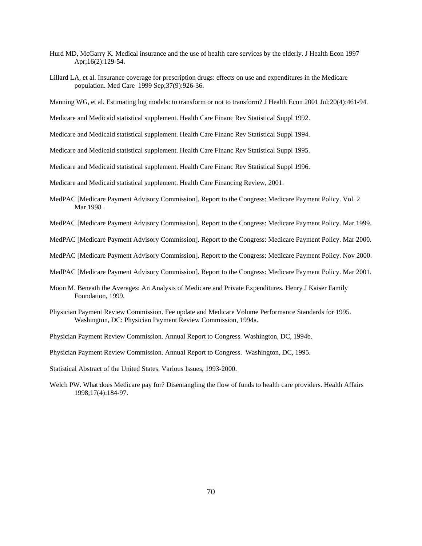- Hurd MD, McGarry K. Medical insurance and the use of health care services by the elderly. J Health Econ 1997 Apr;16(2):129-54.
- Lillard LA, et al. Insurance coverage for prescription drugs: effects on use and expenditures in the Medicare population. Med Care 1999 Sep;37(9):926-36.
- Manning WG, et al. Estimating log models: to transform or not to transform? J Health Econ 2001 Jul;20(4):461-94.
- Medicare and Medicaid statistical supplement. Health Care Financ Rev Statistical Suppl 1992.
- Medicare and Medicaid statistical supplement. Health Care Financ Rev Statistical Suppl 1994.
- Medicare and Medicaid statistical supplement. Health Care Financ Rev Statistical Suppl 1995.
- Medicare and Medicaid statistical supplement. Health Care Financ Rev Statistical Suppl 1996.

Medicare and Medicaid statistical supplement. Health Care Financing Review, 2001.

- MedPAC [Medicare Payment Advisory Commission]. Report to the Congress: Medicare Payment Policy. Vol. 2 Mar 1998 .
- MedPAC [Medicare Payment Advisory Commission]. Report to the Congress: Medicare Payment Policy. Mar 1999.
- MedPAC [Medicare Payment Advisory Commission]. Report to the Congress: Medicare Payment Policy. Mar 2000.
- MedPAC [Medicare Payment Advisory Commission]. Report to the Congress: Medicare Payment Policy. Nov 2000.
- MedPAC [Medicare Payment Advisory Commission]. Report to the Congress: Medicare Payment Policy. Mar 2001.
- Moon M. Beneath the Averages: An Analysis of Medicare and Private Expenditures. Henry J Kaiser Family Foundation, 1999.
- Physician Payment Review Commission. Fee update and Medicare Volume Performance Standards for 1995. Washington, DC: Physician Payment Review Commission, 1994a.
- Physician Payment Review Commission. Annual Report to Congress. Washington, DC, 1994b.
- Physician Payment Review Commission. Annual Report to Congress. Washington, DC, 1995.
- Statistical Abstract of the United States, Various Issues, 1993-2000.
- Welch PW. What does Medicare pay for? Disentangling the flow of funds to health care providers. Health Affairs 1998;17(4):184-97.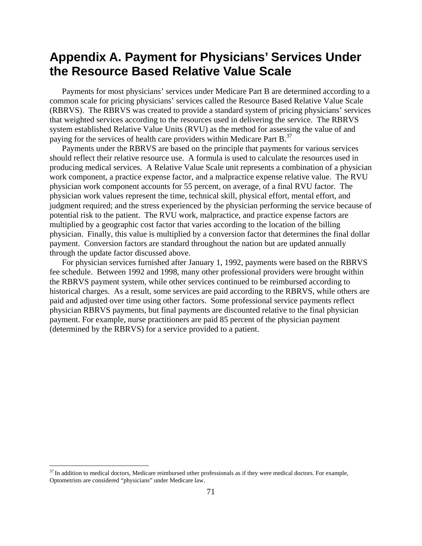### **Appendix A. Payment for Physicians' Services Under the Resource Based Relative Value Scale**

Payments for most physicians' services under Medicare Part B are determined according to a common scale for pricing physicians' services called the Resource Based Relative Value Scale (RBRVS). The RBRVS was created to provide a standard system of pricing physicians' services that weighted services according to the resources used in delivering the service. The RBRVS system established Relative Value Units (RVU) as the method for assessing the value of and paying for the services of health care providers within Medicare Part  $B<sup>37</sup>$ .

Payments under the RBRVS are based on the principle that payments for various services should reflect their relative resource use. A formula is used to calculate the resources used in producing medical services. A Relative Value Scale unit represents a combination of a physician work component, a practice expense factor, and a malpractice expense relative value. The RVU physician work component accounts for 55 percent, on average, of a final RVU factor. The physician work values represent the time, technical skill, physical effort, mental effort, and judgment required; and the stress experienced by the physician performing the service because of potential risk to the patient. The RVU work, malpractice, and practice expense factors are multiplied by a geographic cost factor that varies according to the location of the billing physician. Finally, this value is multiplied by a conversion factor that determines the final dollar payment. Conversion factors are standard throughout the nation but are updated annually through the update factor discussed above.

For physician services furnished after January 1, 1992, payments were based on the RBRVS fee schedule. Between 1992 and 1998, many other professional providers were brought within the RBRVS payment system, while other services continued to be reimbursed according to historical charges. As a result, some services are paid according to the RBRVS, while others are paid and adjusted over time using other factors. Some professional service payments reflect physician RBRVS payments, but final payments are discounted relative to the final physician payment. For example, nurse practitioners are paid 85 percent of the physician payment (determined by the RBRVS) for a service provided to a patient.

1

<span id="page-74-0"></span> $37$  In addition to medical doctors, Medicare reimbursed other professionals as if they were medical doctors. For example, Optometrists are considered "physicians" under Medicare law.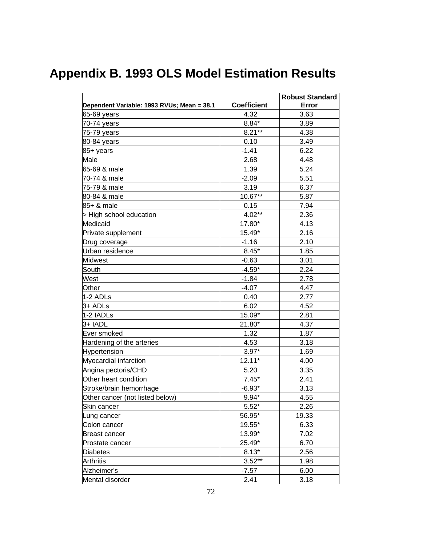# **Appendix B. 1993 OLS Model Estimation Results**

|                                            |                    | <b>Robust Standard</b> |
|--------------------------------------------|--------------------|------------------------|
| Dependent Variable: 1993 RVUs; Mean = 38.1 | <b>Coefficient</b> | Error                  |
| 65-69 years                                | 4.32               | 3.63                   |
| 70-74 years                                | $8.84*$            | 3.89                   |
| 75-79 years                                | $8.21**$           | 4.38                   |
| 80-84 years                                | 0.10               | 3.49                   |
| 85+ years                                  | $-1.41$            | 6.22                   |
| Male                                       | 2.68               | 4.48                   |
| 65-69 & male                               | 1.39               | 5.24                   |
| 70-74 & male                               | $-2.09$            | 5.51                   |
| 75-79 & male                               | 3.19               | 6.37                   |
| 80-84 & male                               | 10.67**            | 5.87                   |
| 85+ & male                                 | 0.15               | 7.94                   |
| > High school education                    | $4.02**$           | 2.36                   |
| Medicaid                                   | 17.80*             | 4.13                   |
| Private supplement                         | 15.49*             | 2.16                   |
| Drug coverage                              | $-1.16$            | 2.10                   |
| Urban residence                            | $8.45*$            | 1.85                   |
| <b>Midwest</b>                             | $-0.63$            | 3.01                   |
| South                                      | $-4.59*$           | 2.24                   |
| West                                       | $-1.84$            | 2.78                   |
| Other                                      | -4.07              | 4.47                   |
| 1-2 ADLs                                   | 0.40               | 2.77                   |
| 3+ ADLs                                    | 6.02               | 4.52                   |
| 1-2 IADLs                                  | 15.09*             | 2.81                   |
| 3+ IADL                                    | 21.80*             | 4.37                   |
| Ever smoked                                | 1.32               | 1.87                   |
| Hardening of the arteries                  | 4.53               | 3.18                   |
| Hypertension                               | $3.97*$            | 1.69                   |
| Myocardial infarction                      | $12.11*$           | 4.00                   |
| Angina pectoris/CHD                        | 5.20               | 3.35                   |
| Other heart condition                      | $7.45*$            | 2.41                   |
| Stroke/brain hemorrhage                    | $-6.93*$           | 3.13                   |
| Other cancer (not listed below)            | $9.94*$            | 4.55                   |
| Skin cancer                                | $5.52*$            | 2.26                   |
| Lung cancer                                | 56.95*             | 19.33                  |
| Colon cancer                               | 19.55*             | 6.33                   |
| Breast cancer                              | 13.99*             | 7.02                   |
| Prostate cancer                            | 25.49*             | 6.70                   |
| Diabetes                                   | $8.13*$            | 2.56                   |
| <b>Arthritis</b>                           | $3.52**$           | 1.98                   |
| Alzheimer's                                | $-7.57$            | 6.00                   |
| Mental disorder                            | 2.41               | 3.18                   |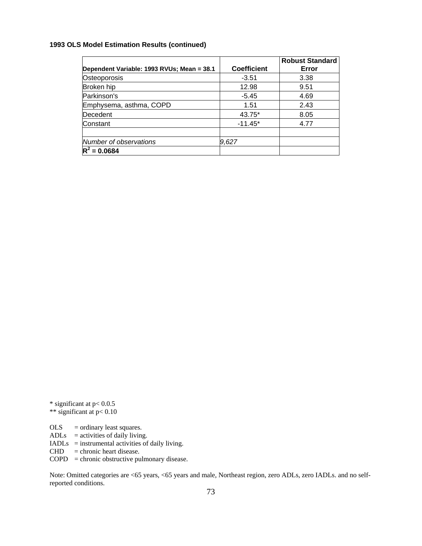### **1993 OLS Model Estimation Results (continued)**

|                                            |                    | <b>Robust Standard</b> |
|--------------------------------------------|--------------------|------------------------|
| Dependent Variable: 1993 RVUs; Mean = 38.1 | <b>Coefficient</b> | Error                  |
| Osteoporosis                               | $-3.51$            | 3.38                   |
| Broken hip                                 | 12.98              | 9.51                   |
| Parkinson's                                | $-5.45$            | 4.69                   |
| Emphysema, asthma, COPD                    | 1.51               | 2.43                   |
| Decedent                                   | 43.75*             | 8.05                   |
| Constant                                   | $-11.45*$          | 4.77                   |
|                                            |                    |                        |
| Number of observations                     | 9,627              |                        |
| $R^2$<br>$= 0.0684$                        |                    |                        |

\* significant at p< 0.0.5 \*\* significant at p< 0.10

OLS = ordinary least squares. ADLs  $=$  activities of daily living. IADLs = instrumental activities of daily living.  $CHD =$ chronic heart disease.  $COPD =$ chronic obstructive pulmonary disease.

Note: Omitted categories are <65 years, <65 years and male, Northeast region, zero ADLs, zero IADLs. and no selfreported conditions.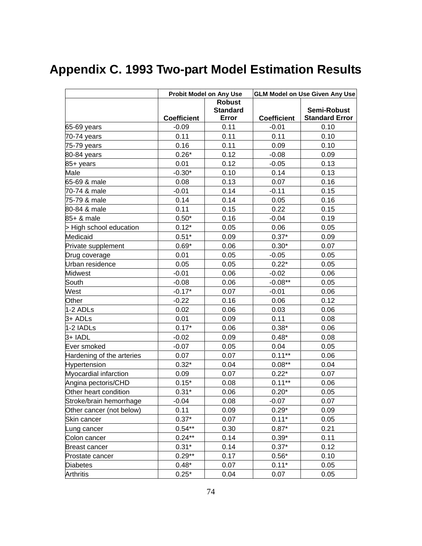# **Appendix C. 1993 Two-part Model Estimation Results**

|                           | <b>Probit Model on Any Use</b> |                          | <b>GLM Model on Use Given Any Use</b> |                                      |  |
|---------------------------|--------------------------------|--------------------------|---------------------------------------|--------------------------------------|--|
|                           |                                | <b>Robust</b>            |                                       |                                      |  |
|                           | <b>Coefficient</b>             | <b>Standard</b><br>Error | <b>Coefficient</b>                    | Semi-Robust<br><b>Standard Error</b> |  |
| 65-69 years               | $-0.09$                        | 0.11                     | $-0.01$                               | 0.10                                 |  |
| 70-74 years               | 0.11                           | 0.11                     | 0.11                                  | 0.10                                 |  |
| 75-79 years               | 0.16                           | 0.11                     | 0.09                                  | 0.10                                 |  |
| 80-84 years               | $0.26*$                        | 0.12                     | $-0.08$                               | 0.09                                 |  |
| 85+ years                 | 0.01                           | 0.12                     | $-0.05$                               | 0.13                                 |  |
| Male                      | $-0.30*$                       | 0.10                     | 0.14                                  | 0.13                                 |  |
| 65-69 & male              | 0.08                           | 0.13                     | 0.07                                  | 0.16                                 |  |
| 70-74 & male              | $-0.01$                        | 0.14                     | $-0.11$                               | 0.15                                 |  |
| 75-79 & male              | 0.14                           | 0.14                     | 0.05                                  | 0.16                                 |  |
| 80-84 & male              | 0.11                           | 0.15                     | 0.22                                  | 0.15                                 |  |
| 85+ & male                | $0.50*$                        | 0.16                     | $-0.04$                               | 0.19                                 |  |
| > High school education   | $0.12*$                        | 0.05                     | 0.06                                  | 0.05                                 |  |
| Medicaid                  | $0.51*$                        | 0.09                     | $0.37*$                               | 0.09                                 |  |
| Private supplement        | $0.69*$                        | 0.06                     | $0.30*$                               | 0.07                                 |  |
| Drug coverage             | 0.01                           | 0.05                     | $-0.05$                               | 0.05                                 |  |
| Urban residence           | 0.05                           | 0.05                     | $0.22*$                               | 0.05                                 |  |
| <b>Midwest</b>            | $-0.01$                        | 0.06                     | $-0.02$                               | 0.06                                 |  |
| South                     | $-0.08$                        | 0.06                     | $-0.08**$                             | 0.05                                 |  |
| West                      | $-0.17*$                       | 0.07                     | $-0.01$                               | 0.06                                 |  |
| Other                     | $-0.22$                        | 0.16                     | 0.06                                  | 0.12                                 |  |
| 1-2 ADLs                  | 0.02                           | 0.06                     | 0.03                                  | 0.06                                 |  |
| 3+ ADLs                   | 0.01                           | 0.09                     | 0.11                                  | 0.08                                 |  |
| 1-2 IADLs                 | $0.17*$                        | 0.06                     | $0.38*$                               | 0.06                                 |  |
| 3+ IADL                   | $-0.02$                        | 0.09                     | $0.48*$                               | 0.08                                 |  |
| Ever smoked               | $-0.07$                        | 0.05                     | 0.04                                  | 0.05                                 |  |
| Hardening of the arteries | 0.07                           | 0.07                     | $0.11***$                             | 0.06                                 |  |
| Hypertension              | $0.32*$                        | 0.04                     | $0.08***$                             | 0.04                                 |  |
| Myocardial infarction     | 0.09                           | 0.07                     | $0.22*$                               | 0.07                                 |  |
| Angina pectoris/CHD       | $0.15*$                        | 0.08                     | $0.11**$                              | 0.06                                 |  |
| Other heart condition     | $0.31*$                        | 0.06                     | $0.20*$                               | 0.05                                 |  |
| Stroke/brain hemorrhage   | $-0.04$                        | 0.08                     | $-0.07$                               | 0.07                                 |  |
| Other cancer (not below)  | 0.11                           | 0.09                     | $0.29*$                               | 0.09                                 |  |
| Skin cancer               | $0.37*$                        | 0.07                     | $0.11*$                               | 0.05                                 |  |
| Lung cancer               | $0.54**$                       | 0.30                     | $0.87*$                               | 0.21                                 |  |
| Colon cancer              | $0.24**$                       | 0.14                     | $0.39*$                               | 0.11                                 |  |
| Breast cancer             | $0.31*$                        | 0.14                     | $0.37*$                               | 0.12                                 |  |
| Prostate cancer           | $0.29**$                       | 0.17                     | $0.56*$                               | 0.10                                 |  |
| <b>Diabetes</b>           | $0.48*$                        | 0.07                     | $0.11*$                               | 0.05                                 |  |
| Arthritis                 | $0.25*$                        | 0.04                     | 0.07                                  | 0.05                                 |  |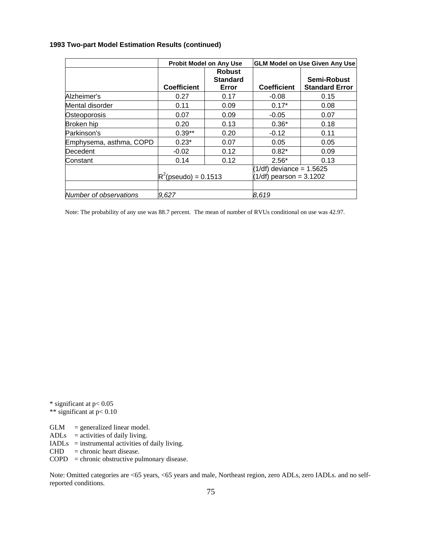| 1993 Two-part Model Estimation Results (continued) |  |  |
|----------------------------------------------------|--|--|
|----------------------------------------------------|--|--|

|                         | <b>Probit Model on Any Use</b> |                                           | <b>GLM Model on Use Given Any Use</b>                   |                                      |  |
|-------------------------|--------------------------------|-------------------------------------------|---------------------------------------------------------|--------------------------------------|--|
|                         | <b>Coefficient</b>             | <b>Robust</b><br><b>Standard</b><br>Error | <b>Coefficient</b>                                      | Semi-Robust<br><b>Standard Error</b> |  |
| Alzheimer's             | 0.27                           | 0.17                                      | $-0.08$                                                 | 0.15                                 |  |
| Mental disorder         | 0.11                           | 0.09                                      | $0.17*$                                                 | 0.08                                 |  |
| Osteoporosis            | 0.07                           | 0.09                                      | $-0.05$                                                 | 0.07                                 |  |
| Broken hip              | 0.20                           | 0.13                                      | $0.36*$                                                 | 0.18                                 |  |
| Parkinson's             | $0.39**$                       | 0.20                                      | $-0.12$                                                 | 0.11                                 |  |
| Emphysema, asthma, COPD | $0.23*$                        | 0.07                                      | 0.05                                                    | 0.05                                 |  |
| Decedent                | $-0.02$                        | 0.12                                      | $0.82*$                                                 | 0.09                                 |  |
| Constant                | 0.14                           | 0.12                                      | $2.56*$                                                 | 0.13                                 |  |
|                         | $R^2$ (pseudo) = 0.1513        |                                           | $(1/df)$ deviance = 1.5625<br>$(1/df)$ pearson = 3.1202 |                                      |  |
| Number of observations  | 9.627                          |                                           | 8,619                                                   |                                      |  |

Note: The probability of any use was 88.7 percent. The mean of number of RVUs conditional on use was 42.97.

\* significant at p< 0.05 \*\* significant at p< 0.10

 $GLM =$  generalized linear model. ADLs  $=$  activities of daily living. IADLs = instrumental activities of daily living.  $CHD =$ chronic heart disease.  $COPD =$ chronic obstructive pulmonary disease.

Note: Omitted categories are <65 years, <65 years and male, Northeast region, zero ADLs, zero IADLs. and no selfreported conditions.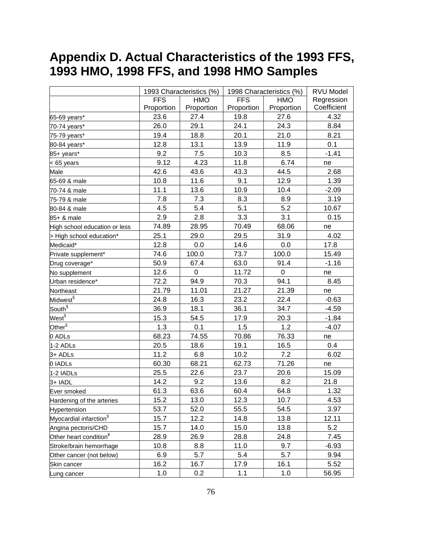# **Appendix D. Actual Characteristics of the 1993 FFS, 1993 HMO, 1998 FFS, and 1998 HMO Samples**

|                                    |            | 1993 Characteristics (%) |            | 1998 Characteristics (%) |             |
|------------------------------------|------------|--------------------------|------------|--------------------------|-------------|
|                                    | <b>FFS</b> | <b>HMO</b>               | <b>FFS</b> | <b>HMO</b>               | Regression  |
|                                    | Proportion | Proportion               | Proportion | Proportion               | Coefficient |
| 65-69 years*                       | 23.6       | 27.4                     | 19.8       | 27.6                     | 4.32        |
| 70-74 years*                       | 26.0       | 29.1                     | 24.1       | 24.3                     | 8.84        |
| 75-79 years*                       | 19.4       | 18.8                     | 20.1       | 21.0                     | 8.21        |
| 80-84 years*                       | 12.8       | 13.1                     | 13.9       | 11.9                     | 0.1         |
| 85+ years*                         | 9.2        | 7.5                      | 10.3       | 8.5                      | $-1.41$     |
| $< 65$ years                       | 9.12       | 4.23                     | 11.8       | 6.74                     | ne          |
| Male                               | 42.6       | 43.6                     | 43.3       | 44.5                     | 2.68        |
| 65-69 & male                       | 10.8       | 11.6                     | 9.1        | 12.9                     | 1.39        |
| 70-74 & male                       | 11.1       | 13.6                     | 10.9       | 10.4                     | $-2.09$     |
| 75-79 & male                       | 7.8        | 7.3                      | 8.3        | 8.9                      | 3.19        |
| 80-84 & male                       | 4.5        | 5.4                      | 5.1        | 5.2                      | 10.67       |
| 85+ & male                         | 2.9        | 2.8                      | 3.3        | 3.1                      | 0.15        |
| High school education or less      | 74.89      | 28.95                    | 70.49      | 68.06                    | ne          |
| > High school education*           | 25.1       | 29.0                     | 29.5       | 31.9                     | 4.02        |
| Medicaid*                          | 12.8       | 0.0                      | 14.6       | 0.0                      | 17.8        |
| Private supplement*                | 74.6       | 100.0                    | 73.7       | 100.0                    | 15.49       |
| Drug coverage*                     | 50.9       | 67.4                     | 63.0       | 91.4                     | $-1.16$     |
| No supplement                      | 12.6       | $\mathsf 0$              | 11.72      | $\boldsymbol{0}$         | ne          |
| Urban residence*                   | 72.2       | 94.9                     | 70.3       | 94.1                     | 8.45        |
| Northeast                          | 21.79      | 11.01                    | 21.27      | 21.39                    | ne          |
| Midwest <sup>§</sup>               | 24.8       | 16.3                     | 23.2       | 22.4                     | $-0.63$     |
| South <sup>§</sup>                 | 36.9       | 18.1                     | 36.1       | 34.7                     | $-4.59$     |
| West <sup>§</sup>                  | 15.3       | 54.5                     | 17.9       | 20.3                     | $-1.84$     |
| Other ${}^{\S}$                    | 1.3        | 0.1                      | 1.5        | 1.2                      | $-4.07$     |
| 0 ADLs                             | 68.23      | 74.55                    | 70.86      | 76.33                    | ne          |
| 1-2 ADLs                           | 20.5       | 18.6                     | 19.1       | 16.5                     | 0.4         |
| 3+ ADLs                            | 11.2       | 6.8                      | 10.2       | 7.2                      | 6.02        |
| 0 IADLs                            | 60.30      | 68.21                    | 62.73      | 71.26                    | ne          |
| 1-2 IADLs                          | 25.5       | 22.6                     | 23.7       | 20.6                     | 15.09       |
| 3+ IADL                            | 14.2       | 9.2                      | 13.6       | 8.2                      | 21.8        |
| Ever smoked                        | 61.3       | 63.6                     | 60.4       | 64.8                     | 1.32        |
| Hardening of the arteries          | 15.2       | 13.0                     | 12.3       | 10.7                     | 4.53        |
| Hypertension                       | 53.7       | 52.0                     | 55.5       | 54.5                     | 3.97        |
| Myocardial infarction <sup>§</sup> | 15.7       | 12.2                     | 14.8       | 13.8                     | 12.11       |
| Angina pectoris/CHD                | 15.7       | 14.0                     | 15.0       | 13.8                     | 5.2         |
| Other heart condition <sup>¥</sup> | 28.9       | 26.9                     | 28.8       | 24.8                     | 7.45        |
| Stroke/brain hemorrhage            | 10.8       | 8.8                      | 11.0       | 9.7                      | $-6.93$     |
| Other cancer (not below)           | 6.9        | 5.7                      | 5.4        | 5.7                      | 9.94        |
| Skin cancer                        | 16.2       | 16.7                     | 17.9       | 16.1                     | 5.52        |
| Lung cancer                        | 1.0        | 0.2                      | 1.1        | 1.0                      | 56.95       |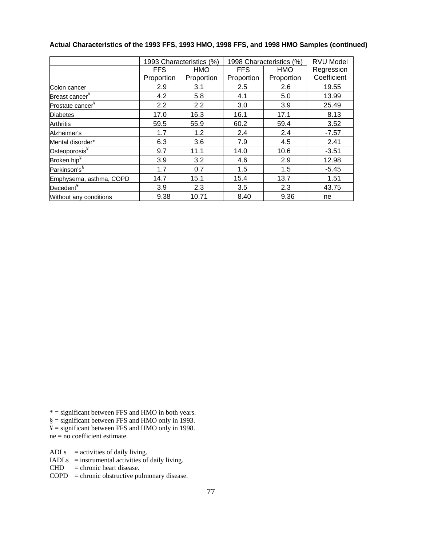|                              | 1993 Characteristics (%) |            | 1998 Characteristics (%) | <b>RVU Model</b> |             |
|------------------------------|--------------------------|------------|--------------------------|------------------|-------------|
|                              | <b>FFS</b>               | <b>HMO</b> | <b>FFS</b>               | <b>HMO</b>       | Regression  |
|                              | Proportion               | Proportion | Proportion               | Proportion       | Coefficient |
| Colon cancer                 | 2.9                      | 3.1        | 2.5                      | 2.6              | 19.55       |
| Breast cancer <sup>¥</sup>   | 4.2                      | 5.8        | 4.1                      | 5.0              | 13.99       |
| Prostate cancer <sup>¥</sup> | 2.2                      | 2.2        | 3.0                      | 3.9              | 25.49       |
| <b>Diabetes</b>              | 17.0                     | 16.3       | 16.1                     | 17.1             | 8.13        |
| <b>Arthritis</b>             | 59.5                     | 55.9       | 60.2                     | 59.4             | 3.52        |
| Alzheimer's                  | 1.7                      | 1.2        | 2.4                      | 2.4              | $-7.57$     |
| Mental disorder*             | 6.3                      | 3.6        | 7.9                      | 4.5              | 2.41        |
| Osteoporosis <sup>¥</sup>    | 9.7                      | 11.1       | 14.0                     | 10.6             | $-3.51$     |
| Broken hip <sup>¥</sup>      | 3.9                      | 3.2        | 4.6                      | 2.9              | 12.98       |
| Parkinson's <sup>§</sup>     | 1.7                      | 0.7        | 1.5                      | 1.5              | $-5.45$     |
| Emphysema, asthma, COPD      | 14.7                     | 15.1       | 15.4                     | 13.7             | 1.51        |
| Decedent <sup>¥</sup>        | 3.9                      | 2.3        | 3.5                      | 2.3              | 43.75       |
| Without any conditions       | 9.38                     | 10.71      | 8.40                     | 9.36             | ne          |

### **Actual Characteristics of the 1993 FFS, 1993 HMO, 1998 FFS, and 1998 HMO Samples (continued)**

\* = significant between FFS and HMO in both years.

 $\S =$  significant between FFS and HMO only in 1993.

 $\yen$  = significant between FFS and HMO only in 1998.

 $ne = no coefficient estimate.$ 

 $ADLs =$  activities of daily living.

 $IADLs =$  instrumental activities of daily living.

 $CHD =$ chronic heart disease.

COPD = chronic obstructive pulmonary disease.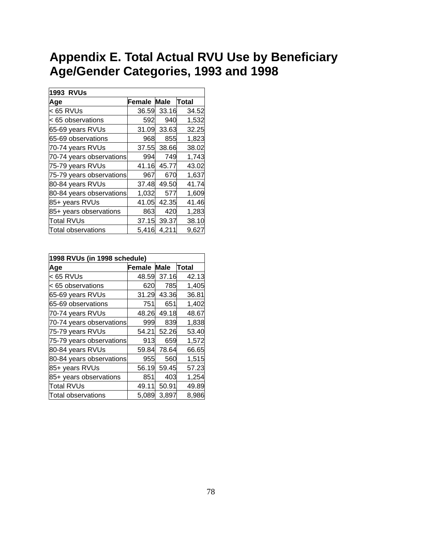## **Appendix E. Total Actual RVU Use by Beneficiary Age/Gender Categories, 1993 and 1998**

| <b>1993 RVUs</b>         |                          |       |       |
|--------------------------|--------------------------|-------|-------|
| Age                      | <b>Female Male Total</b> |       |       |
| k 65 RVUs                | 36.59                    | 33.16 | 34.52 |
| < 65 observations        | 592                      | 940   | 1,532 |
| 65-69 years RVUs         | 31.09                    | 33.63 | 32.25 |
| 65-69 observations       | 968                      | 855   | 1,823 |
| 70-74 years RVUs         | 37.55                    | 38.66 | 38.02 |
| 70-74 years observations | 994                      | 749   | 1,743 |
| 75-79 years RVUs         | 41.16                    | 45.77 | 43.02 |
| 75-79 years observations | 967                      | 670   | 1,637 |
| 80-84 years RVUs         | 37.48                    | 49.50 | 41.74 |
| 80-84 years observations | 1,032                    | 577   | 1,609 |
| 85+ years RVUs           | 41.05                    | 42.35 | 41.46 |
| 85+ years observations   | 863                      | 420   | 1,283 |
| Total RVUs               | 37.15                    | 39.37 | 38.10 |
| Total observations       | 5,416                    | 4,211 | 9,627 |

| 1998 RVUs (in 1998 schedule) |                          |       |       |  |  |
|------------------------------|--------------------------|-------|-------|--|--|
| Age                          | <b>Female Male Total</b> |       |       |  |  |
| $<$ 65 RVUs                  | 48.59                    | 37.16 | 42.13 |  |  |
| < 65 observations            | 620                      | 785   | 1,405 |  |  |
| 65-69 years RVUs             | 31.29                    | 43.36 | 36.81 |  |  |
| 65-69 observations           | 751                      | 651   | 1,402 |  |  |
| 70-74 years RVUs             | 48.26                    | 49.18 | 48.67 |  |  |
| 70-74 years observations     | 999                      | 839   | 1,838 |  |  |
| 75-79 years RVUs             | 54.21                    | 52.26 | 53.40 |  |  |
| 75-79 years observations     | 913                      | 659   | 1,572 |  |  |
| 80-84 years RVUs             | 59.84                    | 78.64 | 66.65 |  |  |
| 80-84 years observations     | 955                      | 560   | 1,515 |  |  |
| 85+ years RVUs               | 56.19                    | 59.45 | 57.23 |  |  |
| 85+ years observations       | 851                      | 403   | 1,254 |  |  |
| Total RVUs                   | 49.11                    | 50.91 | 49.89 |  |  |
| Total observations           | 5,089                    | 3,897 | 8,986 |  |  |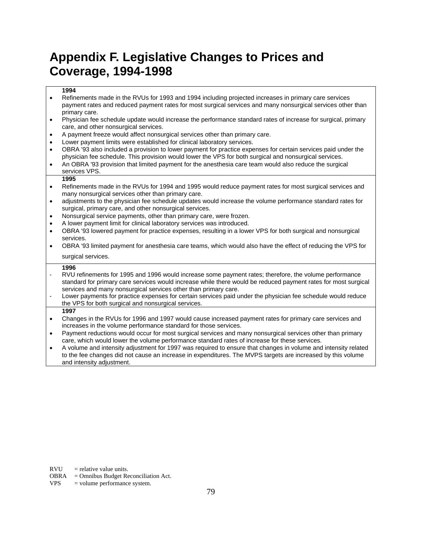## **Appendix F. Legislative Changes to Prices and Coverage, 1994-1998**

### **1994**

- Refinements made in the RVUs for 1993 and 1994 including projected increases in primary care services payment rates and reduced payment rates for most surgical services and many nonsurgical services other than primary care.
- Physician fee schedule update would increase the performance standard rates of increase for surgical, primary care, and other nonsurgical services.
- A payment freeze would affect nonsurgical services other than primary care.
- Lower payment limits were established for clinical laboratory services.
- OBRA '93 also included a provision to lower payment for practice expenses for certain services paid under the physician fee schedule. This provision would lower the VPS for both surgical and nonsurgical services.
- An OBRA '93 provision that limited payment for the anesthesia care team would also reduce the surgical services VPS.

#### **1995**

- Refinements made in the RVUs for 1994 and 1995 would reduce payment rates for most surgical services and many nonsurgical services other than primary care.
- adjustments to the physician fee schedule updates would increase the volume performance standard rates for surgical, primary care, and other nonsurgical services.
- Nonsurgical service payments, other than primary care, were frozen.
- A lower payment limit for clinical laboratory services was introduced.
- OBRA '93 lowered payment for practice expenses, resulting in a lower VPS for both surgical and nonsurgical services.
- OBRA '93 limited payment for anesthesia care teams, which would also have the effect of reducing the VPS for surgical services.

#### **1996**

- RVU refinements for 1995 and 1996 would increase some payment rates; therefore, the volume performance standard for primary care services would increase while there would be reduced payment rates for most surgical services and many nonsurgical services other than primary care.
- Lower payments for practice expenses for certain services paid under the physician fee schedule would reduce the VPS for both surgical and nonsurgical services.
- **1997**
- Changes in the RVUs for 1996 and 1997 would cause increased payment rates for primary care services and increases in the volume performance standard for those services.
- Payment reductions would occur for most surgical services and many nonsurgical services other than primary care, which would lower the volume performance standard rates of increase for these services.
- A volume and intensity adjustment for 1997 was required to ensure that changes in volume and intensity related to the fee changes did not cause an increase in expenditures. The MVPS targets are increased by this volume and intensity adjustment.

 $RVU$  = relative value units.

VPS = volume performance system.

OBRA = Omnibus Budget Reconciliation Act.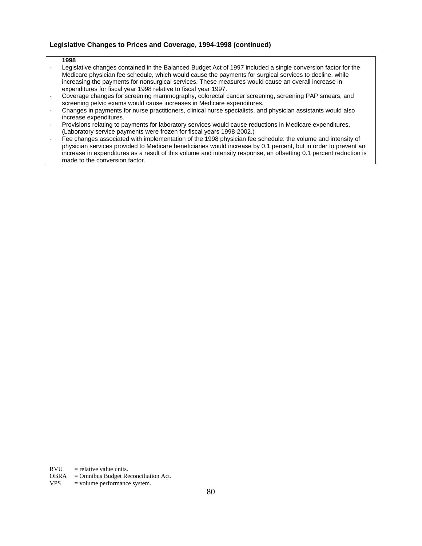### **Legislative Changes to Prices and Coverage, 1994-1998 (continued)**

#### **1998**

- Legislative changes contained in the Balanced Budget Act of 1997 included a single conversion factor for the Medicare physician fee schedule, which would cause the payments for surgical services to decline, while increasing the payments for nonsurgical services. These measures would cause an overall increase in expenditures for fiscal year 1998 relative to fiscal year 1997.
- Coverage changes for screening mammography, colorectal cancer screening, screening PAP smears, and screening pelvic exams would cause increases in Medicare expenditures.
- Changes in payments for nurse practitioners, clinical nurse specialists, and physician assistants would also increase expenditures.
- Provisions relating to payments for laboratory services would cause reductions in Medicare expenditures. (Laboratory service payments were frozen for fiscal years 1998-2002.)
- Fee changes associated with implementation of the 1998 physician fee schedule: the volume and intensity of physician services provided to Medicare beneficiaries would increase by 0.1 percent, but in order to prevent an increase in expenditures as a result of this volume and intensity response, an offsetting 0.1 percent reduction is made to the conversion factor.

 $RVU$  = relative value units.

VPS = volume performance system.

OBRA = Omnibus Budget Reconciliation Act.